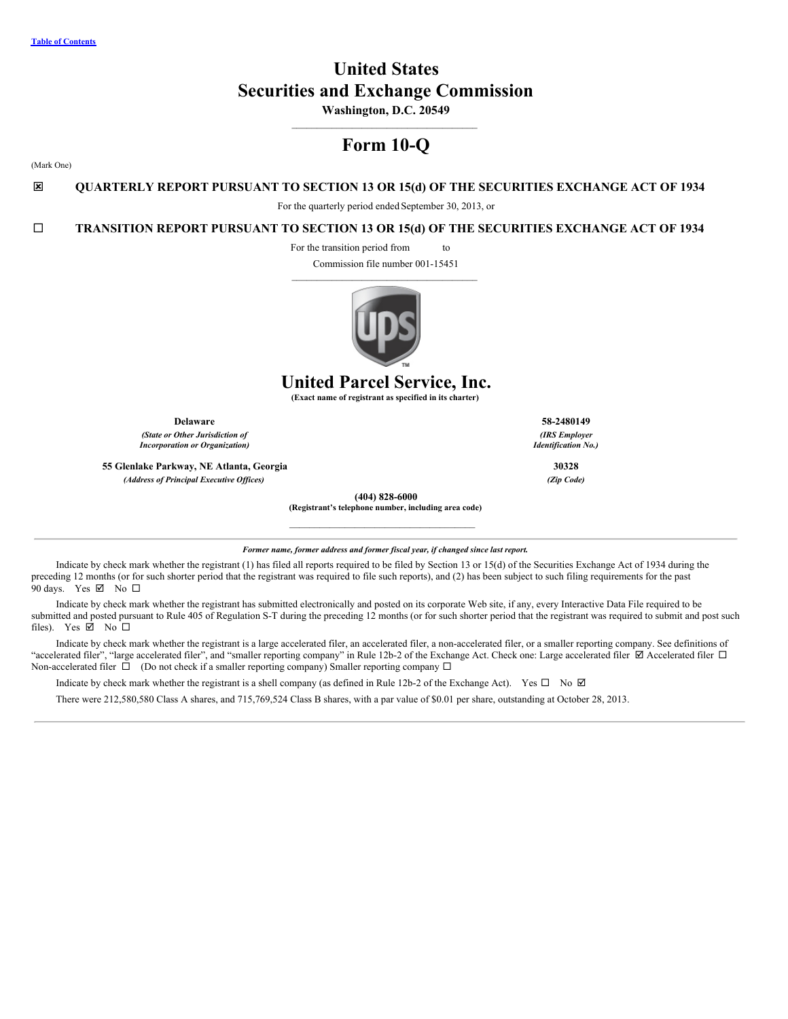# **United States Securities and Exchange Commission**

**Washington, D.C. 20549** \_\_\_\_\_\_\_\_\_\_\_\_\_\_\_\_\_\_\_\_\_\_\_\_\_\_\_\_\_\_\_\_\_\_\_\_\_

# **Form 10-Q**

(Mark One)

# ý **QUARTERLY REPORT PURSUANT TO SECTION 13 OR 15(d) OF THE SECURITIES EXCHANGE ACT OF 1934**

For the quarterly period ended September 30, 2013, or

# ¨ **TRANSITION REPORT PURSUANT TO SECTION 13 OR 15(d) OF THE SECURITIES EXCHANGE ACT OF 1934**

For the transition period from to

Commission file number 001-15451 \_\_\_\_\_\_\_\_\_\_\_\_\_\_\_\_\_\_\_\_\_\_\_\_\_\_\_\_\_\_\_\_\_\_\_\_\_



**United Parcel Service, Inc.**

**(Exact name of registrant as specified in its charter)**

**Delaware 58-2480149**

*(State or Other Jurisdiction of Incorporation or Organization)*

**55 Glenlake Parkway, NE Atlanta, Georgia 30328** *(Address of Principal Executive Of ices) (Zip Code)*

*(IRS Employer Identification No.)*

**(404) 828-6000 (Registrant's telephone number, including area code)**  $\mathcal{L}_\text{max}$  and  $\mathcal{L}_\text{max}$  and  $\mathcal{L}_\text{max}$  and  $\mathcal{L}_\text{max}$ 

*Former name, former address and former fiscal year, if changed since last report.*

Indicate by check mark whether the registrant (1) has filed all reports required to be filed by Section 13 or 15(d) of the Securities Exchange Act of 1934 during the preceding 12 months (or for such shorter period that the registrant was required to file such reports), and (2) has been subject to such filing requirements for the past 90 days. Yes  $\boxtimes$  No  $\square$ 

Indicate by check mark whether the registrant has submitted electronically and posted on its corporate Web site, if any, every Interactive Data File required to be submitted and posted pursuant to Rule 405 of Regulation S-T during the preceding 12 months (or for such shorter period that the registrant was required to submit and post such files). Yes  $\overline{\boxtimes}$  No  $\Box$ 

Indicate by check mark whether the registrant is a large accelerated filer, an accelerated filer, a non-accelerated filer, or a smaller reporting company. See definitions of "accelerated filer", "large accelerated filer", and "smaller reporting company" in Rule 12b-2 of the Exchange Act. Check one: Large accelerated filer  $\Box$  Accelerated filer  $\Box$ Non-accelerated filer  $\Box$  (Do not check if a smaller reporting company) Smaller reporting company  $\Box$ 

Indicate by check mark whether the registrant is a shell company (as defined in Rule 12b-2 of the Exchange Act). Yes  $\Box$  No  $\Box$ 

There were 212,580,580 Class A shares, and 715,769,524 Class B shares, with a par value of \$0.01 per share, outstanding at October 28, 2013.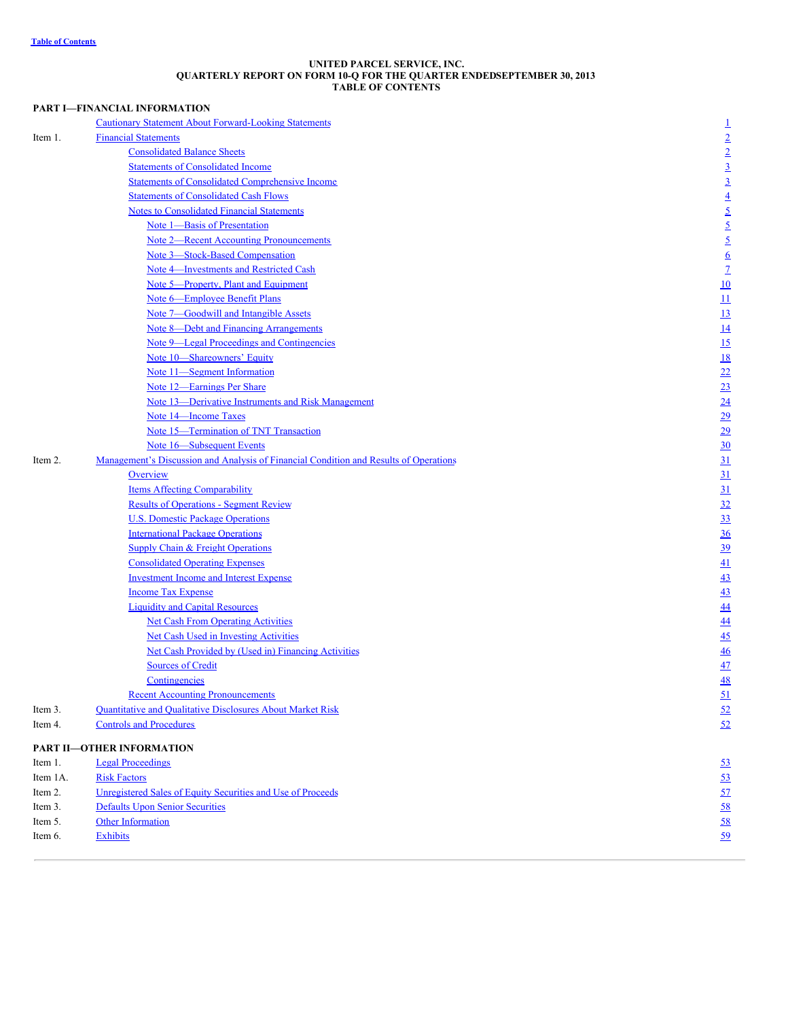#### **UNITED PARCEL SERVICE, INC. QUARTERLY REPORT ON FORM 10-Q FOR THE QUARTER ENDEDSEPTEMBER 30, 2013 TABLE OF CONTENTS**

<span id="page-1-0"></span>

|          | PART I-FINANCIAL INFORMATION                                                          |                             |
|----------|---------------------------------------------------------------------------------------|-----------------------------|
|          | <b>Cautionary Statement About Forward-Looking Statements</b>                          | $\overline{1}$              |
| Item 1.  | <b>Financial Statements</b>                                                           |                             |
|          | <b>Consolidated Balance Sheets</b>                                                    |                             |
|          | <b>Statements of Consolidated Income</b>                                              | $\frac{2}{2}$ $\frac{3}{3}$ |
|          | <b>Statements of Consolidated Comprehensive Income</b>                                |                             |
|          | <b>Statements of Consolidated Cash Flows</b>                                          | $\overline{4}$              |
|          | <b>Notes to Consolidated Financial Statements</b>                                     |                             |
|          | Note 1-Basis of Presentation                                                          | $\frac{5}{2}$               |
|          | Note 2—Recent Accounting Pronouncements                                               |                             |
|          | Note 3-Stock-Based Compensation                                                       |                             |
|          | Note 4—Investments and Restricted Cash                                                | $rac{6}{7}$                 |
|          | Note 5-Property, Plant and Equipment                                                  | 10                          |
|          | Note 6—Employee Benefit Plans                                                         | $\underline{11}$            |
|          | Note 7-Goodwill and Intangible Assets                                                 | 13                          |
|          | Note 8—Debt and Financing Arrangements                                                | $\frac{14}{1}$              |
|          | Note 9—Legal Proceedings and Contingencies                                            | 15                          |
|          | Note 10—Shareowners' Equity                                                           | <u>18</u>                   |
|          | Note 11-Segment Information                                                           | $\overline{22}$             |
|          | Note 12—Earnings Per Share                                                            | 23                          |
|          | Note 13—Derivative Instruments and Risk Management                                    | $\frac{24}{5}$              |
|          | Note 14—Income Taxes                                                                  |                             |
|          | Note 15-Termination of TNT Transaction                                                | $\frac{29}{29}$             |
|          | Note 16—Subsequent Events                                                             | $\overline{30}$             |
| Item 2.  | Management's Discussion and Analysis of Financial Condition and Results of Operations | 31                          |
|          | Overview                                                                              | 31                          |
|          | <b>Items Affecting Comparability</b>                                                  | 31                          |
|          | <b>Results of Operations - Segment Review</b>                                         | $\overline{32}$             |
|          | <b>U.S. Domestic Package Operations</b>                                               | $\overline{33}$             |
|          | <b>International Package Operations</b>                                               | $\frac{36}{5}$              |
|          | Supply Chain & Freight Operations                                                     | $\underline{39}$            |
|          | <b>Consolidated Operating Expenses</b>                                                | 41                          |
|          | <b>Investment Income and Interest Expense</b>                                         | 43                          |
|          | <b>Income Tax Expense</b>                                                             | 43                          |
|          | <b>Liquidity and Capital Resources</b>                                                | $\overline{44}$             |
|          | <b>Net Cash From Operating Activities</b>                                             | $\overline{44}$             |
|          | <b>Net Cash Used in Investing Activities</b>                                          | $\overline{45}$             |
|          | Net Cash Provided by (Used in) Financing Activities                                   | $\frac{46}{5}$              |
|          | <b>Sources of Credit</b>                                                              | 47                          |
|          | Contingencies                                                                         | $\underline{48}$            |
|          | <b>Recent Accounting Pronouncements</b>                                               | 51                          |
| Item 3.  | <b>Ouantitative and Oualitative Disclosures About Market Risk</b>                     | 52                          |
| Item 4.  | <b>Controls and Procedures</b>                                                        | 52                          |
|          |                                                                                       |                             |
|          | <b>PART II-OTHER INFORMATION</b>                                                      |                             |
| Item 1.  | <b>Legal Proceedings</b>                                                              | <u>53</u>                   |
| Item 1A. | <b>Risk Factors</b>                                                                   | 53                          |
| Item 2.  | Unregistered Sales of Equity Securities and Use of Proceeds                           | 57                          |
| Item 3.  | <b>Defaults Upon Senior Securities</b>                                                | <u>58</u>                   |
| Item 5.  | Other Information                                                                     | 58                          |
| Item 6.  | <b>Exhibits</b>                                                                       | 59                          |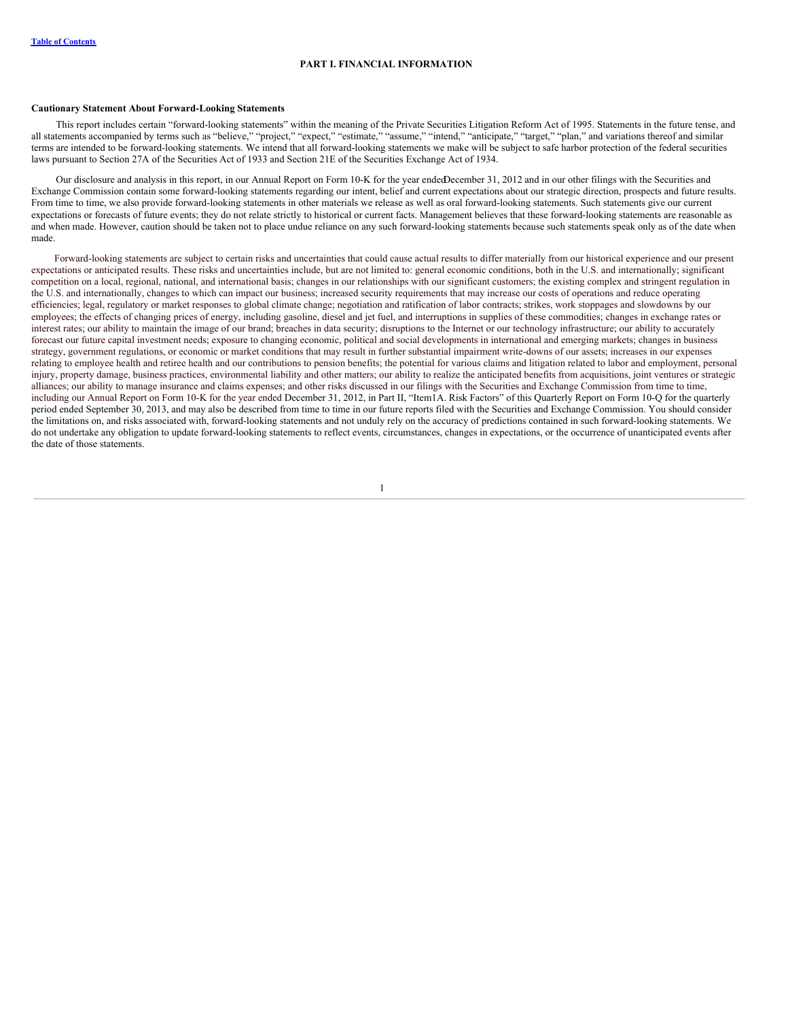### **PART I. FINANCIAL INFORMATION**

#### <span id="page-2-0"></span>**Cautionary Statement About Forward-Looking Statements**

This report includes certain "forward-looking statements" within the meaning of the Private Securities Litigation Reform Act of 1995. Statements in the future tense, and all statements accompanied by terms such as "believe," "project," "expect," "estimate," "assume," "intend," "anticipate," "target," "plan," and variations thereof and similar terms are intended to be forward-looking statements. We intend that all forward-looking statements we make will be subject to safe harbor protection of the federal securities laws pursuant to Section 27A of the Securities Act of 1933 and Section 21E of the Securities Exchange Act of 1934.

Our disclosure and analysis in this report, in our Annual Report on Form 10-K for the year endedDecember 31, 2012 and in our other filings with the Securities and Exchange Commission contain some forward-looking statements regarding our intent, belief and current expectations about our strategic direction, prospects and future results. From time to time, we also provide forward-looking statements in other materials we release as well as oral forward-looking statements. Such statements give our current expectations or forecasts of future events; they do not relate strictly to historical or current facts. Management believes that these forward-looking statements are reasonable as and when made. However, caution should be taken not to place undue reliance on any such forward-looking statements because such statements speak only as of the date when made.

Forward-looking statements are subject to certain risks and uncertainties that could cause actual results to differ materially from our historical experience and our present expectations or anticipated results. These risks and uncertainties include, but are not limited to: general economic conditions, both in the U.S. and internationally; significant competition on a local, regional, national, and international basis; changes in our relationships with our significant customers; the existing complex and stringent regulation in the U.S. and internationally, changes to which can impact our business; increased security requirements that may increase our costs of operations and reduce operating efficiencies; legal, regulatory or market responses to global climate change; negotiation and ratification of labor contracts; strikes, work stoppages and slowdowns by our employees; the effects of changing prices of energy, including gasoline, diesel and jet fuel, and interruptions in supplies of these commodities; changes in exchange rates or interest rates; our ability to maintain the image of our brand; breaches in data security; disruptions to the Internet or our technology infrastructure; our ability to accurately forecast our future capital investment needs; exposure to changing economic, political and social developments in international and emerging markets; changes in business strategy, government regulations, or economic or market conditions that may result in further substantial impairment write-downs of our assets; increases in our expenses relating to employee health and retiree health and our contributions to pension benefits; the potential for various claims and litigation related to labor and employment, personal injury, property damage, business practices, environmental liability and other matters; our ability to realize the anticipated benefits from acquisitions, joint ventures or strategic alliances; our ability to manage insurance and claims expenses; and other risks discussed in our filings with the Securities and Exchange Commission from time to time, including our Annual Report on Form 10-K for the year ended December 31, 2012, in Part II, "Item1A. Risk Factors" of this Quarterly Report on Form 10-Q for the quarterly period ended September 30, 2013, and may also be described from time to time in our future reports filed with the Securities and Exchange Commission. You should consider the limitations on, and risks associated with, forward-looking statements and not unduly rely on the accuracy of predictions contained in such forward-looking statements. We do not undertake any obligation to update forward-looking statements to reflect events, circumstances, changes in expectations, or the occurrence of unanticipated events after the date of those statements.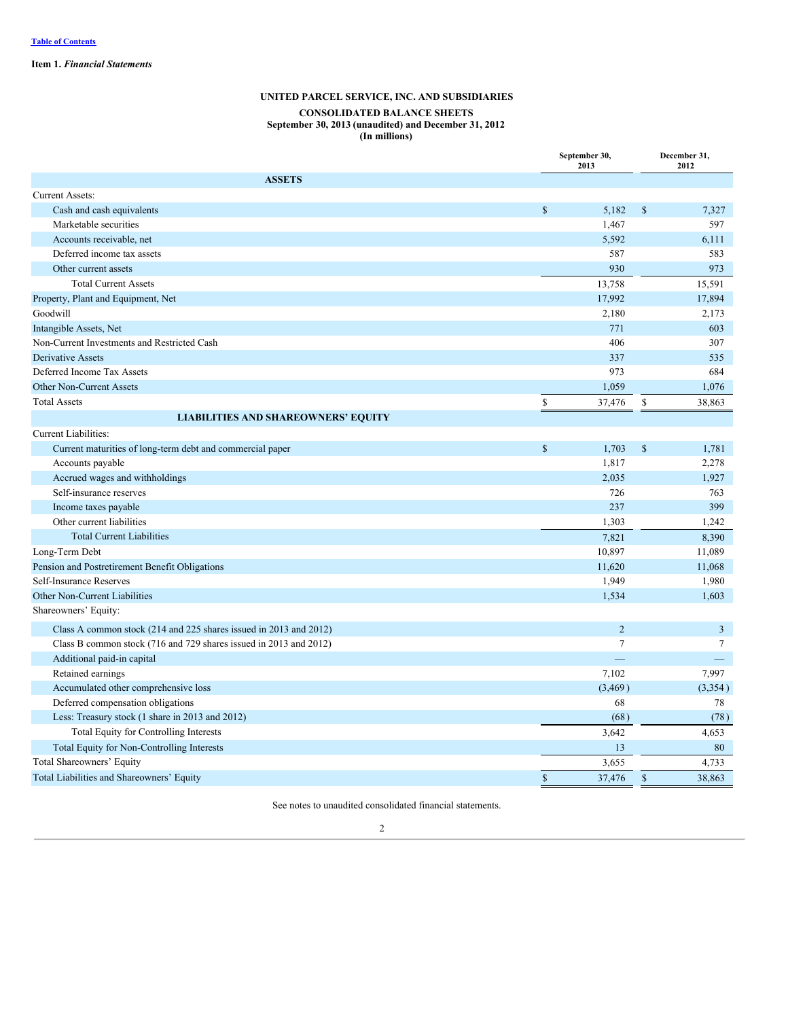<span id="page-3-1"></span><span id="page-3-0"></span>**Item 1.** *Financial Statements*

# **UNITED PARCEL SERVICE, INC. AND SUBSIDIARIES CONSOLIDATED BALANCE SHEETS September 30, 2013 (unaudited) and December 31, 2012 (In millions)**

|                                                                   |              | September 30,<br>2013 |               | December 31,<br>2012 |
|-------------------------------------------------------------------|--------------|-----------------------|---------------|----------------------|
| <b>ASSETS</b>                                                     |              |                       |               |                      |
| <b>Current Assets:</b>                                            |              |                       |               |                      |
| Cash and cash equivalents                                         | $\mathbb{S}$ | 5,182                 | $\mathsf{\$}$ | 7,327                |
| Marketable securities                                             |              | 1,467                 |               | 597                  |
| Accounts receivable, net                                          |              | 5,592                 |               | 6,111                |
| Deferred income tax assets                                        |              | 587                   |               | 583                  |
| Other current assets                                              |              | 930                   |               | 973                  |
| <b>Total Current Assets</b>                                       |              | 13,758                |               | 15,591               |
| Property, Plant and Equipment, Net                                |              | 17,992                |               | 17,894               |
| Goodwill                                                          |              | 2,180                 |               | 2,173                |
| Intangible Assets, Net                                            |              | 771                   |               | 603                  |
| Non-Current Investments and Restricted Cash                       |              | 406                   |               | 307                  |
| Derivative Assets                                                 |              | 337                   |               | 535                  |
| Deferred Income Tax Assets                                        |              | 973                   |               | 684                  |
| <b>Other Non-Current Assets</b>                                   |              | 1,059                 |               | 1,076                |
| <b>Total Assets</b>                                               | \$           | 37,476                | \$            | 38,863               |
| <b>LIABILITIES AND SHAREOWNERS' EQUITY</b>                        |              |                       |               |                      |
| <b>Current Liabilities:</b>                                       |              |                       |               |                      |
| Current maturities of long-term debt and commercial paper         | $\mathbb{S}$ | 1,703                 | $\mathsf{\$}$ | 1,781                |
| Accounts payable                                                  |              | 1,817                 |               | 2,278                |
| Accrued wages and withholdings                                    |              | 2,035                 |               | 1,927                |
| Self-insurance reserves                                           |              | 726                   |               | 763                  |
| Income taxes payable                                              |              | 237                   |               | 399                  |
| Other current liabilities                                         |              | 1,303                 |               | 1,242                |
| <b>Total Current Liabilities</b>                                  |              | 7,821                 |               | 8,390                |
| Long-Term Debt                                                    |              | 10,897                |               | 11,089               |
| Pension and Postretirement Benefit Obligations                    |              | 11,620                |               | 11,068               |
| <b>Self-Insurance Reserves</b>                                    |              | 1,949                 |               | 1,980                |
| Other Non-Current Liabilities                                     |              | 1,534                 |               | 1,603                |
| Shareowners' Equity:                                              |              |                       |               |                      |
| Class A common stock (214 and 225 shares issued in 2013 and 2012) |              | $\overline{2}$        |               | $\mathfrak{Z}$       |
| Class B common stock (716 and 729 shares issued in 2013 and 2012) |              | $\overline{7}$        |               | $\overline{7}$       |
| Additional paid-in capital                                        |              |                       |               |                      |
| Retained earnings                                                 |              | 7,102                 |               | 7,997                |
| Accumulated other comprehensive loss                              |              | (3, 469)              |               | (3,354)              |
| Deferred compensation obligations                                 |              | 68                    |               | 78                   |
| Less: Treasury stock (1 share in 2013 and 2012)                   |              | (68)                  |               | (78)                 |
| Total Equity for Controlling Interests                            |              | 3,642                 |               | 4,653                |
| Total Equity for Non-Controlling Interests                        |              | 13                    |               | 80                   |
| Total Shareowners' Equity                                         |              | 3,655                 |               | 4,733                |
| Total Liabilities and Shareowners' Equity                         | $\mathbb{S}$ | 37,476                | $\mathbf S$   | 38.863               |

See notes to unaudited consolidated financial statements.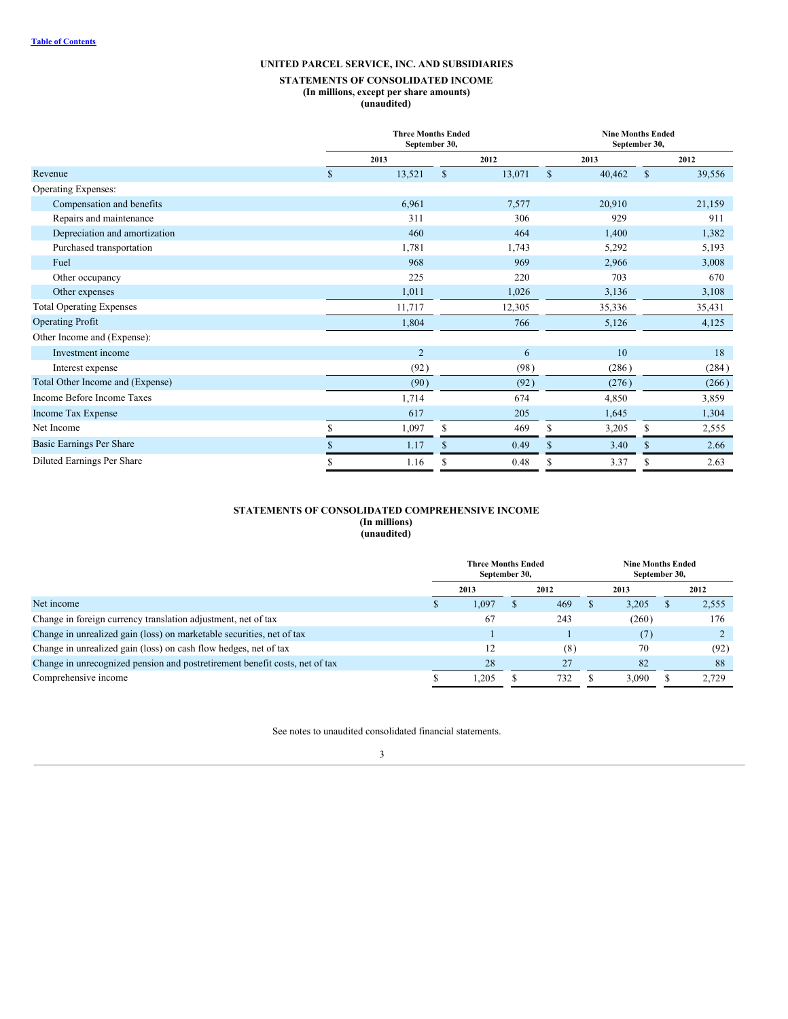# **UNITED PARCEL SERVICE, INC. AND SUBSIDIARIES**

### **STATEMENTS OF CONSOLIDATED INCOME (In millions, except per share amounts)**

**(unaudited)**

<span id="page-4-0"></span>

|                                  |              | <b>Three Months Ended</b><br>September 30, |              |        |    | <b>Nine Months Ended</b><br>September 30, |             |        |  |
|----------------------------------|--------------|--------------------------------------------|--------------|--------|----|-------------------------------------------|-------------|--------|--|
|                                  |              | 2013                                       |              | 2012   |    | 2013                                      |             | 2012   |  |
| Revenue                          | $\mathbb{S}$ | 13,521                                     | $\mathbb{S}$ | 13,071 | \$ | 40,462                                    | $\mathbf S$ | 39,556 |  |
| <b>Operating Expenses:</b>       |              |                                            |              |        |    |                                           |             |        |  |
| Compensation and benefits        |              | 6,961                                      |              | 7,577  |    | 20,910                                    |             | 21,159 |  |
| Repairs and maintenance          |              | 311                                        |              | 306    |    | 929                                       |             | 911    |  |
| Depreciation and amortization    |              | 460                                        |              | 464    |    | 1,400                                     |             | 1,382  |  |
| Purchased transportation         |              | 1,781                                      |              | 1,743  |    | 5,292                                     |             | 5,193  |  |
| Fuel                             |              | 968                                        |              | 969    |    | 2,966                                     |             | 3,008  |  |
| Other occupancy                  |              | 225                                        |              | 220    |    | 703                                       |             | 670    |  |
| Other expenses                   |              | 1,011                                      |              | 1,026  |    | 3,136                                     |             | 3,108  |  |
| <b>Total Operating Expenses</b>  |              | 11,717                                     |              | 12,305 |    | 35,336                                    |             | 35,431 |  |
| <b>Operating Profit</b>          |              | 1,804                                      |              | 766    |    | 5,126                                     |             | 4,125  |  |
| Other Income and (Expense):      |              |                                            |              |        |    |                                           |             |        |  |
| Investment income                |              | $\overline{2}$                             |              | 6      |    | 10                                        |             | 18     |  |
| Interest expense                 |              | (92)                                       |              | (98)   |    | (286)                                     |             | (284)  |  |
| Total Other Income and (Expense) |              | (90)                                       |              | (92)   |    | (276)                                     |             | (266)  |  |
| Income Before Income Taxes       |              | 1,714                                      |              | 674    |    | 4,850                                     |             | 3,859  |  |
| Income Tax Expense               |              | 617                                        |              | 205    |    | 1,645                                     |             | 1,304  |  |
| Net Income                       |              | 1,097                                      | S            | 469    | S  | 3,205                                     | S           | 2,555  |  |
| Basic Earnings Per Share         | S            | 1.17                                       | S            | 0.49   | S  | 3.40                                      | \$          | 2.66   |  |
| Diluted Earnings Per Share       | S            | 1.16                                       | S            | 0.48   | S  | 3.37                                      | S           | 2.63   |  |

### **STATEMENTS OF CONSOLIDATED COMPREHENSIVE INCOME (In millions) (unaudited)**

<span id="page-4-1"></span>

|                                                                             | <b>Three Months Ended</b><br>September 30, |  |      |  |       | <b>Nine Months Ended</b><br>September 30, |       |
|-----------------------------------------------------------------------------|--------------------------------------------|--|------|--|-------|-------------------------------------------|-------|
|                                                                             | 2013                                       |  | 2012 |  | 2013  |                                           | 2012  |
| Net income                                                                  | 1,097                                      |  | 469  |  | 3,205 |                                           | 2,555 |
| Change in foreign currency translation adjustment, net of tax               | 67                                         |  | 243  |  | (260) |                                           | 176   |
| Change in unrealized gain (loss) on marketable securities, net of tax       |                                            |  |      |  | (7)   |                                           |       |
| Change in unrealized gain (loss) on cash flow hedges, net of tax            | 12                                         |  | (8)  |  | 70    |                                           | (92)  |
| Change in unrecognized pension and postretirement benefit costs, net of tax | 28                                         |  | 27   |  | 82    |                                           | 88    |
| Comprehensive income                                                        | 1.205                                      |  | 732  |  | 3.090 |                                           | 2.729 |

See notes to unaudited consolidated financial statements.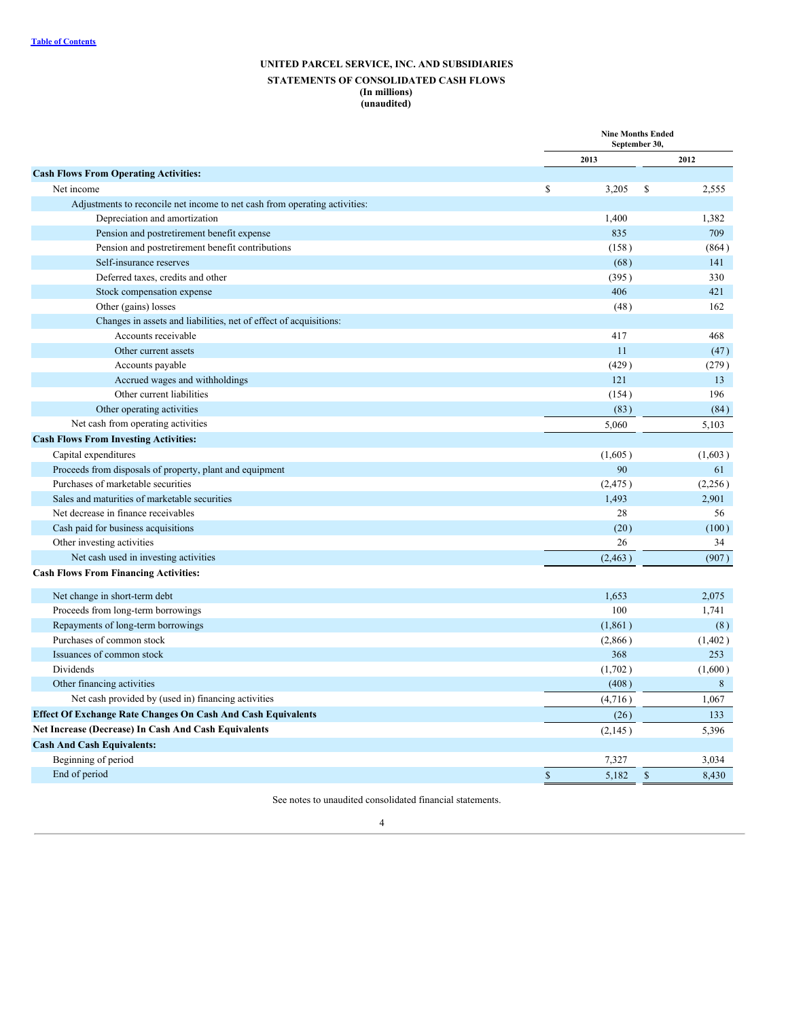# **UNITED PARCEL SERVICE, INC. AND SUBSIDIARIES STATEMENTS OF CONSOLIDATED CASH FLOWS (In millions) (unaudited)**

<span id="page-5-0"></span>

|                                                                            |                        | <b>Nine Months Ended</b><br>September 30, |                |
|----------------------------------------------------------------------------|------------------------|-------------------------------------------|----------------|
|                                                                            | 2013                   |                                           | 2012           |
| <b>Cash Flows From Operating Activities:</b>                               |                        |                                           |                |
| Net income                                                                 | \$<br>3,205            | <sup>\$</sup>                             | 2,555          |
| Adjustments to reconcile net income to net cash from operating activities: |                        |                                           |                |
| Depreciation and amortization                                              | 1,400                  |                                           | 1,382          |
| Pension and postretirement benefit expense                                 | 835                    |                                           | 709            |
| Pension and postretirement benefit contributions                           | (158)                  |                                           | (864)          |
| Self-insurance reserves                                                    |                        | (68)                                      | 141            |
| Deferred taxes, credits and other                                          | (395)                  |                                           | 330            |
| Stock compensation expense                                                 | 406                    |                                           | 421            |
| Other (gains) losses                                                       |                        | (48)                                      | 162            |
| Changes in assets and liabilities, net of effect of acquisitions:          |                        |                                           |                |
| Accounts receivable                                                        | 417                    |                                           | 468            |
| Other current assets                                                       |                        | 11                                        | (47)           |
| Accounts payable                                                           | (429)                  |                                           | (279)          |
| Accrued wages and withholdings                                             | 121                    |                                           | 13             |
| Other current liabilities                                                  | (154)                  |                                           | 196            |
| Other operating activities                                                 |                        | (83)                                      | (84)           |
| Net cash from operating activities                                         | 5,060                  |                                           | 5,103          |
| <b>Cash Flows From Investing Activities:</b>                               |                        |                                           |                |
| Capital expenditures                                                       | (1,605)                |                                           | (1,603)        |
| Proceeds from disposals of property, plant and equipment                   |                        | 90                                        | 61             |
| Purchases of marketable securities                                         | (2, 475)               |                                           | (2,256)        |
| Sales and maturities of marketable securities                              | 1,493                  |                                           | 2,901          |
| Net decrease in finance receivables                                        |                        | 28                                        | 56             |
| Cash paid for business acquisitions                                        |                        | (20)                                      | (100)          |
| Other investing activities                                                 |                        | 26                                        | 34             |
| Net cash used in investing activities                                      | (2, 463)               |                                           | (907)          |
| <b>Cash Flows From Financing Activities:</b>                               |                        |                                           |                |
| Net change in short-term debt                                              | 1,653                  |                                           | 2.075          |
| Proceeds from long-term borrowings                                         | 100                    |                                           | 1,741          |
| Repayments of long-term borrowings                                         | (1, 861)               |                                           | (8)            |
| Purchases of common stock                                                  | (2,866)                |                                           | (1,402)        |
| Issuances of common stock                                                  | 368                    |                                           | 253            |
| Dividends                                                                  | (1,702)                |                                           | (1,600)        |
| Other financing activities                                                 | (408)                  |                                           | $8\phantom{.}$ |
| Net cash provided by (used in) financing activities                        | (4,716)                |                                           | 1,067          |
| <b>Effect Of Exchange Rate Changes On Cash And Cash Equivalents</b>        |                        | (26)                                      | 133            |
| Net Increase (Decrease) In Cash And Cash Equivalents                       | (2,145)                |                                           | 5,396          |
| <b>Cash And Cash Equivalents:</b>                                          |                        |                                           |                |
| Beginning of period                                                        | 7,327                  |                                           | 3,034          |
| End of period                                                              | $\mathsf{\$}$<br>5.182 | $\mathbf S$                               | 8,430          |

See notes to unaudited consolidated financial statements.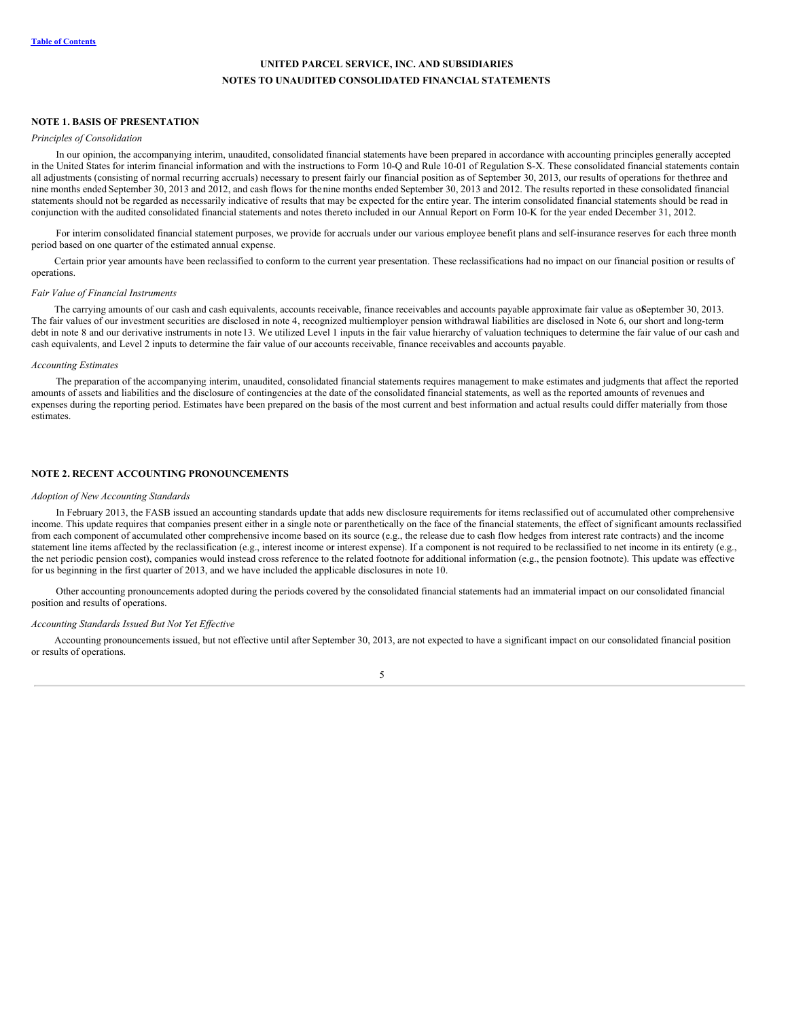### <span id="page-6-1"></span><span id="page-6-0"></span>**NOTE 1. BASIS OF PRESENTATION**

#### *Principles of Consolidation*

In our opinion, the accompanying interim, unaudited, consolidated financial statements have been prepared in accordance with accounting principles generally accepted in the United States for interim financial information and with the instructions to Form 10-Q and Rule 10-01 of Regulation S-X. These consolidated financial statements contain all adjustments (consisting of normal recurring accruals) necessary to present fairly our financial position as of September 30, 2013, our results of operations for the three and nine months ended September 30, 2013 and 2012, and cash flows for the nine months ended September 30, 2013 and 2012. The results reported in these consolidated financial statements should not be regarded as necessarily indicative of results that may be expected for the entire year. The interim consolidated financial statements should be read in conjunction with the audited consolidated financial statements and notes thereto included in our Annual Report on Form 10-K for the year ended December 31, 2012.

For interim consolidated financial statement purposes, we provide for accruals under our various employee benefit plans and self-insurance reserves for each three month period based on one quarter of the estimated annual expense.

Certain prior year amounts have been reclassified to conform to the current year presentation. These reclassifications had no impact on our financial position or results of operations.

#### *Fair Value of Financial Instruments*

The carrying amounts of our cash and cash equivalents, accounts receivable, finance receivables and accounts payable approximate fair value as o**September 30, 2013.** The fair values of our investment securities are disclosed in note 4, recognized multiemployer pension withdrawal liabilities are disclosed in Note 6, our short and long-term debt in note 8 and our derivative instruments in note 13. We utilized Level 1 inputs in the fair value hierarchy of valuation techniques to determine the fair value of our cash and cash equivalents, and Level 2 inputs to determine the fair value of our accounts receivable, finance receivables and accounts payable.

#### *Accounting Estimates*

The preparation of the accompanying interim, unaudited, consolidated financial statements requires management to make estimates and judgments that affect the reported amounts of assets and liabilities and the disclosure of contingencies at the date of the consolidated financial statements, as well as the reported amounts of revenues and expenses during the reporting period. Estimates have been prepared on the basis of the most current and best information and actual results could differ materially from those estimates.

# <span id="page-6-2"></span>**NOTE 2. RECENT ACCOUNTING PRONOUNCEMENTS**

#### *Adoption of New Accounting Standards*

In February 2013, the FASB issued an accounting standards update that adds new disclosure requirements for items reclassified out of accumulated other comprehensive income. This update requires that companies present either in a single note or parenthetically on the face of the financial statements, the effect of significant amounts reclassified from each component of accumulated other comprehensive income based on its source (e.g., the release due to cash flow hedges from interest rate contracts) and the income statement line items affected by the reclassification (e.g., interest income or interest expense). If a component is not required to be reclassified to net income in its entirety (e.g., the net periodic pension cost), companies would instead cross reference to the related footnote for additional information (e.g., the pension footnote). This update was effective for us beginning in the first quarter of 2013, and we have included the applicable disclosures in note 10.

Other accounting pronouncements adopted during the periods covered by the consolidated financial statements had an immaterial impact on our consolidated financial position and results of operations.

#### *Accounting Standards Issued But Not Yet Ef ective*

Accounting pronouncements issued, but not effective until after September 30, 2013, are not expected to have a significant impact on our consolidated financial position or results of operations.

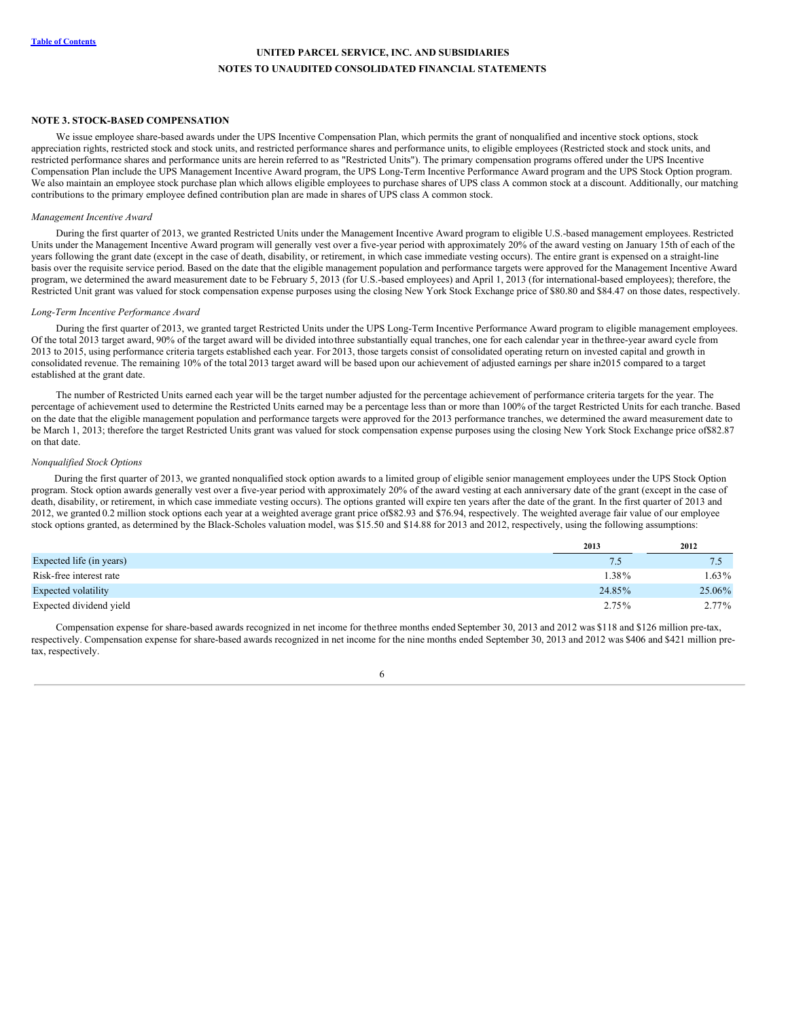# <span id="page-7-0"></span>**NOTE 3. STOCK-BASED COMPENSATION**

We issue employee share-based awards under the UPS Incentive Compensation Plan, which permits the grant of nonqualified and incentive stock options, stock appreciation rights, restricted stock and stock units, and restricted performance shares and performance units, to eligible employees (Restricted stock and stock units, and restricted performance shares and performance units are herein referred to as "Restricted Units"). The primary compensation programs offered under the UPS Incentive Compensation Plan include the UPS Management Incentive Award program, the UPS Long-Term Incentive Performance Award program and the UPS Stock Option program. We also maintain an employee stock purchase plan which allows eligible employees to purchase shares of UPS class A common stock at a discount. Additionally, our matching contributions to the primary employee defined contribution plan are made in shares of UPS class A common stock.

#### *Management Incentive Award*

During the first quarter of 2013, we granted Restricted Units under the Management Incentive Award program to eligible U.S.-based management employees. Restricted Units under the Management Incentive Award program will generally vest over a five-year period with approximately 20% of the award vesting on January 15th of each of the years following the grant date (except in the case of death, disability, or retirement, in which case immediate vesting occurs). The entire grant is expensed on a straight-line basis over the requisite service period. Based on the date that the eligible management population and performance targets were approved for the Management Incentive Award program, we determined the award measurement date to be February 5, 2013 (for U.S.-based employees) and April 1, 2013 (for international-based employees); therefore, the Restricted Unit grant was valued for stock compensation expense purposes using the closing New York Stock Exchange price of \$80.80 and \$84.47 on those dates, respectively.

#### *Long-Term Incentive Performance Award*

During the first quarter of 2013, we granted target Restricted Units under the UPS Long-Term Incentive Performance Award program to eligible management employees. Of the total 2013 target award, 90% of the target award will be divided intothree substantially equal tranches, one for each calendar year in thethree-year award cycle from 2013 to 2015, using performance criteria targets established each year. For 2013, those targets consist of consolidated operating return on invested capital and growth in consolidated revenue. The remaining 10% of the total 2013 target award will be based upon our achievement of adjusted earnings per share in2015 compared to a target established at the grant date.

The number of Restricted Units earned each year will be the target number adjusted for the percentage achievement of performance criteria targets for the year. The percentage of achievement used to determine the Restricted Units earned may be a percentage less than or more than 100% of the target Restricted Units for each tranche. Based on the date that the eligible management population and performance targets were approved for the 2013 performance tranches, we determined the award measurement date to be March 1, 2013; therefore the target Restricted Units grant was valued for stock compensation expense purposes using the closing New York Stock Exchange price of\$82.87 on that date.

#### *Nonqualified Stock Options*

During the first quarter of 2013, we granted nonqualified stock option awards to a limited group of eligible senior management employees under the UPS Stock Option program. Stock option awards generally vest over a five-year period with approximately 20% of the award vesting at each anniversary date of the grant (except in the case of death, disability, or retirement, in which case immediate vesting occurs). The options granted will expire ten years after the date of the grant. In the first quarter of 2013 and 2012, we granted 0.2 million stock options each year at a weighted average grant price of\$82.93 and \$76.94, respectively. The weighted average fair value of our employee stock options granted, as determined by the Black-Scholes valuation model, was \$15.50 and \$14.88 for 2013 and 2012, respectively, using the following assumptions:

|                            | 2013   | 2012     |
|----------------------------|--------|----------|
| Expected life (in years)   | 7.5    | 7.5      |
| Risk-free interest rate    | 1.38%  | 1.63%    |
| <b>Expected volatility</b> | 24.85% | 25.06%   |
| Expected dividend yield    | 2.75%  | $2.77\%$ |

Compensation expense for share-based awards recognized in net income for thethree months ended September 30, 2013 and 2012 was \$118 and \$126 million pre-tax, respectively. Compensation expense for share-based awards recognized in net income for the nine months ended September 30, 2013 and 2012 was \$406 and \$421 million pretax, respectively.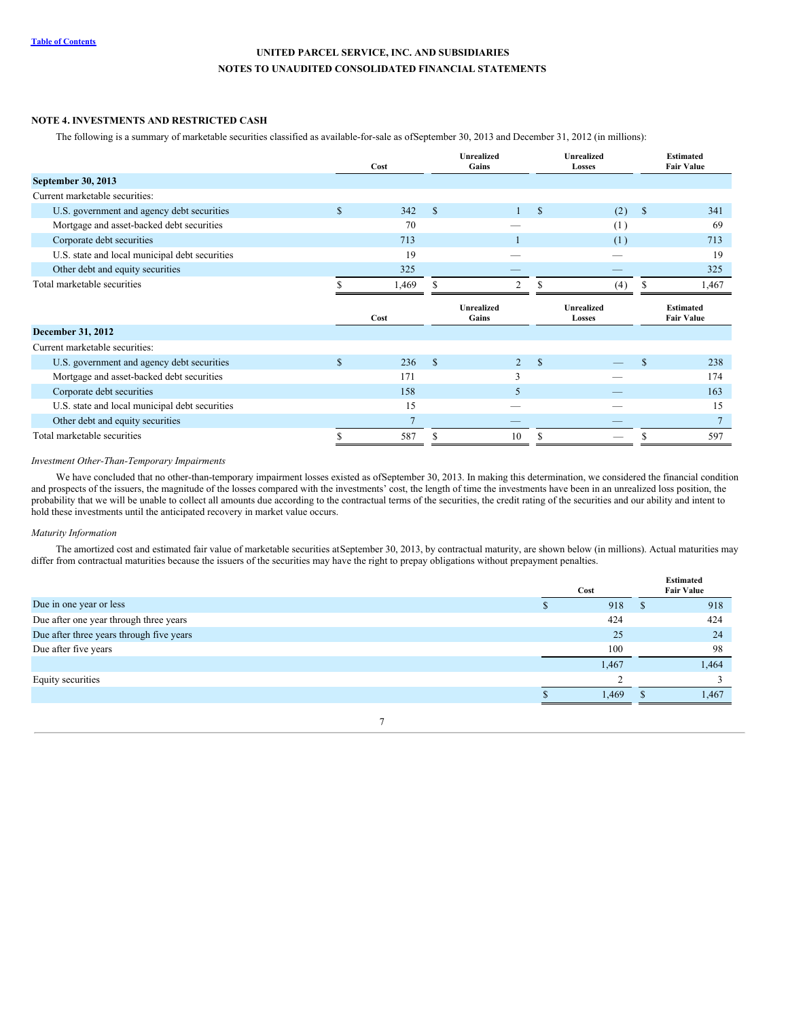# <span id="page-8-0"></span>**NOTE 4. INVESTMENTS AND RESTRICTED CASH**

The following is a summary of marketable securities classified as available-for-sale as ofSeptember 30, 2013 and December 31, 2012 (in millions):

|                                                |              | Cost           |              | <b>Unrealized</b><br>Gains |               | Unrealized<br>Losses        |               | <b>Estimated</b><br><b>Fair Value</b> |
|------------------------------------------------|--------------|----------------|--------------|----------------------------|---------------|-----------------------------|---------------|---------------------------------------|
| September 30, 2013                             |              |                |              |                            |               |                             |               |                                       |
| Current marketable securities:                 |              |                |              |                            |               |                             |               |                                       |
| U.S. government and agency debt securities     | \$           | 342            | $\mathbb{S}$ |                            | <sup>\$</sup> | (2)                         | $\mathbb{S}$  | 341                                   |
| Mortgage and asset-backed debt securities      |              | 70             |              |                            |               | (1)                         |               | -69                                   |
| Corporate debt securities                      |              | 713            |              |                            |               | (1)                         |               | 713                                   |
| U.S. state and local municipal debt securities |              | 19             |              |                            |               |                             |               | 19                                    |
| Other debt and equity securities               |              | 325            |              |                            |               |                             |               | 325                                   |
| Total marketable securities                    |              | 1,469          |              | 2                          |               | (4                          |               | 1,467                                 |
|                                                |              |                |              |                            |               |                             |               |                                       |
|                                                |              | Cost           |              | Unrealized<br>Gains        |               | Unrealized<br><b>Losses</b> |               | <b>Estimated</b><br><b>Fair Value</b> |
| December 31, 2012                              |              |                |              |                            |               |                             |               |                                       |
| Current marketable securities:                 |              |                |              |                            |               |                             |               |                                       |
| U.S. government and agency debt securities     | $\mathbb{S}$ | 236            | $\mathbf S$  | $\overline{2}$             | $\mathbf S$   |                             | $\mathcal{S}$ | 238                                   |
| Mortgage and asset-backed debt securities      |              | 171            |              | 3                          |               |                             |               | 174                                   |
| Corporate debt securities                      |              | 158            |              | 5                          |               |                             |               | 163                                   |
| U.S. state and local municipal debt securities |              | 15             |              |                            |               |                             |               | 15                                    |
| Other debt and equity securities               |              | $\overline{7}$ |              |                            |               |                             |               |                                       |

### *Investment Other-Than-Temporary Impairments*

We have concluded that no other-than-temporary impairment losses existed as ofSeptember 30, 2013. In making this determination, we considered the financial condition and prospects of the issuers, the magnitude of the losses compared with the investments' cost, the length of time the investments have been in an unrealized loss position, the probability that we will be unable to collect all amounts due according to the contractual terms of the securities, the credit rating of the securities and our ability and intent to hold these investments until the anticipated recovery in market value occurs.

### *Maturity Information*

The amortized cost and estimated fair value of marketable securities atSeptember 30, 2013, by contractual maturity, are shown below (in millions). Actual maturities may differ from contractual maturities because the issuers of the securities may have the right to prepay obligations without prepayment penalties.

|                                          | Cost  |               | <b>Estimated</b><br><b>Fair Value</b> |
|------------------------------------------|-------|---------------|---------------------------------------|
| Due in one year or less                  | 918   | <sup>\$</sup> | 918                                   |
| Due after one year through three years   | 424   |               | 424                                   |
| Due after three years through five years | 25    |               | 24                                    |
| Due after five years                     | 100   |               | 98                                    |
|                                          | 1,467 |               | 1,464                                 |
| Equity securities                        |       |               |                                       |
|                                          | 1.469 |               | 1.467                                 |
|                                          |       |               |                                       |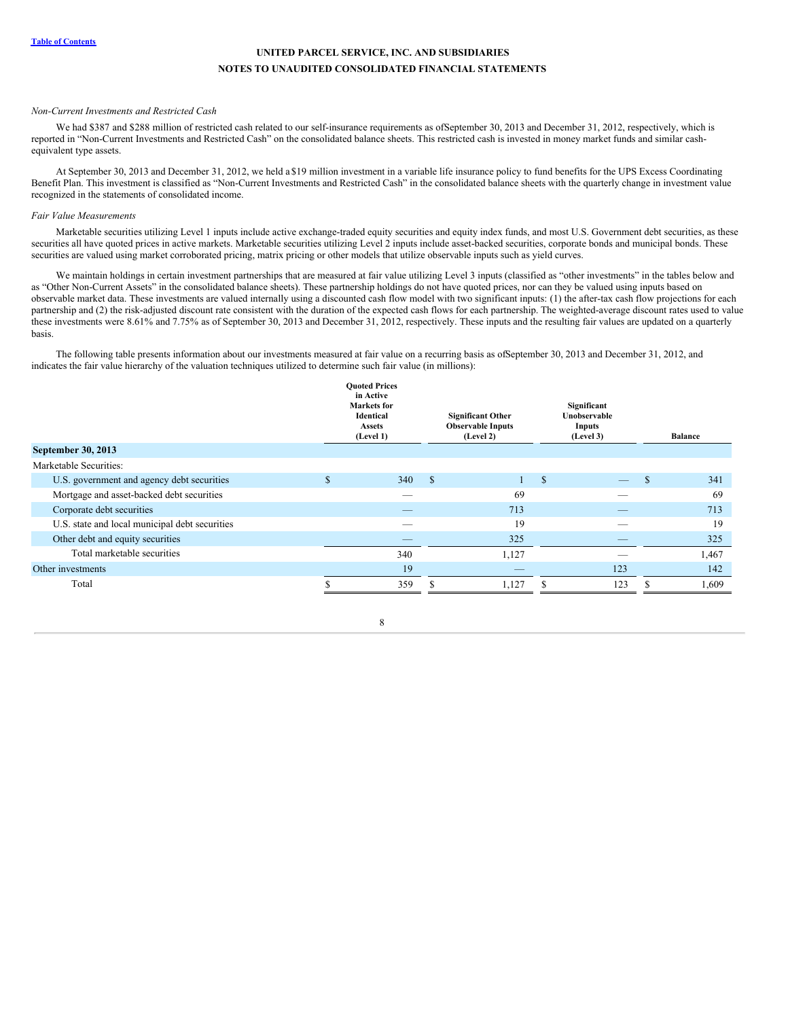### *Non-Current Investments and Restricted Cash*

We had \$387 and \$288 million of restricted cash related to our self-insurance requirements as ofSeptember 30, 2013 and December 31, 2012, respectively, which is reported in "Non-Current Investments and Restricted Cash" on the consolidated balance sheets. This restricted cash is invested in money market funds and similar cashequivalent type assets.

At September 30, 2013 and December 31, 2012, we held a \$19 million investment in a variable life insurance policy to fund benefits for the UPS Excess Coordinating Benefit Plan. This investment is classified as "Non-Current Investments and Restricted Cash" in the consolidated balance sheets with the quarterly change in investment value recognized in the statements of consolidated income.

#### *Fair Value Measurements*

Marketable securities utilizing Level 1 inputs include active exchange-traded equity securities and equity index funds, and most U.S. Government debt securities, as these securities all have quoted prices in active markets. Marketable securities utilizing Level 2 inputs include asset-backed securities, corporate bonds and municipal bonds. These securities are valued using market corroborated pricing, matrix pricing or other models that utilize observable inputs such as yield curves.

We maintain holdings in certain investment partnerships that are measured at fair value utilizing Level 3 inputs (classified as "other investments" in the tables below and as "Other Non-Current Assets" in the consolidated balance sheets). These partnership holdings do not have quoted prices, nor can they be valued using inputs based on observable market data. These investments are valued internally using a discounted cash flow model with two significant inputs: (1) the after-tax cash flow projections for each partnership and (2) the risk-adjusted discount rate consistent with the duration of the expected cash flows for each partnership. The weighted-average discount rates used to value these investments were 8.61% and 7.75% as of September 30, 2013 and December 31, 2012, respectively. These inputs and the resulting fair values are updated on a quarterly basis.

The following table presents information about our investments measured at fair value on a recurring basis as ofSeptember 30, 2013 and December 31, 2012, and indicates the fair value hierarchy of the valuation techniques utilized to determine such fair value (in millions):

|                                                |     | <b>Ouoted Prices</b><br>in Active<br><b>Markets</b> for<br><b>Identical</b><br><b>Assets</b><br>(Level 1) |               | <b>Significant Other</b><br><b>Observable Inputs</b><br>(Level 2) |               | Significant<br>Unobservable<br>Inputs<br>(Level 3) |          | <b>Balance</b> |
|------------------------------------------------|-----|-----------------------------------------------------------------------------------------------------------|---------------|-------------------------------------------------------------------|---------------|----------------------------------------------------|----------|----------------|
| <b>September 30, 2013</b>                      |     |                                                                                                           |               |                                                                   |               |                                                    |          |                |
| Marketable Securities:                         |     |                                                                                                           |               |                                                                   |               |                                                    |          |                |
| U.S. government and agency debt securities     | \$. | 340                                                                                                       | <sup>\$</sup> |                                                                   | <sup>\$</sup> |                                                    | <b>S</b> | 341            |
| Mortgage and asset-backed debt securities      |     |                                                                                                           |               | 69                                                                |               |                                                    |          | 69             |
| Corporate debt securities                      |     |                                                                                                           |               | 713                                                               |               |                                                    |          | 713            |
| U.S. state and local municipal debt securities |     |                                                                                                           |               | 19                                                                |               |                                                    |          | 19             |
| Other debt and equity securities               |     |                                                                                                           |               | 325                                                               |               |                                                    |          | 325            |
| Total marketable securities                    |     | 340                                                                                                       |               | 1,127                                                             |               |                                                    |          | 1,467          |
| Other investments                              |     | 19                                                                                                        |               |                                                                   |               | 123                                                |          | 142            |
| Total                                          |     | 359                                                                                                       |               | 1,127                                                             |               | 123                                                |          | 1,609          |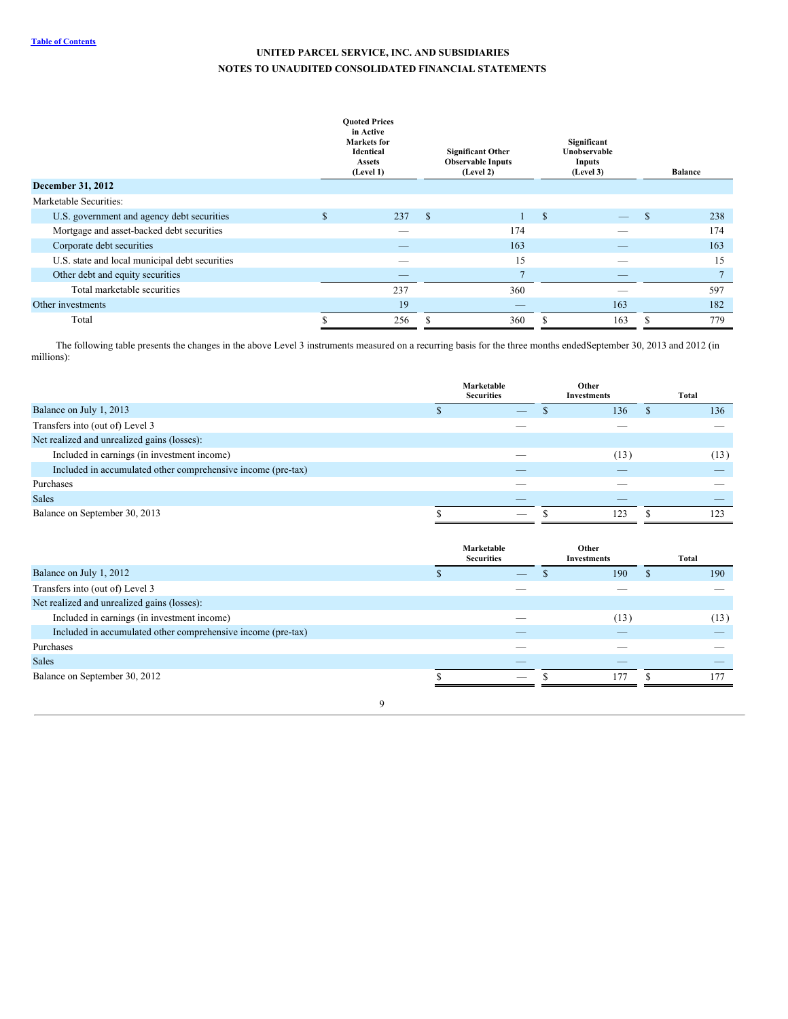|                                                |   | <b>Ouoted Prices</b><br>in Active<br><b>Markets</b> for<br>Identical<br><b>Assets</b><br>(Level 1) |              | <b>Significant Other</b><br><b>Observable Inputs</b><br>(Level 2) |              | Significant<br>Unobservable<br>Inputs<br>(Level 3) |          | <b>Balance</b> |
|------------------------------------------------|---|----------------------------------------------------------------------------------------------------|--------------|-------------------------------------------------------------------|--------------|----------------------------------------------------|----------|----------------|
| December 31, 2012                              |   |                                                                                                    |              |                                                                   |              |                                                    |          |                |
| Marketable Securities:                         |   |                                                                                                    |              |                                                                   |              |                                                    |          |                |
| U.S. government and agency debt securities     | S | 237                                                                                                | $\mathbb{S}$ |                                                                   | $\mathbf{s}$ |                                                    | <b>S</b> | 238            |
| Mortgage and asset-backed debt securities      |   |                                                                                                    |              | 174                                                               |              |                                                    |          | 174            |
| Corporate debt securities                      |   |                                                                                                    |              | 163                                                               |              |                                                    |          | 163            |
| U.S. state and local municipal debt securities |   |                                                                                                    |              | 15                                                                |              |                                                    |          | 15             |
| Other debt and equity securities               |   | _                                                                                                  |              |                                                                   |              | _                                                  |          |                |
| Total marketable securities                    |   | 237                                                                                                |              | 360                                                               |              |                                                    |          | 597            |
| Other investments                              |   | 19                                                                                                 |              | $\overline{\phantom{a}}$                                          |              | 163                                                |          | 182            |
| Total                                          |   | 256                                                                                                |              | 360                                                               |              | 163                                                |          | 779            |

The following table presents the changes in the above Level 3 instruments measured on a recurring basis for the three months endedSeptember 30, 2013 and 2012 (in millions):

|                                                              | Marketable<br><b>Securities</b> |   | Other<br>Investments |   | Total |
|--------------------------------------------------------------|---------------------------------|---|----------------------|---|-------|
| Balance on July 1, 2013                                      |                                 | _ | 136                  | S | 136   |
| Transfers into (out of) Level 3                              |                                 |   |                      |   |       |
| Net realized and unrealized gains (losses):                  |                                 |   |                      |   |       |
| Included in earnings (in investment income)                  |                                 |   | (13)                 |   | (13)  |
| Included in accumulated other comprehensive income (pre-tax) |                                 |   |                      |   |       |
| Purchases                                                    |                                 |   |                      |   |       |
| <b>Sales</b>                                                 |                                 | _ | _                    |   |       |
| Balance on September 30, 2013                                |                                 | _ |                      |   | 123   |

|                          |                                 | Other |             | Total |
|--------------------------|---------------------------------|-------|-------------|-------|
| $\overline{\phantom{a}}$ |                                 | 190   | S           | 190   |
| $\overline{\phantom{a}}$ |                                 |       |             |       |
|                          |                                 |       |             |       |
|                          |                                 | (13)  |             | (13)  |
|                          |                                 |       |             |       |
|                          |                                 |       |             |       |
|                          |                                 |       |             |       |
| _                        |                                 | 177   |             | 177   |
|                          |                                 |       |             |       |
|                          | Marketable<br><b>Securities</b> |       | Investments |       |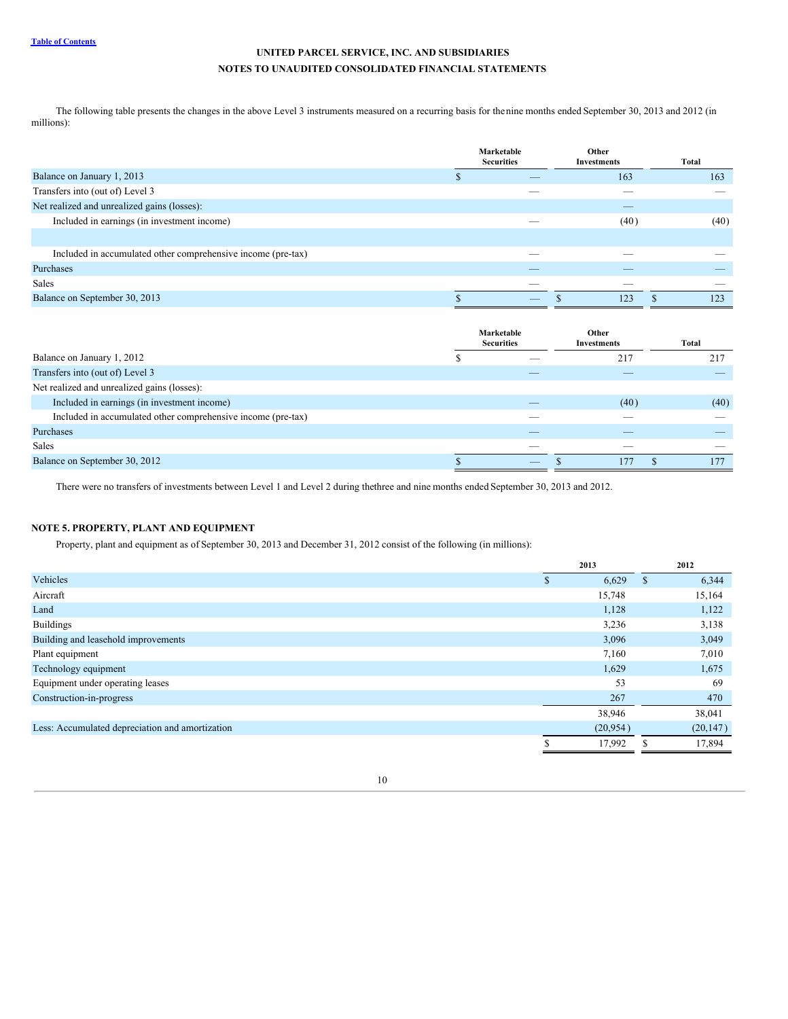The following table presents the changes in the above Level 3 instruments measured on a recurring basis for thenine months ended September 30, 2013 and 2012 (in millions):

|                                                              | Marketable<br><b>Securities</b> | Other<br><b>Investments</b> | Total |
|--------------------------------------------------------------|---------------------------------|-----------------------------|-------|
| Balance on January 1, 2013                                   | _                               | 163                         | 163   |
| Transfers into (out of) Level 3                              |                                 |                             |       |
| Net realized and unrealized gains (losses):                  |                                 | $\overline{\phantom{a}}$    |       |
| Included in earnings (in investment income)                  |                                 | (40)                        | (40)  |
|                                                              |                                 |                             |       |
| Included in accumulated other comprehensive income (pre-tax) | $\sim$                          |                             |       |
| Purchases                                                    |                                 |                             |       |
| <b>Sales</b>                                                 | -                               | -                           |       |
| Balance on September 30, 2013                                | $-$                             | 123                         | 123   |

|                                                              | Marketable<br><b>Securities</b> | Other<br>Investments | Total                    |
|--------------------------------------------------------------|---------------------------------|----------------------|--------------------------|
| Balance on January 1, 2012                                   |                                 | 217                  | 217                      |
| Transfers into (out of) Level 3                              |                                 |                      |                          |
| Net realized and unrealized gains (losses):                  |                                 |                      |                          |
| Included in earnings (in investment income)                  |                                 | (40)                 | (40)                     |
| Included in accumulated other comprehensive income (pre-tax) |                                 | ____                 |                          |
| Purchases                                                    |                                 |                      |                          |
| <b>Sales</b>                                                 | $\overline{\phantom{a}}$        | $-$                  | $\overline{\phantom{a}}$ |
| Balance on September 30, 2012                                | $-$                             | 177                  | 177<br>Ф                 |
|                                                              |                                 |                      |                          |

<span id="page-11-0"></span>There were no transfers of investments between Level 1 and Level 2 during thethree and nine months ended September 30, 2013 and 2012.

# **NOTE 5. PROPERTY, PLANT AND EQUIPMENT**

Property, plant and equipment as of September 30, 2013 and December 31, 2012 consist of the following (in millions):

|                                                 | 2013 |           |               | 2012      |
|-------------------------------------------------|------|-----------|---------------|-----------|
| Vehicles                                        |      | 6,629     | <sup>\$</sup> | 6,344     |
| Aircraft                                        |      | 15,748    |               | 15,164    |
| Land                                            |      | 1,128     |               | 1,122     |
| <b>Buildings</b>                                |      | 3,236     |               | 3,138     |
| Building and leasehold improvements             |      | 3,096     |               | 3,049     |
| Plant equipment                                 |      | 7,160     |               | 7,010     |
| Technology equipment                            |      | 1,629     |               | 1,675     |
| Equipment under operating leases                |      | 53        |               | 69        |
| Construction-in-progress                        |      | 267       |               | 470       |
|                                                 |      | 38,946    |               | 38,041    |
| Less: Accumulated depreciation and amortization |      | (20, 954) |               | (20, 147) |
|                                                 |      | 17,992    | S             | 17,894    |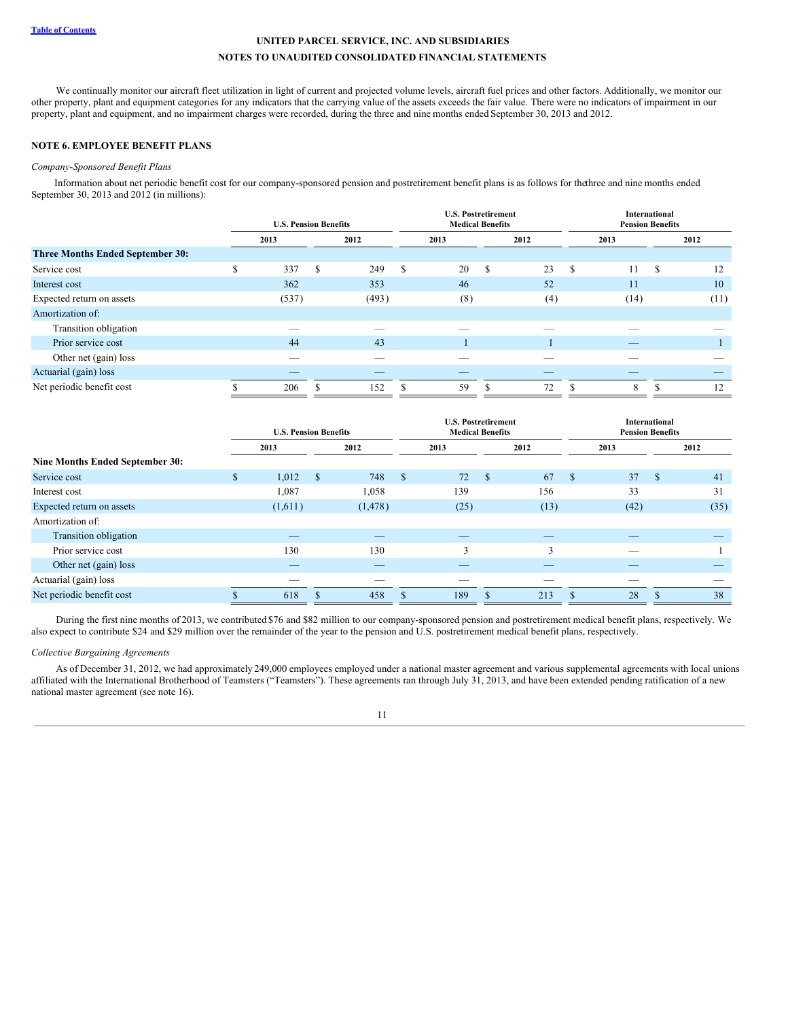We continually monitor our aircraft fleet utilization in light of current and projected volume levels, aircraft fuel prices and other factors. Additionally, we monitor our other property, plant and equipment categories for any indicators that the carrying value of the assets exceeds the fair value. There were no indicators of impairment in our property, plant and equipment, and no impairment charges were recorded, during the three and nine months ended September 30, 2013 and 2012.

### <span id="page-12-0"></span>**NOTE 6. EMPLOYEE BENEFIT PLANS**

#### *Company-Sponsored Benefit Plans*

Information about net periodic benefit cost for our company-sponsored pension and postretirement benefit plans is as follows for thethree and nine months ended September 30, 2013 and 2012 (in millions):

|                                         | <b>U.S. Pension Benefits</b> |       |   | <b>U.S. Postretirement</b><br><b>Medical Benefits</b> |   |      |               | <b>International</b><br><b>Pension Benefits</b> |               |      |   |      |
|-----------------------------------------|------------------------------|-------|---|-------------------------------------------------------|---|------|---------------|-------------------------------------------------|---------------|------|---|------|
|                                         |                              | 2013  |   | 2012                                                  |   | 2013 |               | 2012                                            |               | 2013 |   | 2012 |
| <b>Three Months Ended September 30:</b> |                              |       |   |                                                       |   |      |               |                                                 |               |      |   |      |
| Service cost                            | S                            | 337   | S | 249                                                   | S | 20   | <sup>\$</sup> | 23                                              | <sup>\$</sup> | 11   | S | 12   |
| Interest cost                           |                              | 362   |   | 353                                                   |   | 46   |               | 52                                              |               | 11   |   | 10   |
| Expected return on assets               |                              | (537) |   | (493)                                                 |   | (8)  |               | (4)                                             |               | (14) |   | (11) |
| Amortization of:                        |                              |       |   |                                                       |   |      |               |                                                 |               |      |   |      |
| Transition obligation                   |                              | __    |   |                                                       |   |      |               |                                                 |               |      |   |      |
| Prior service cost                      |                              | 44    |   | 43                                                    |   |      |               |                                                 |               |      |   |      |
| Other net (gain) loss                   |                              | --    |   |                                                       |   |      |               |                                                 |               |      |   |      |
| Actuarial (gain) loss                   |                              | _     |   |                                                       |   | _    |               |                                                 |               |      |   |      |
| Net periodic benefit cost               |                              | 206   |   | 152                                                   | S | 59   |               | 72                                              |               | 8    |   | 12   |

|                                        |              | <b>U.S. Pension Benefits</b> |              |          | <b>U.S. Postretirement</b><br><b>Medical Benefits</b> |      |    |      | International<br><b>Pension Benefits</b> |      |      |      |
|----------------------------------------|--------------|------------------------------|--------------|----------|-------------------------------------------------------|------|----|------|------------------------------------------|------|------|------|
|                                        |              | 2013                         |              | 2012     |                                                       | 2013 |    | 2012 |                                          | 2013 |      | 2012 |
| <b>Nine Months Ended September 30:</b> |              |                              |              |          |                                                       |      |    |      |                                          |      |      |      |
| Service cost                           | $\mathbb{S}$ | 1,012                        | $\mathbb{S}$ | 748      | <sup>S</sup>                                          | 72   | -S | 67   | <b>S</b>                                 | 37   | - \$ | 41   |
| Interest cost                          |              | 1,087                        |              | 1,058    |                                                       | 139  |    | 156  |                                          | 33   |      | 31   |
| Expected return on assets              |              | (1,611)                      |              | (1, 478) |                                                       | (25) |    | (13) |                                          | (42) |      | (35) |
| Amortization of:                       |              |                              |              |          |                                                       |      |    |      |                                          |      |      |      |
| <b>Transition obligation</b>           |              | _                            |              | $-$      |                                                       | _    |    | _    |                                          |      |      |      |
| Prior service cost                     |              | 130                          |              | 130      |                                                       | 3    |    | 3    |                                          |      |      |      |
| Other net (gain) loss                  |              | _                            |              |          |                                                       |      |    |      |                                          |      |      |      |
| Actuarial (gain) loss                  |              |                              |              |          |                                                       |      |    |      |                                          |      |      |      |
| Net periodic benefit cost              |              | 618                          |              | 458      | O                                                     | 189  |    | 213  |                                          | 28   |      | 38   |

During the first nine months of 2013, we contributed \$76 and \$82 million to our company-sponsored pension and postretirement medical benefit plans, respectively. We also expect to contribute \$24 and \$29 million over the remainder of the year to the pension and U.S. postretirement medical benefit plans, respectively.

#### *Collective Bargaining Agreements*

As of December 31, 2012, we had approximately 249,000 employees employed under a national master agreement and various supplemental agreements with local unions affiliated with the International Brotherhood of Teamsters ("Teamsters"). These agreements ran through July 31, 2013, and have been extended pending ratification of a new national master agreement (see note 16).

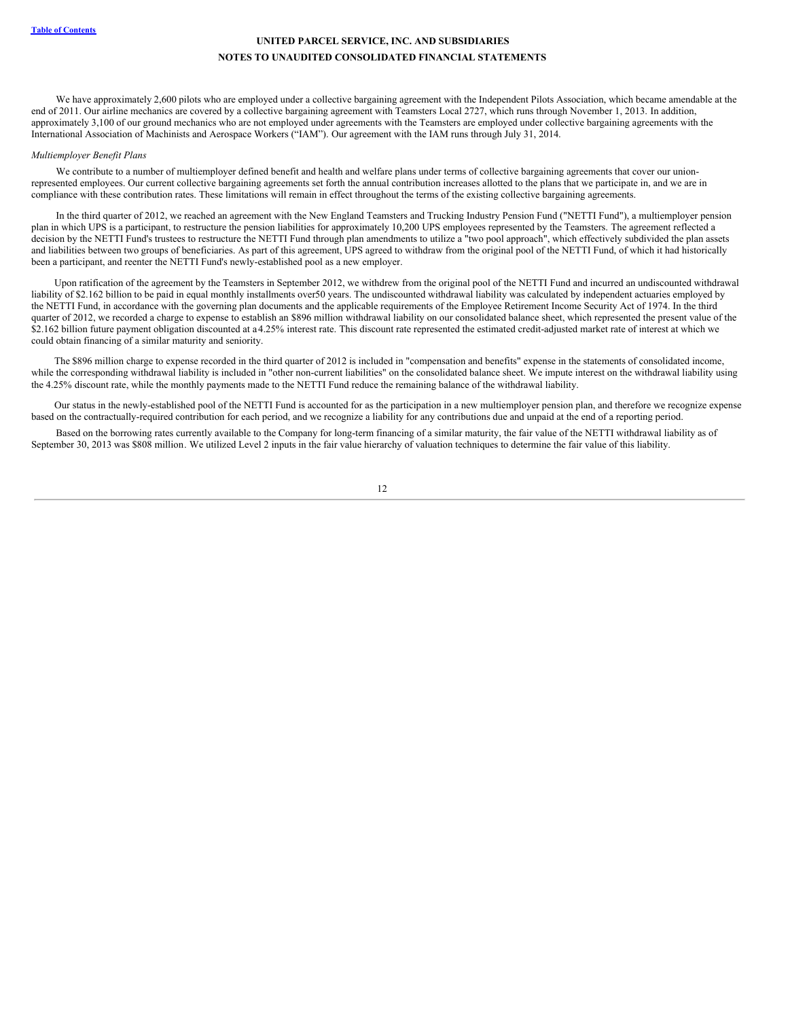We have approximately 2,600 pilots who are employed under a collective bargaining agreement with the Independent Pilots Association, which became amendable at the end of 2011. Our airline mechanics are covered by a collective bargaining agreement with Teamsters Local 2727, which runs through November 1, 2013. In addition, approximately 3,100 of our ground mechanics who are not employed under agreements with the Teamsters are employed under collective bargaining agreements with the International Association of Machinists and Aerospace Workers ("IAM"). Our agreement with the IAM runs through July 31, 2014.

#### *Multiemployer Benefit Plans*

We contribute to a number of multiemployer defined benefit and health and welfare plans under terms of collective bargaining agreements that cover our unionrepresented employees. Our current collective bargaining agreements set forth the annual contribution increases allotted to the plans that we participate in, and we are in compliance with these contribution rates. These limitations will remain in effect throughout the terms of the existing collective bargaining agreements.

In the third quarter of 2012, we reached an agreement with the New England Teamsters and Trucking Industry Pension Fund ("NETTI Fund"), a multiemployer pension plan in which UPS is a participant, to restructure the pension liabilities for approximately 10,200 UPS employees represented by the Teamsters. The agreement reflected a decision by the NETTI Fund's trustees to restructure the NETTI Fund through plan amendments to utilize a "two pool approach", which effectively subdivided the plan assets and liabilities between two groups of beneficiaries. As part of this agreement, UPS agreed to withdraw from the original pool of the NETTI Fund, of which it had historically been a participant, and reenter the NETTI Fund's newly-established pool as a new employer.

Upon ratification of the agreement by the Teamsters in September 2012, we withdrew from the original pool of the NETTI Fund and incurred an undiscounted withdrawal liability of \$2.162 billion to be paid in equal monthly installments over50 years. The undiscounted withdrawal liability was calculated by independent actuaries employed by the NETTI Fund, in accordance with the governing plan documents and the applicable requirements of the Employee Retirement Income Security Act of 1974. In the third quarter of 2012, we recorded a charge to expense to establish an \$896 million withdrawal liability on our consolidated balance sheet, which represented the present value of the \$2.162 billion future payment obligation discounted at a 4.25% interest rate. This discount rate represented the estimated credit-adjusted market rate of interest at which we could obtain financing of a similar maturity and seniority.

The \$896 million charge to expense recorded in the third quarter of 2012 is included in "compensation and benefits" expense in the statements of consolidated income, while the corresponding withdrawal liability is included in "other non-current liabilities" on the consolidated balance sheet. We impute interest on the withdrawal liability using the 4.25% discount rate, while the monthly payments made to the NETTI Fund reduce the remaining balance of the withdrawal liability.

Our status in the newly-established pool of the NETTI Fund is accounted for as the participation in a new multiemployer pension plan, and therefore we recognize expense based on the contractually-required contribution for each period, and we recognize a liability for any contributions due and unpaid at the end of a reporting period.

Based on the borrowing rates currently available to the Company for long-term financing of a similar maturity, the fair value of the NETTI withdrawal liability as of September 30, 2013 was \$808 million. We utilized Level 2 inputs in the fair value hierarchy of valuation techniques to determine the fair value of this liability.

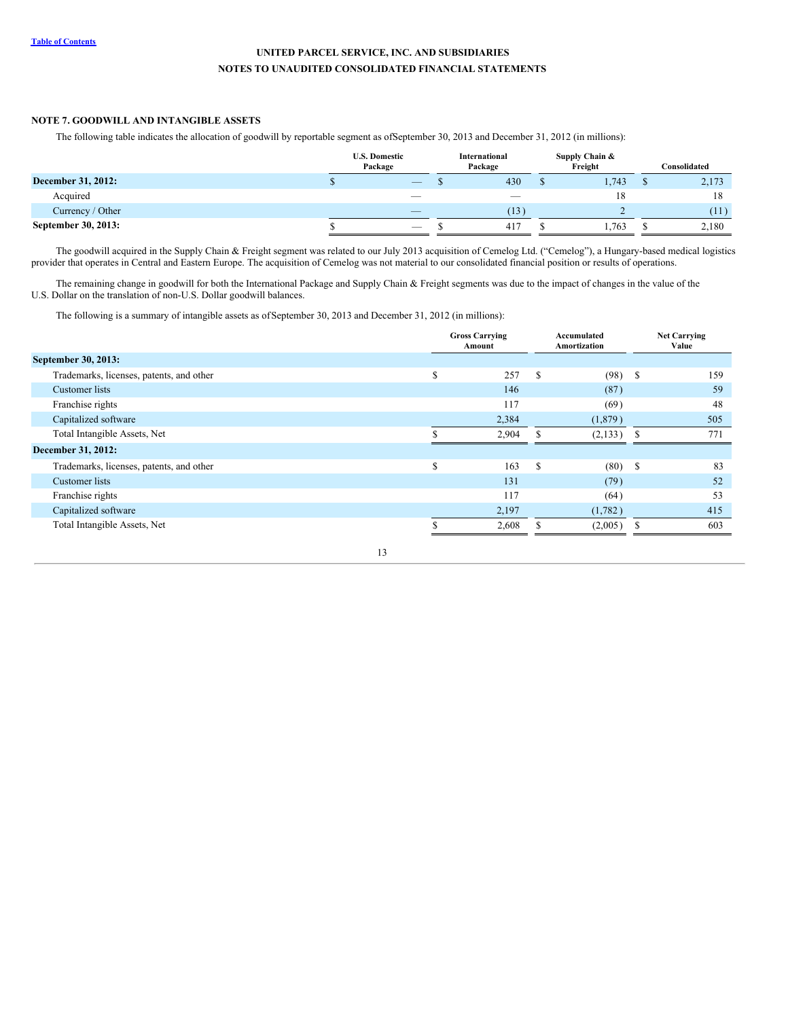# <span id="page-14-0"></span>**NOTE 7. GOODWILL AND INTANGIBLE ASSETS**

The following table indicates the allocation of goodwill by reportable segment as ofSeptember 30, 2013 and December 31, 2012 (in millions):

|                           | <b>U.S. Domestic</b><br>International<br>Package<br>Package |                                | Supply Chain &<br>Freight |  |       | Consolidated |       |  |
|---------------------------|-------------------------------------------------------------|--------------------------------|---------------------------|--|-------|--------------|-------|--|
| <b>December 31, 2012:</b> |                                                             | $\overline{\phantom{a}}$       | 430                       |  | 1,743 |              | 2,173 |  |
| Acquired                  |                                                             | $\overline{\phantom{a}}$       |                           |  | 18    |              | 18    |  |
| Currency / Other          |                                                             | $\overline{\phantom{a}}$       | (13)                      |  |       |              | (11)  |  |
| September 30, 2013:       |                                                             | $\overbrace{\hspace{25mm}}^{}$ | 417                       |  | 1.763 |              | 2,180 |  |

The goodwill acquired in the Supply Chain & Freight segment was related to our July 2013 acquisition of Cemelog Ltd. ("Cemelog"), a Hungary-based medical logistics provider that operates in Central and Eastern Europe. The acquisition of Cemelog was not material to our consolidated financial position or results of operations.

The remaining change in goodwill for both the International Package and Supply Chain & Freight segments was due to the impact of changes in the value of the U.S. Dollar on the translation of non-U.S. Dollar goodwill balances.

The following is a summary of intangible assets as ofSeptember 30, 2013 and December 31, 2012 (in millions):

|                                          | <b>Gross Carrying</b><br>Amount |       |    | Accumulated<br>Amortization |     | <b>Net Carrying</b><br>Value |
|------------------------------------------|---------------------------------|-------|----|-----------------------------|-----|------------------------------|
| September 30, 2013:                      |                                 |       |    |                             |     |                              |
| Trademarks, licenses, patents, and other | S                               | 257   | S  | (98)                        | -S  | 159                          |
| Customer lists                           |                                 | 146   |    | (87)                        |     | 59                           |
| Franchise rights                         |                                 | 117   |    | (69)                        |     | 48                           |
| Capitalized software                     |                                 | 2,384 |    | (1,879)                     |     | 505                          |
| Total Intangible Assets, Net             |                                 | 2,904 | £. | (2,133)                     |     | 771                          |
| December 31, 2012:                       |                                 |       |    |                             |     |                              |
| Trademarks, licenses, patents, and other | \$                              | 163   | S  | (80)                        | - S | 83                           |
| Customer lists                           |                                 | 131   |    | (79)                        |     | 52                           |
| Franchise rights                         |                                 | 117   |    | (64)                        |     | 53                           |
| Capitalized software                     |                                 | 2,197 |    | (1,782)                     |     | 415                          |
| Total Intangible Assets, Net             |                                 | 2,608 |    | (2,005)                     |     | 603                          |
|                                          |                                 |       |    |                             |     |                              |

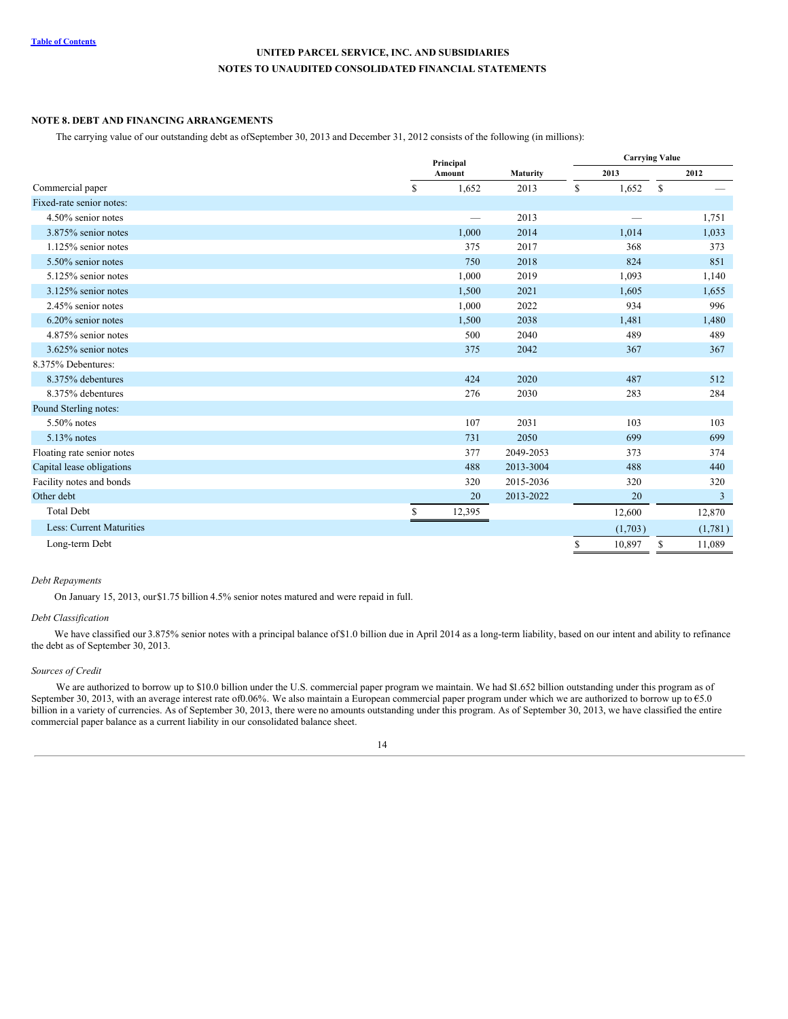# <span id="page-15-0"></span>**NOTE 8. DEBT AND FINANCING ARRANGEMENTS**

The carrying value of our outstanding debt as ofSeptember 30, 2013 and December 31, 2012 consists of the following (in millions):

|                            |               | Principal |           |      |         | <b>Carrying Value</b> |         |  |
|----------------------------|---------------|-----------|-----------|------|---------|-----------------------|---------|--|
|                            |               | Amount    | Maturity  | 2013 |         |                       | 2012    |  |
| Commercial paper           | <sup>\$</sup> | 1,652     | 2013      | \$   | 1,652   | <sup>\$</sup>         |         |  |
| Fixed-rate senior notes:   |               |           |           |      |         |                       |         |  |
| 4.50% senior notes         |               | -         | 2013      |      |         |                       | 1,751   |  |
| 3.875% senior notes        |               | 1,000     | 2014      |      | 1,014   |                       | 1,033   |  |
| 1.125% senior notes        |               | 375       | 2017      |      | 368     |                       | 373     |  |
| 5.50% senior notes         |               | 750       | 2018      |      | 824     |                       | 851     |  |
| 5.125% senior notes        |               | 1,000     | 2019      |      | 1,093   |                       | 1,140   |  |
| 3.125% senior notes        |               | 1,500     | 2021      |      | 1,605   |                       | 1,655   |  |
| 2.45% senior notes         |               | 1,000     | 2022      |      | 934     |                       | 996     |  |
| 6.20% senior notes         |               | 1,500     | 2038      |      | 1,481   |                       | 1,480   |  |
| 4.875% senior notes        |               | 500       | 2040      |      | 489     |                       | 489     |  |
| 3.625% senior notes        |               | 375       | 2042      |      | 367     |                       | 367     |  |
| 8.375% Debentures:         |               |           |           |      |         |                       |         |  |
| 8.375% debentures          |               | 424       | 2020      |      | 487     |                       | 512     |  |
| 8.375% debentures          |               | 276       | 2030      |      | 283     |                       | 284     |  |
| Pound Sterling notes:      |               |           |           |      |         |                       |         |  |
| $5.50\%$ notes             |               | 107       | 2031      |      | 103     |                       | 103     |  |
| $5.13\%$ notes             |               | 731       | 2050      |      | 699     |                       | 699     |  |
| Floating rate senior notes |               | 377       | 2049-2053 |      | 373     |                       | 374     |  |
| Capital lease obligations  |               | 488       | 2013-3004 |      | 488     |                       | 440     |  |
| Facility notes and bonds   |               | 320       | 2015-2036 |      | 320     |                       | 320     |  |
| Other debt                 |               | 20        | 2013-2022 |      | 20      |                       | 3       |  |
| <b>Total Debt</b>          | \$            | 12,395    |           |      | 12,600  |                       | 12,870  |  |
| Less: Current Maturities   |               |           |           |      | (1,703) |                       | (1,781) |  |
| Long-term Debt             |               |           |           | \$   | 10,897  | \$                    | 11,089  |  |
|                            |               |           |           |      |         |                       |         |  |

#### *Debt Repayments*

On January 15, 2013, our\$1.75 billion 4.5% senior notes matured and were repaid in full.

#### *Debt Classification*

We have classified our 3.875% senior notes with a principal balance of \$1.0 billion due in April 2014 as a long-term liability, based on our intent and ability to refinance the debt as of September 30, 2013.

### *Sources of Credit*

We are authorized to borrow up to \$10.0 billion under the U.S. commercial paper program we maintain. We had \$1.652 billion outstanding under this program as of September 30, 2013, with an average interest rate of0.06%. We also maintain a European commercial paper program under which we are authorized to borrow up to €5.0 billion in a variety of currencies. As of September 30, 2013, there were no amounts outstanding under this program. As of September 30, 2013, we have classified the entire commercial paper balance as a current liability in our consolidated balance sheet.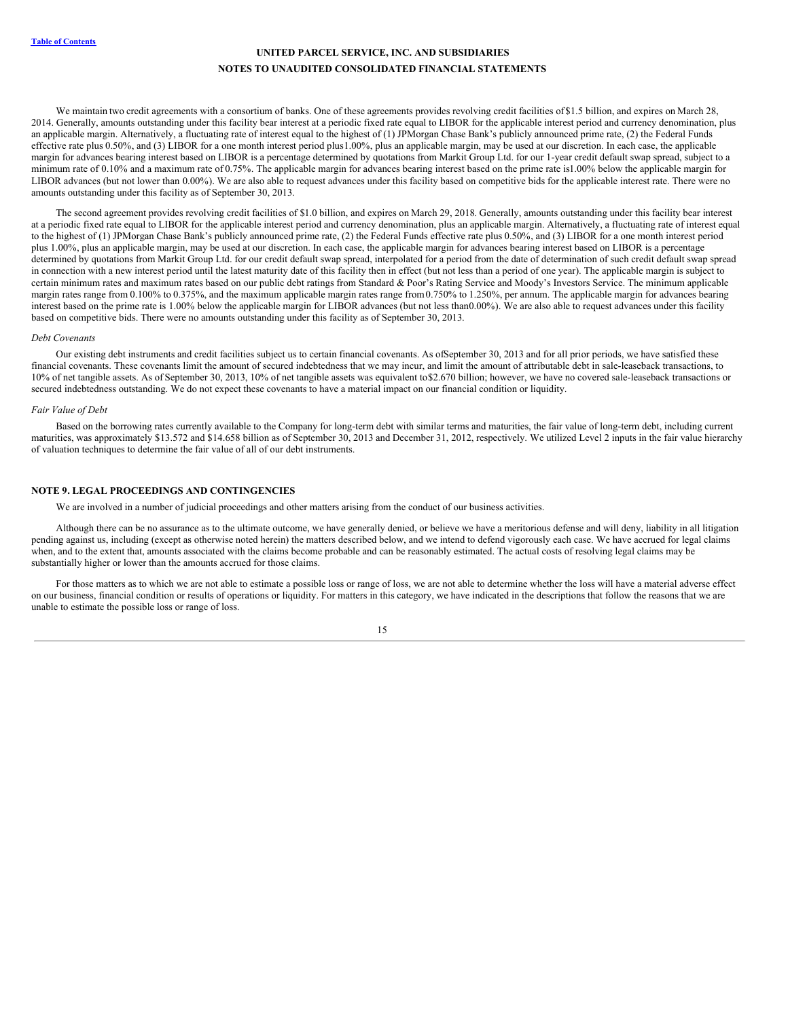We maintain two credit agreements with a consortium of banks. One of these agreements provides revolving credit facilities of \$1.5 billion, and expires on March 28, 2014. Generally, amounts outstanding under this facility bear interest at a periodic fixed rate equal to LIBOR for the applicable interest period and currency denomination, plus an applicable margin. Alternatively, a fluctuating rate of interest equal to the highest of (1) JPMorgan Chase Bank's publicly announced prime rate, (2) the Federal Funds effective rate plus 0.50%, and (3) LIBOR for a one month interest period plus1.00%, plus an applicable margin, may be used at our discretion. In each case, the applicable margin for advances bearing interest based on LIBOR is a percentage determined by quotations from Markit Group Ltd. for our 1-year credit default swap spread, subject to a minimum rate of 0.10% and a maximum rate of 0.75%. The applicable margin for advances bearing interest based on the prime rate is1.00% below the applicable margin for LIBOR advances (but not lower than 0.00%). We are also able to request advances under this facility based on competitive bids for the applicable interest rate. There were no amounts outstanding under this facility as of September 30, 2013.

The second agreement provides revolving credit facilities of \$1.0 billion, and expires on March 29, 2018. Generally, amounts outstanding under this facility bear interest at a periodic fixed rate equal to LIBOR for the applicable interest period and currency denomination, plus an applicable margin. Alternatively, a fluctuating rate of interest equal to the highest of (1) JPMorgan Chase Bank's publicly announced prime rate, (2) the Federal Funds effective rate plus 0.50%, and (3) LIBOR for a one month interest period plus 1.00%, plus an applicable margin, may be used at our discretion. In each case, the applicable margin for advances bearing interest based on LIBOR is a percentage determined by quotations from Markit Group Ltd. for our credit default swap spread, interpolated for a period from the date of determination of such credit default swap spread in connection with a new interest period until the latest maturity date of this facility then in effect (but not less than a period of one year). The applicable margin is subject to certain minimum rates and maximum rates based on our public debt ratings from Standard & Poor's Rating Service and Moody's Investors Service. The minimum applicable margin rates range from 0.100% to 0.375%, and the maximum applicable margin rates range from 0.750% to 1.250%, per annum. The applicable margin for advances bearing interest based on the prime rate is 1.00% below the applicable margin for LIBOR advances (but not less than0.00%). We are also able to request advances under this facility based on competitive bids. There were no amounts outstanding under this facility as of September 30, 2013.

#### *Debt Covenants*

Our existing debt instruments and credit facilities subject us to certain financial covenants. As ofSeptember 30, 2013 and for all prior periods, we have satisfied these financial covenants. These covenants limit the amount of secured indebtedness that we may incur, and limit the amount of attributable debt in sale-leaseback transactions, to 10% of net tangible assets. As of September 30, 2013, 10% of net tangible assets was equivalent to\$2.670 billion; however, we have no covered sale-leaseback transactions or secured indebtedness outstanding. We do not expect these covenants to have a material impact on our financial condition or liquidity.

#### *Fair Value of Debt*

Based on the borrowing rates currently available to the Company for long-term debt with similar terms and maturities, the fair value of long-term debt, including current maturities, was approximately \$13.572 and \$14.658 billion as of September 30, 2013 and December 31, 2012, respectively. We utilized Level 2 inputs in the fair value hierarchy of valuation techniques to determine the fair value of all of our debt instruments.

### <span id="page-16-0"></span>**NOTE 9. LEGAL PROCEEDINGS AND CONTINGENCIES**

We are involved in a number of judicial proceedings and other matters arising from the conduct of our business activities.

Although there can be no assurance as to the ultimate outcome, we have generally denied, or believe we have a meritorious defense and will deny, liability in all litigation pending against us, including (except as otherwise noted herein) the matters described below, and we intend to defend vigorously each case. We have accrued for legal claims when, and to the extent that, amounts associated with the claims become probable and can be reasonably estimated. The actual costs of resolving legal claims may be substantially higher or lower than the amounts accrued for those claims.

For those matters as to which we are not able to estimate a possible loss or range of loss, we are not able to determine whether the loss will have a material adverse effect on our business, financial condition or results of operations or liquidity. For matters in this category, we have indicated in the descriptions that follow the reasons that we are unable to estimate the possible loss or range of loss.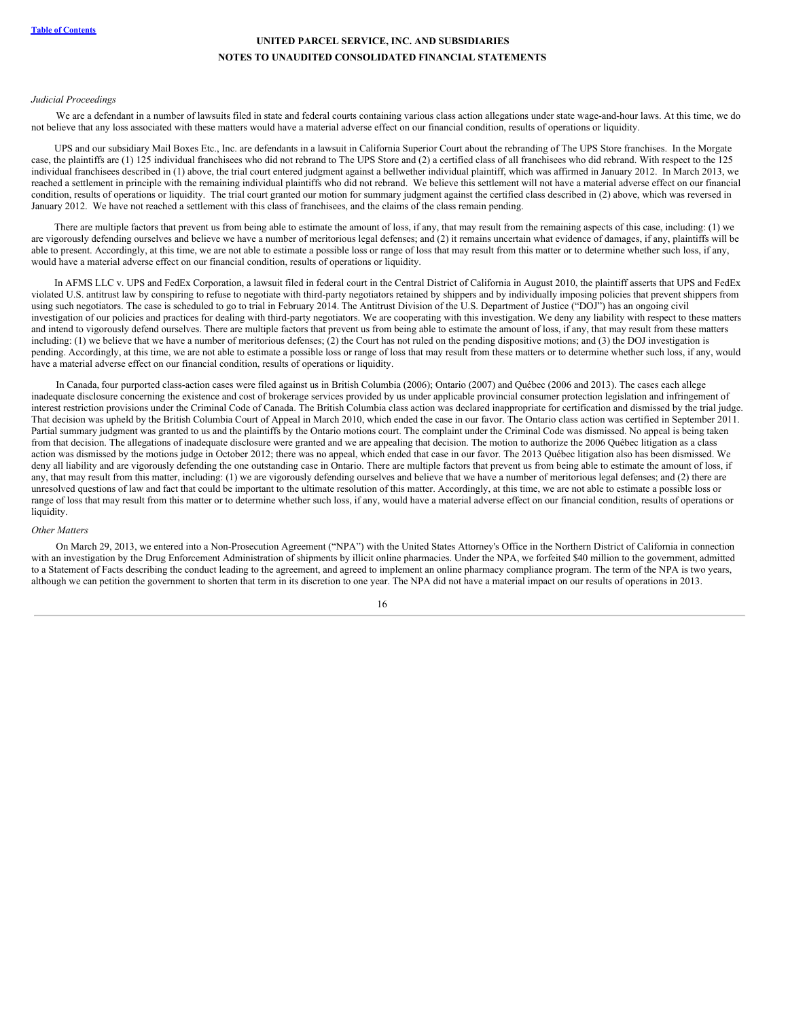#### *Judicial Proceedings*

We are a defendant in a number of lawsuits filed in state and federal courts containing various class action allegations under state wage-and-hour laws. At this time, we do not believe that any loss associated with these matters would have a material adverse effect on our financial condition, results of operations or liquidity.

UPS and our subsidiary Mail Boxes Etc., Inc. are defendants in a lawsuit in California Superior Court about the rebranding of The UPS Store franchises. In the Morgate case, the plaintiffs are (1) 125 individual franchisees who did not rebrand to The UPS Store and (2) a certified class of all franchisees who did rebrand. With respect to the 125 individual franchisees described in (1) above, the trial court entered judgment against a bellwether individual plaintiff, which was affirmed in January 2012. In March 2013, we reached a settlement in principle with the remaining individual plaintiffs who did not rebrand. We believe this settlement will not have a material adverse effect on our financial condition, results of operations or liquidity. The trial court granted our motion for summary judgment against the certified class described in (2) above, which was reversed in January 2012. We have not reached a settlement with this class of franchisees, and the claims of the class remain pending.

There are multiple factors that prevent us from being able to estimate the amount of loss, if any, that may result from the remaining aspects of this case, including: (1) we are vigorously defending ourselves and believe we have a number of meritorious legal defenses; and (2) it remains uncertain what evidence of damages, if any, plaintiffs will be able to present. Accordingly, at this time, we are not able to estimate a possible loss or range of loss that may result from this matter or to determine whether such loss, if any, would have a material adverse effect on our financial condition, results of operations or liquidity.

In AFMS LLC v. UPS and FedEx Corporation, a lawsuit filed in federal court in the Central District of California in August 2010, the plaintiff asserts that UPS and FedEx violated U.S. antitrust law by conspiring to refuse to negotiate with third-party negotiators retained by shippers and by individually imposing policies that prevent shippers from using such negotiators. The case is scheduled to go to trial in February 2014. The Antitrust Division of the U.S. Department of Justice ("DOJ") has an ongoing civil investigation of our policies and practices for dealing with third-party negotiators. We are cooperating with this investigation. We deny any liability with respect to these matters and intend to vigorously defend ourselves. There are multiple factors that prevent us from being able to estimate the amount of loss, if any, that may result from these matters including: (1) we believe that we have a number of meritorious defenses; (2) the Court has not ruled on the pending dispositive motions; and (3) the DOJ investigation is pending. Accordingly, at this time, we are not able to estimate a possible loss or range of loss that may result from these matters or to determine whether such loss, if any, would have a material adverse effect on our financial condition, results of operations or liquidity.

In Canada, four purported class-action cases were filed against us in British Columbia (2006); Ontario (2007) and Québec (2006 and 2013). The cases each allege inadequate disclosure concerning the existence and cost of brokerage services provided by us under applicable provincial consumer protection legislation and infringement of interest restriction provisions under the Criminal Code of Canada. The British Columbia class action was declared inappropriate for certification and dismissed by the trial judge. That decision was upheld by the British Columbia Court of Appeal in March 2010, which ended the case in our favor. The Ontario class action was certified in September 2011. Partial summary judgment was granted to us and the plaintiffs by the Ontario motions court. The complaint under the Criminal Code was dismissed. No appeal is being taken from that decision. The allegations of inadequate disclosure were granted and we are appealing that decision. The motion to authorize the 2006 Québec litigation as a class action was dismissed by the motions judge in October 2012; there was no appeal, which ended that case in our favor. The 2013 Québec litigation also has been dismissed. We deny all liability and are vigorously defending the one outstanding case in Ontario. There are multiple factors that prevent us from being able to estimate the amount of loss, if any, that may result from this matter, including: (1) we are vigorously defending ourselves and believe that we have a number of meritorious legal defenses; and (2) there are unresolved questions of law and fact that could be important to the ultimate resolution of this matter. Accordingly, at this time, we are not able to estimate a possible loss or range of loss that may result from this matter or to determine whether such loss, if any, would have a material adverse effect on our financial condition, results of operations or liquidity.

#### *Other Matters*

On March 29, 2013, we entered into a Non-Prosecution Agreement ("NPA") with the United States Attorney's Office in the Northern District of California in connection with an investigation by the Drug Enforcement Administration of shipments by illicit online pharmacies. Under the NPA, we forfeited \$40 million to the government, admitted to a Statement of Facts describing the conduct leading to the agreement, and agreed to implement an online pharmacy compliance program. The term of the NPA is two years, although we can petition the government to shorten that term in its discretion to one year. The NPA did not have a material impact on our results of operations in 2013.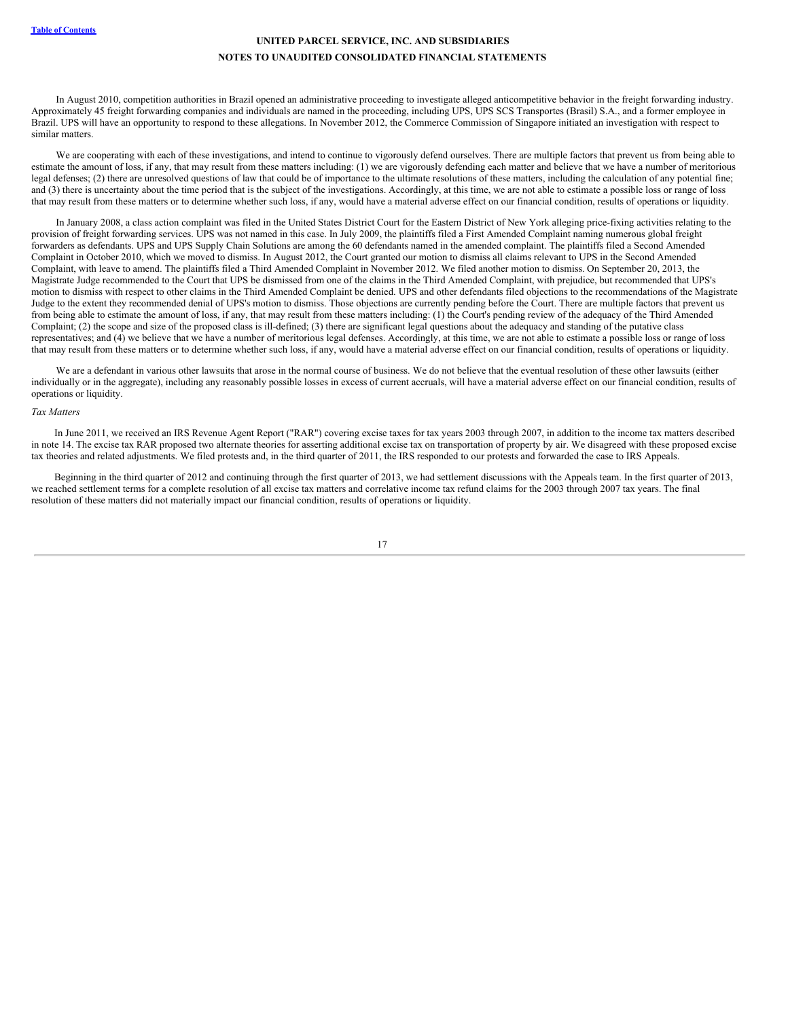In August 2010, competition authorities in Brazil opened an administrative proceeding to investigate alleged anticompetitive behavior in the freight forwarding industry. Approximately 45 freight forwarding companies and individuals are named in the proceeding, including UPS, UPS SCS Transportes (Brasil) S.A., and a former employee in Brazil. UPS will have an opportunity to respond to these allegations. In November 2012, the Commerce Commission of Singapore initiated an investigation with respect to similar matters.

We are cooperating with each of these investigations, and intend to continue to vigorously defend ourselves. There are multiple factors that prevent us from being able to estimate the amount of loss, if any, that may result from these matters including: (1) we are vigorously defending each matter and believe that we have a number of meritorious legal defenses; (2) there are unresolved questions of law that could be of importance to the ultimate resolutions of these matters, including the calculation of any potential fine; and (3) there is uncertainty about the time period that is the subject of the investigations. Accordingly, at this time, we are not able to estimate a possible loss or range of loss that may result from these matters or to determine whether such loss, if any, would have a material adverse effect on our financial condition, results of operations or liquidity.

In January 2008, a class action complaint was filed in the United States District Court for the Eastern District of New York alleging price-fixing activities relating to the provision of freight forwarding services. UPS was not named in this case. In July 2009, the plaintiffs filed a First Amended Complaint naming numerous global freight forwarders as defendants. UPS and UPS Supply Chain Solutions are among the 60 defendants named in the amended complaint. The plaintiffs filed a Second Amended Complaint in October 2010, which we moved to dismiss. In August 2012, the Court granted our motion to dismiss all claims relevant to UPS in the Second Amended Complaint, with leave to amend. The plaintiffs filed a Third Amended Complaint in November 2012. We filed another motion to dismiss. On September 20, 2013, the Magistrate Judge recommended to the Court that UPS be dismissed from one of the claims in the Third Amended Complaint, with prejudice, but recommended that UPS's motion to dismiss with respect to other claims in the Third Amended Complaint be denied. UPS and other defendants filed objections to the recommendations of the Magistrate Judge to the extent they recommended denial of UPS's motion to dismiss. Those objections are currently pending before the Court. There are multiple factors that prevent us from being able to estimate the amount of loss, if any, that may result from these matters including: (1) the Court's pending review of the adequacy of the Third Amended Complaint; (2) the scope and size of the proposed class is ill-defined; (3) there are significant legal questions about the adequacy and standing of the putative class representatives; and (4) we believe that we have a number of meritorious legal defenses. Accordingly, at this time, we are not able to estimate a possible loss or range of loss that may result from these matters or to determine whether such loss, if any, would have a material adverse effect on our financial condition, results of operations or liquidity.

We are a defendant in various other lawsuits that arose in the normal course of business. We do not believe that the eventual resolution of these other lawsuits (either individually or in the aggregate), including any reasonably possible losses in excess of current accruals, will have a material adverse effect on our financial condition, results of operations or liquidity.

#### *Tax Matters*

In June 2011, we received an IRS Revenue Agent Report ("RAR") covering excise taxes for tax years 2003 through 2007, in addition to the income tax matters described in note 14. The excise tax RAR proposed two alternate theories for asserting additional excise tax on transportation of property by air. We disagreed with these proposed excise tax theories and related adjustments. We filed protests and, in the third quarter of 2011, the IRS responded to our protests and forwarded the case to IRS Appeals.

Beginning in the third quarter of 2012 and continuing through the first quarter of 2013, we had settlement discussions with the Appeals team. In the first quarter of 2013, we reached settlement terms for a complete resolution of all excise tax matters and correlative income tax refund claims for the 2003 through 2007 tax years. The final resolution of these matters did not materially impact our financial condition, results of operations or liquidity.

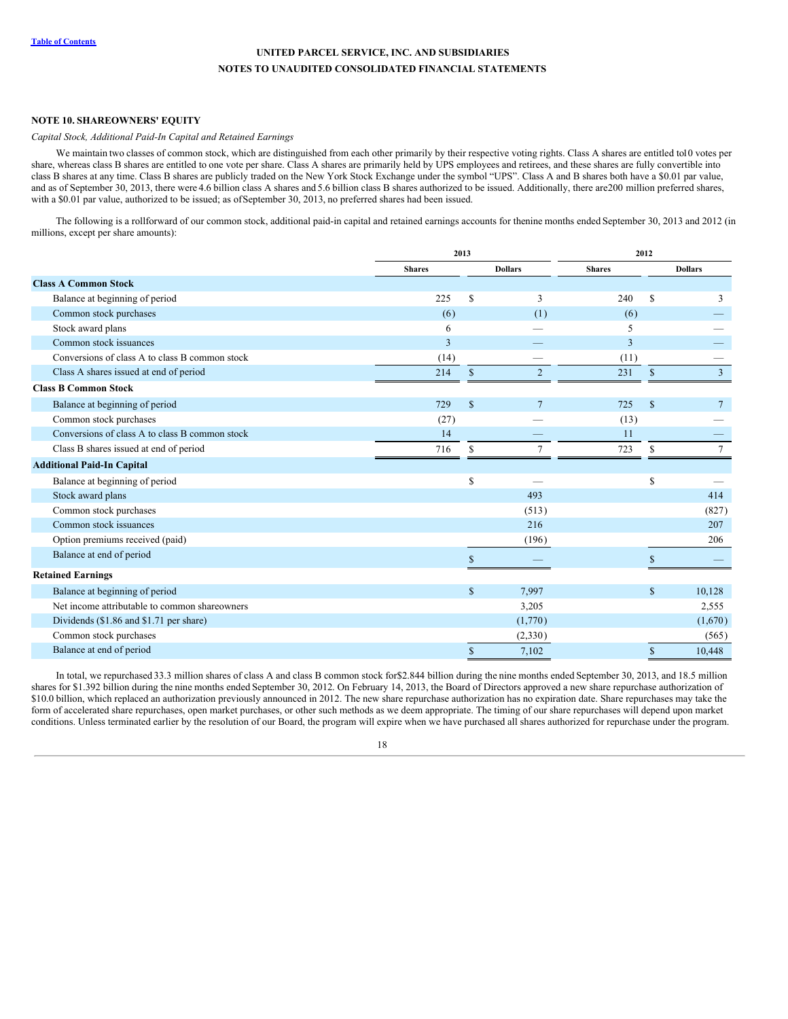# <span id="page-19-0"></span>**NOTE 10. SHAREOWNERS' EQUITY**

### *Capital Stock, Additional Paid-In Capital and Retained Earnings*

We maintain two classes of common stock, which are distinguished from each other primarily by their respective voting rights. Class A shares are entitled tol0 votes per share, whereas class B shares are entitled to one vote per share. Class A shares are primarily held by UPS employees and retirees, and these shares are fully convertible into class B shares at any time. Class B shares are publicly traded on the New York Stock Exchange under the symbol "UPS". Class A and B shares both have a \$0.01 par value, and as of September 30, 2013, there were 4.6 billion class A shares and 5.6 billion class B shares authorized to be issued. Additionally, there are 200 million preferred shares, with a \$0.01 par value, authorized to be issued; as ofSeptember 30, 2013, no preferred shares had been issued.

The following is a rollforward of our common stock, additional paid-in capital and retained earnings accounts for thenine months ended September 30, 2013 and 2012 (in millions, except per share amounts):

|                                                |                | 2013         |                | 2012          |               |                |  |
|------------------------------------------------|----------------|--------------|----------------|---------------|---------------|----------------|--|
|                                                | <b>Shares</b>  |              | <b>Dollars</b> | <b>Shares</b> |               | <b>Dollars</b> |  |
| <b>Class A Common Stock</b>                    |                |              |                |               |               |                |  |
| Balance at beginning of period                 | 225            | S            | 3              | 240           | <sup>\$</sup> | 3              |  |
| Common stock purchases                         | (6)            |              | (1)            | (6)           |               |                |  |
| Stock award plans                              | 6              |              |                | 5             |               |                |  |
| Common stock issuances                         | $\overline{3}$ |              |                | 3             |               |                |  |
| Conversions of class A to class B common stock | (14)           |              |                | (11)          |               |                |  |
| Class A shares issued at end of period         | 214            | $\mathbb{S}$ | $\overline{2}$ | 231           | $\mathbb{S}$  | 3              |  |
| <b>Class B Common Stock</b>                    |                |              |                |               |               |                |  |
| Balance at beginning of period                 | 729            | \$           | 7              | 725           | $\mathbb{S}$  | 7              |  |
| Common stock purchases                         | (27)           |              |                | (13)          |               |                |  |
| Conversions of class A to class B common stock | 14             |              |                | 11            |               |                |  |
| Class B shares issued at end of period         | 716            | S            | $\tau$         | 723           | \$            | $\tau$         |  |
| <b>Additional Paid-In Capital</b>              |                |              |                |               |               |                |  |
| Balance at beginning of period                 |                | \$           |                |               | \$            |                |  |
| Stock award plans                              |                |              | 493            |               |               | 414            |  |
| Common stock purchases                         |                |              | (513)          |               |               | (827)          |  |
| Common stock issuances                         |                |              | 216            |               |               | 207            |  |
| Option premiums received (paid)                |                |              | (196)          |               |               | 206            |  |
| Balance at end of period                       |                | S            |                |               | \$            |                |  |
| <b>Retained Earnings</b>                       |                |              |                |               |               |                |  |
| Balance at beginning of period                 |                | $\mathbf S$  | 7,997          |               | $\mathbb{S}$  | 10,128         |  |
| Net income attributable to common shareowners  |                |              | 3,205          |               |               | 2,555          |  |
| Dividends (\$1.86 and \$1.71 per share)        |                |              | (1,770)        |               |               | (1,670)        |  |
| Common stock purchases                         |                |              | (2,330)        |               |               | (565)          |  |
| Balance at end of period                       |                | $\mathbf S$  | 7,102          |               | $\mathbb{S}$  | 10.448         |  |

In total, we repurchased 33.3 million shares of class A and class B common stock for\$2.844 billion during the nine months ended September 30, 2013, and 18.5 million shares for \$1.392 billion during the nine months ended September 30, 2012. On February 14, 2013, the Board of Directors approved a new share repurchase authorization of \$10.0 billion, which replaced an authorization previously announced in 2012. The new share repurchase authorization has no expiration date. Share repurchases may take the form of accelerated share repurchases, open market purchases, or other such methods as we deem appropriate. The timing of our share repurchases will depend upon market conditions. Unless terminated earlier by the resolution of our Board, the program will expire when we have purchased all shares authorized for repurchase under the program.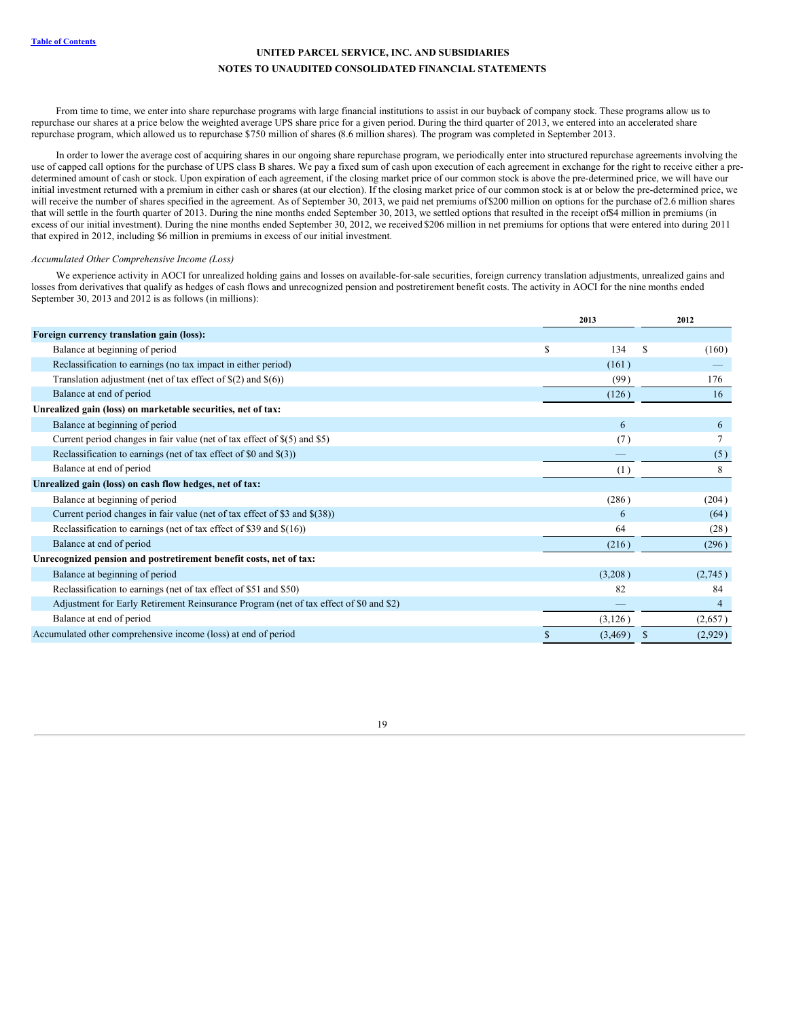From time to time, we enter into share repurchase programs with large financial institutions to assist in our buyback of company stock. These programs allow us to repurchase our shares at a price below the weighted average UPS share price for a given period. During the third quarter of 2013, we entered into an accelerated share repurchase program, which allowed us to repurchase \$750 million of shares (8.6 million shares). The program was completed in September 2013.

In order to lower the average cost of acquiring shares in our ongoing share repurchase program, we periodically enter into structured repurchase agreements involving the use of capped call options for the purchase of UPS class B shares. We pay a fixed sum of cash upon execution of each agreement in exchange for the right to receive either a predetermined amount of cash or stock. Upon expiration of each agreement, if the closing market price of our common stock is above the pre-determined price, we will have our initial investment returned with a premium in either cash or shares (at our election). If the closing market price of our common stock is at or below the pre-determined price, we will receive the number of shares specified in the agreement. As of September 30, 2013, we paid net premiums of \$200 million on options for the purchase of 2.6 million shares that will settle in the fourth quarter of 2013. During the nine months ended September 30, 2013, we settled options that resulted in the receipt of\$4 million in premiums (in excess of our initial investment). During the nine months ended September 30, 2012, we received \$206 million in net premiums for options that were entered into during 2011 that expired in 2012, including \$6 million in premiums in excess of our initial investment.

#### *Accumulated Other Comprehensive Income (Loss)*

We experience activity in AOCI for unrealized holding gains and losses on available-for-sale securities, foreign currency translation adjustments, unrealized gains and losses from derivatives that qualify as hedges of cash flows and unrecognized pension and postretirement benefit costs. The activity in AOCI for the nine months ended September 30, 2013 and 2012 is as follows (in millions):

|                                                                                        | 2013      |    | 2012    |
|----------------------------------------------------------------------------------------|-----------|----|---------|
| Foreign currency translation gain (loss):                                              |           |    |         |
| Balance at beginning of period                                                         | \$<br>134 | -S | (160)   |
| Reclassification to earnings (no tax impact in either period)                          | (161)     |    |         |
| Translation adjustment (net of tax effect of $\S(2)$ and $\S(6)$ )                     | (99)      |    | 176     |
| Balance at end of period                                                               | (126)     |    | 16      |
| Unrealized gain (loss) on marketable securities, net of tax:                           |           |    |         |
| Balance at beginning of period                                                         | 6         |    | 6       |
| Current period changes in fair value (net of tax effect of $\S(5)$ and $\S5)$ )        | (7)       |    |         |
| Reclassification to earnings (net of tax effect of \$0 and $\$(3)\)$ )                 |           |    | (5)     |
| Balance at end of period                                                               | (1)       |    | 8       |
| Unrealized gain (loss) on cash flow hedges, net of tax:                                |           |    |         |
| Balance at beginning of period                                                         | (286)     |    | (204)   |
| Current period changes in fair value (net of tax effect of \$3 and \$(38))             | 6         |    | (64)    |
| Reclassification to earnings (net of tax effect of \$39 and $\$(16)$ )                 | 64        |    | (28)    |
| Balance at end of period                                                               | (216)     |    | (296)   |
| Unrecognized pension and postretirement benefit costs, net of tax:                     |           |    |         |
| Balance at beginning of period                                                         | (3,208)   |    | (2,745) |
| Reclassification to earnings (net of tax effect of \$51 and \$50)                      | 82        |    | 84      |
| Adjustment for Early Retirement Reinsurance Program (net of tax effect of \$0 and \$2) |           |    | 4       |
| Balance at end of period                                                               | (3,126)   |    | (2,657) |
| Accumulated other comprehensive income (loss) at end of period                         | (3, 469)  | S  | (2,929) |
|                                                                                        |           |    |         |

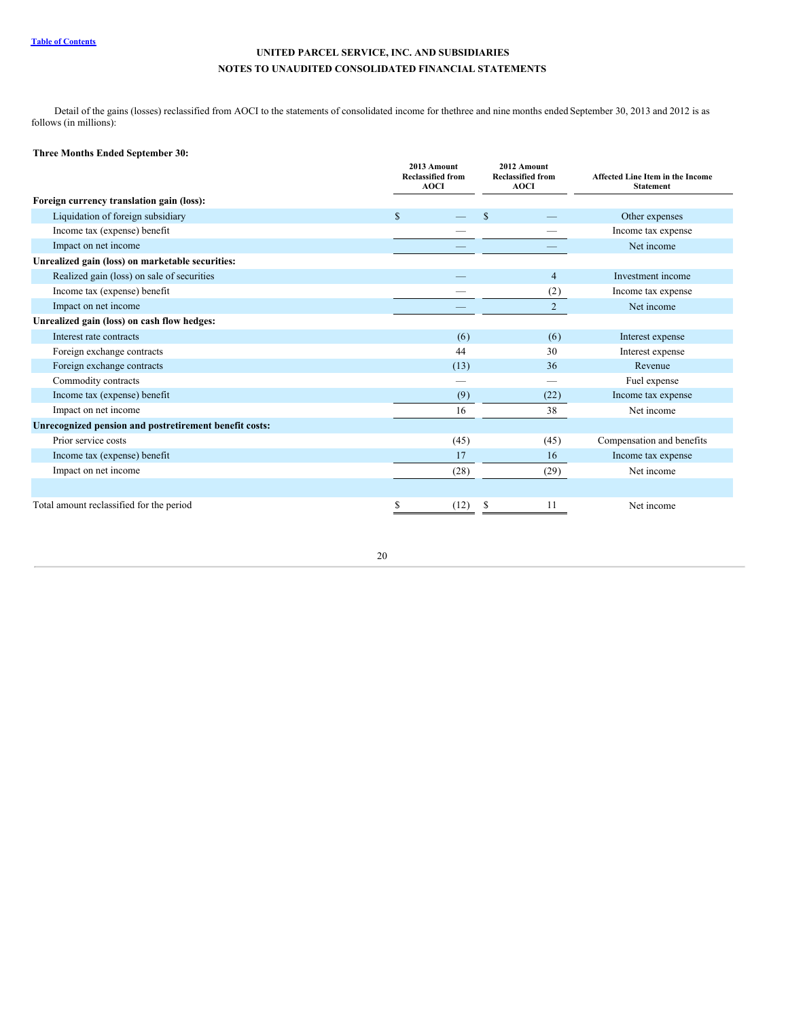Detail of the gains (losses) reclassified from AOCI to the statements of consolidated income for thethree and nine months ended September 30, 2013 and 2012 is as follows (in millions):

# **Three Months Ended September 30:**

|                                                        | 2013 Amount<br><b>Reclassified from</b><br><b>AOCI</b> | 2012 Amount<br><b>Reclassified from</b><br><b>AOCI</b> | Affected Line Item in the Income<br><b>Statement</b> |
|--------------------------------------------------------|--------------------------------------------------------|--------------------------------------------------------|------------------------------------------------------|
| Foreign currency translation gain (loss):              |                                                        |                                                        |                                                      |
| Liquidation of foreign subsidiary                      | $\mathbb{S}$                                           | \$                                                     | Other expenses                                       |
| Income tax (expense) benefit                           |                                                        |                                                        | Income tax expense                                   |
| Impact on net income                                   |                                                        |                                                        | Net income                                           |
| Unrealized gain (loss) on marketable securities:       |                                                        |                                                        |                                                      |
| Realized gain (loss) on sale of securities             |                                                        | $\overline{4}$                                         | Investment income                                    |
| Income tax (expense) benefit                           |                                                        | (2)                                                    | Income tax expense                                   |
| Impact on net income                                   |                                                        | $\overline{2}$                                         | Net income                                           |
| Unrealized gain (loss) on cash flow hedges:            |                                                        |                                                        |                                                      |
| Interest rate contracts                                | (6)                                                    | (6)                                                    | Interest expense                                     |
| Foreign exchange contracts                             | 44                                                     | 30                                                     | Interest expense                                     |
| Foreign exchange contracts                             | (13)                                                   | 36                                                     | Revenue                                              |
| Commodity contracts                                    |                                                        |                                                        | Fuel expense                                         |
| Income tax (expense) benefit                           | (9)                                                    | (22)                                                   | Income tax expense                                   |
| Impact on net income                                   | 16                                                     | 38                                                     | Net income                                           |
| Unrecognized pension and postretirement benefit costs: |                                                        |                                                        |                                                      |
| Prior service costs                                    | (45)                                                   | (45)                                                   | Compensation and benefits                            |
| Income tax (expense) benefit                           | 17                                                     | 16                                                     | Income tax expense                                   |
| Impact on net income                                   | (28)                                                   | (29)                                                   | Net income                                           |
|                                                        |                                                        |                                                        |                                                      |
| Total amount reclassified for the period               | (12)                                                   | S<br>11                                                | Net income                                           |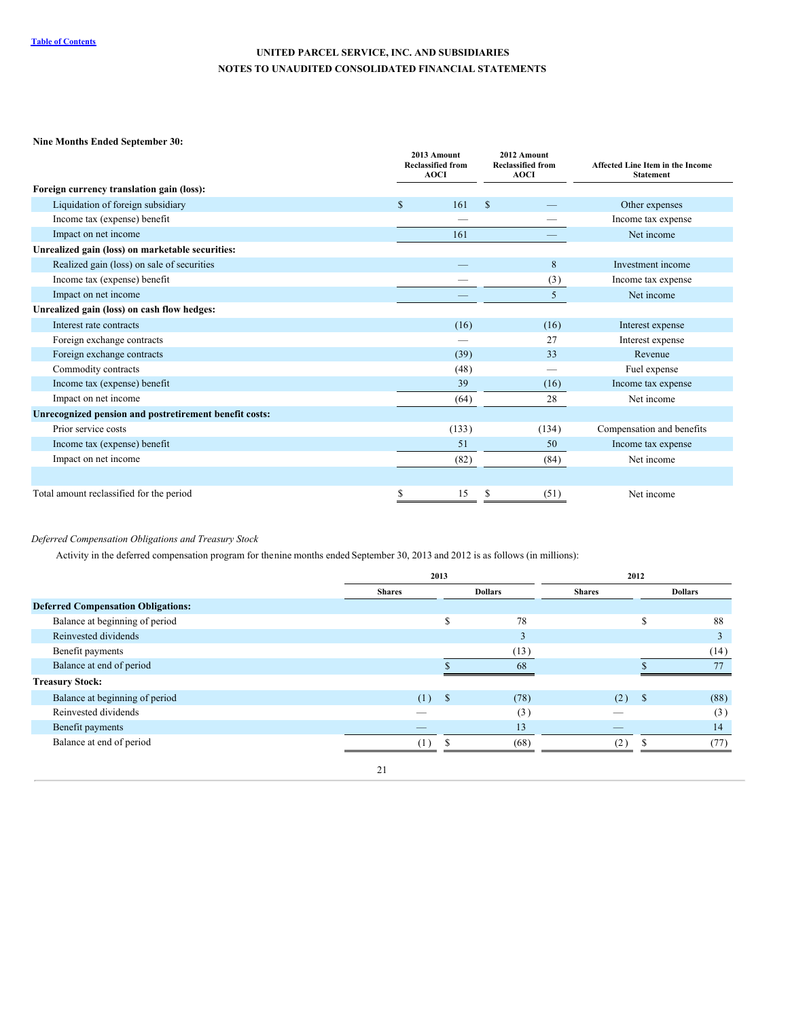# **Nine Months Ended September 30:**

|                                                        |              | 2013 Amount<br><b>Reclassified from</b><br><b>AOCI</b> | 2012 Amount<br><b>Reclassified from</b><br><b>AOCI</b> |       | <b>Affected Line Item in the Income</b><br><b>Statement</b> |
|--------------------------------------------------------|--------------|--------------------------------------------------------|--------------------------------------------------------|-------|-------------------------------------------------------------|
| Foreign currency translation gain (loss):              |              |                                                        |                                                        |       |                                                             |
| Liquidation of foreign subsidiary                      | $\mathbb{S}$ | 161                                                    | $\mathbb{S}$                                           |       | Other expenses                                              |
| Income tax (expense) benefit                           |              | -                                                      |                                                        |       | Income tax expense                                          |
| Impact on net income                                   |              | 161                                                    |                                                        |       | Net income                                                  |
| Unrealized gain (loss) on marketable securities:       |              |                                                        |                                                        |       |                                                             |
| Realized gain (loss) on sale of securities             |              |                                                        |                                                        | 8     | Investment income                                           |
| Income tax (expense) benefit                           |              |                                                        |                                                        | (3)   | Income tax expense                                          |
| Impact on net income                                   |              |                                                        |                                                        | 5     | Net income                                                  |
| Unrealized gain (loss) on cash flow hedges:            |              |                                                        |                                                        |       |                                                             |
| Interest rate contracts                                |              | (16)                                                   |                                                        | (16)  | Interest expense                                            |
| Foreign exchange contracts                             |              |                                                        |                                                        | 27    | Interest expense                                            |
| Foreign exchange contracts                             |              | (39)                                                   |                                                        | 33    | Revenue                                                     |
| Commodity contracts                                    |              | (48)                                                   |                                                        |       | Fuel expense                                                |
| Income tax (expense) benefit                           |              | 39                                                     |                                                        | (16)  | Income tax expense                                          |
| Impact on net income                                   |              | (64)                                                   |                                                        | 28    | Net income                                                  |
| Unrecognized pension and postretirement benefit costs: |              |                                                        |                                                        |       |                                                             |
| Prior service costs                                    |              | (133)                                                  |                                                        | (134) | Compensation and benefits                                   |
| Income tax (expense) benefit                           |              | 51                                                     |                                                        | 50    | Income tax expense                                          |
| Impact on net income                                   |              | (82)                                                   |                                                        | (84)  | Net income                                                  |
|                                                        |              |                                                        |                                                        |       |                                                             |
| Total amount reclassified for the period               | S            | 15                                                     | S                                                      | (51)  | Net income                                                  |

# *Deferred Compensation Obligations and Treasury Stock*

Activity in the deferred compensation program for thenine months ended September 30, 2013 and 2012 is as follows (in millions):

|                                           | 2013                          |               |                | 2012          |               |                |  |
|-------------------------------------------|-------------------------------|---------------|----------------|---------------|---------------|----------------|--|
|                                           | <b>Shares</b>                 |               | <b>Dollars</b> | <b>Shares</b> |               | <b>Dollars</b> |  |
| <b>Deferred Compensation Obligations:</b> |                               |               |                |               |               |                |  |
| Balance at beginning of period            |                               | ¢<br>ъ        | 78             |               | $\sigma$<br>ъ | 88             |  |
| Reinvested dividends                      |                               |               | 3              |               |               |                |  |
| Benefit payments                          |                               |               | (13)           |               |               | (14)           |  |
| Balance at end of period                  |                               |               | 68             |               |               | 77             |  |
| <b>Treasury Stock:</b>                    |                               |               |                |               |               |                |  |
| Balance at beginning of period            | (1)                           | <sup>\$</sup> | (78)           | (2)           | $\mathcal{S}$ | (88)           |  |
| Reinvested dividends                      |                               |               | (3)            |               |               | (3)            |  |
| Benefit payments                          |                               |               | 13             |               |               | 14             |  |
| Balance at end of period                  | $\left\langle 1\right\rangle$ |               | (68)           | (2)           |               | (77)           |  |
|                                           | 21                            |               |                |               |               |                |  |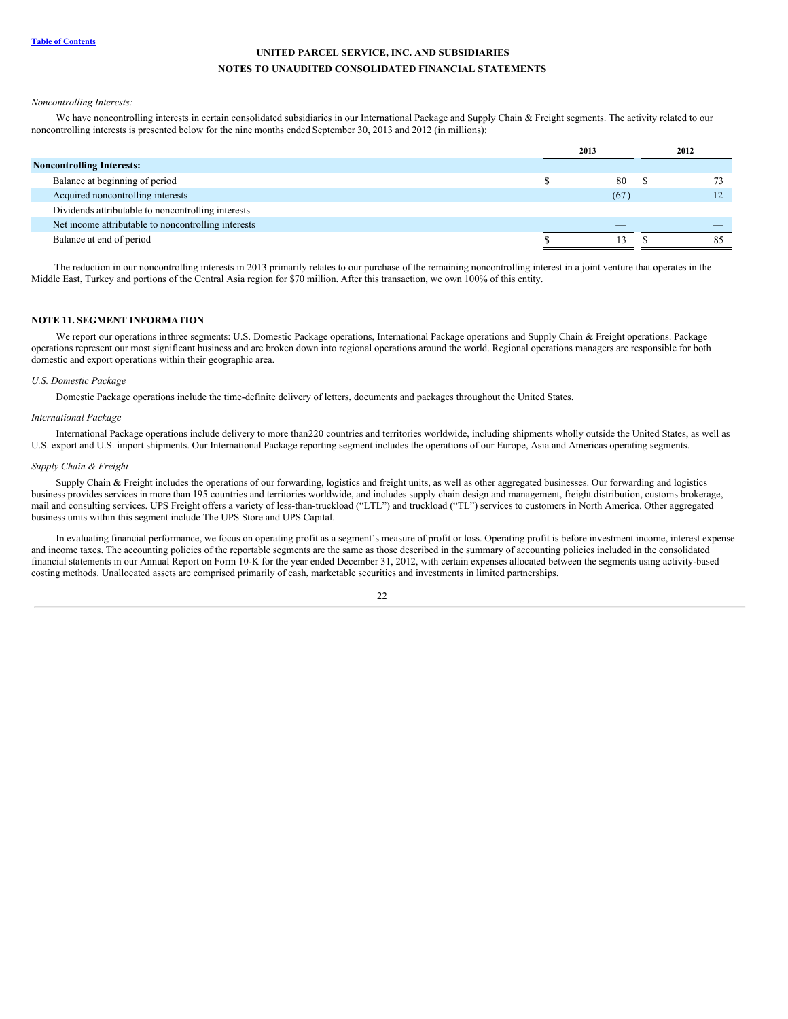#### *Noncontrolling Interests:*

We have noncontrolling interests in certain consolidated subsidiaries in our International Package and Supply Chain & Freight segments. The activity related to our noncontrolling interests is presented below for the nine months ended September 30, 2013 and 2012 (in millions):

|                                                     | 2013 |      | 2012           |
|-----------------------------------------------------|------|------|----------------|
| <b>Noncontrolling Interests:</b>                    |      |      |                |
| Balance at beginning of period                      |      | 80   |                |
| Acquired noncontrolling interests                   |      | (67) | $\overline{2}$ |
| Dividends attributable to noncontrolling interests  |      |      |                |
| Net income attributable to noncontrolling interests |      |      |                |
| Balance at end of period                            |      |      | 85             |

<span id="page-23-0"></span>The reduction in our noncontrolling interests in 2013 primarily relates to our purchase of the remaining noncontrolling interest in a joint venture that operates in the Middle East, Turkey and portions of the Central Asia region for \$70 million. After this transaction, we own 100% of this entity.

### **NOTE 11. SEGMENT INFORMATION**

We report our operations in three segments: U.S. Domestic Package operations, International Package operations and Supply Chain & Freight operations. Package operations represent our most significant business and are broken down into regional operations around the world. Regional operations managers are responsible for both domestic and export operations within their geographic area.

#### *U.S. Domestic Package*

Domestic Package operations include the time-definite delivery of letters, documents and packages throughout the United States.

# *International Package*

International Package operations include delivery to more than220 countries and territories worldwide, including shipments wholly outside the United States, as well as U.S. export and U.S. import shipments. Our International Package reporting segment includes the operations of our Europe, Asia and Americas operating segments.

#### *Supply Chain & Freight*

Supply Chain & Freight includes the operations of our forwarding, logistics and freight units, as well as other aggregated businesses. Our forwarding and logistics business provides services in more than 195 countries and territories worldwide, and includes supply chain design and management, freight distribution, customs brokerage, mail and consulting services. UPS Freight offers a variety of less-than-truckload ("LTL") and truckload ("TL") services to customers in North America. Other aggregated business units within this segment include The UPS Store and UPS Capital.

In evaluating financial performance, we focus on operating profit as a segment's measure of profit or loss. Operating profit is before investment income, interest expense and income taxes. The accounting policies of the reportable segments are the same as those described in the summary of accounting policies included in the consolidated financial statements in our Annual Report on Form 10-K for the year ended December 31, 2012, with certain expenses allocated between the segments using activity-based costing methods. Unallocated assets are comprised primarily of cash, marketable securities and investments in limited partnerships.

<sup>22</sup>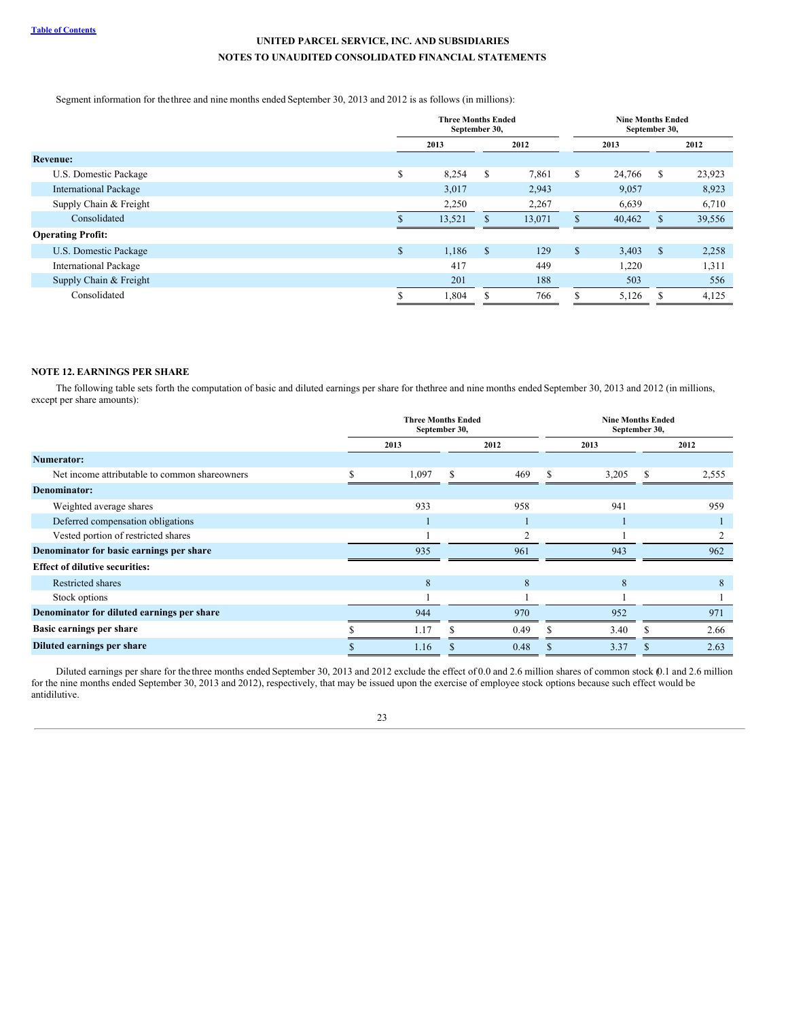Segment information for the three and nine months ended September 30, 2013 and 2012 is as follows (in millions):

|                              | <b>Three Months Ended</b><br>September 30, |        |             |        | <b>Nine Months Ended</b><br>September 30, |        |             |        |  |
|------------------------------|--------------------------------------------|--------|-------------|--------|-------------------------------------------|--------|-------------|--------|--|
|                              |                                            | 2013   |             | 2012   | 2013                                      |        |             | 2012   |  |
| <b>Revenue:</b>              |                                            |        |             |        |                                           |        |             |        |  |
| U.S. Domestic Package        | $\sigma$<br>ъ                              | 8,254  | S           | 7,861  | \$                                        | 24,766 | S           | 23,923 |  |
| <b>International Package</b> |                                            | 3,017  |             | 2,943  |                                           | 9,057  |             | 8,923  |  |
| Supply Chain & Freight       |                                            | 2,250  |             | 2,267  |                                           | 6,639  |             | 6,710  |  |
| Consolidated                 |                                            | 13,521 |             | 13,071 | ж                                         | 40,462 | ъ           | 39,556 |  |
| <b>Operating Profit:</b>     |                                            |        |             |        |                                           |        |             |        |  |
| U.S. Domestic Package        | $\mathbb{S}$                               | 1,186  | $\mathbf S$ | 129    | $\mathbb{S}$                              | 3,403  | $\mathbf S$ | 2,258  |  |
| <b>International Package</b> |                                            | 417    |             | 449    |                                           | 1,220  |             | 1,311  |  |
| Supply Chain & Freight       |                                            | 201    |             | 188    |                                           | 503    |             | 556    |  |
| Consolidated                 |                                            | 1,804  |             | 766    |                                           | 5,126  |             | 4,125  |  |

# <span id="page-24-0"></span>**NOTE 12. EARNINGS PER SHARE**

The following table sets forth the computation of basic and diluted earnings per share for thethree and nine months ended September 30, 2013 and 2012 (in millions, except per share amounts):

|                                               |   | <b>Three Months Ended</b><br>September 30, |   |      | <b>Nine Months Ended</b><br>September 30, |       |      |       |  |
|-----------------------------------------------|---|--------------------------------------------|---|------|-------------------------------------------|-------|------|-------|--|
|                                               |   | 2013                                       |   | 2012 |                                           | 2013  | 2012 |       |  |
| Numerator:                                    |   |                                            |   |      |                                           |       |      |       |  |
| Net income attributable to common shareowners | ς | 1,097                                      | ς | 469  | S                                         | 3,205 | S    | 2,555 |  |
| Denominator:                                  |   |                                            |   |      |                                           |       |      |       |  |
| Weighted average shares                       |   | 933                                        |   | 958  |                                           | 941   |      | 959   |  |
| Deferred compensation obligations             |   |                                            |   |      |                                           |       |      |       |  |
| Vested portion of restricted shares           |   |                                            |   |      |                                           |       |      | 2     |  |
| Denominator for basic earnings per share      |   | 935                                        |   | 961  |                                           | 943   |      | 962   |  |
| <b>Effect of dilutive securities:</b>         |   |                                            |   |      |                                           |       |      |       |  |
| <b>Restricted shares</b>                      |   | 8                                          |   | 8    |                                           | 8     |      | 8     |  |
| Stock options                                 |   |                                            |   |      |                                           |       |      |       |  |
| Denominator for diluted earnings per share    |   | 944                                        |   | 970  |                                           | 952   |      | 971   |  |
| Basic earnings per share                      |   | 1.17                                       |   | 0.49 |                                           | 3.40  |      | 2.66  |  |
| Diluted earnings per share                    |   | 1.16                                       |   | 0.48 |                                           | 3.37  |      | 2.63  |  |

Diluted earnings per share for the three months ended September 30, 2013 and 2012 exclude the effect of 0.0 and 2.6 million shares of common stock (0.1 and 2.6 million for the nine months ended September 30, 2013 and 2012), respectively, that may be issued upon the exercise of employee stock options because such effect would be antidilutive.

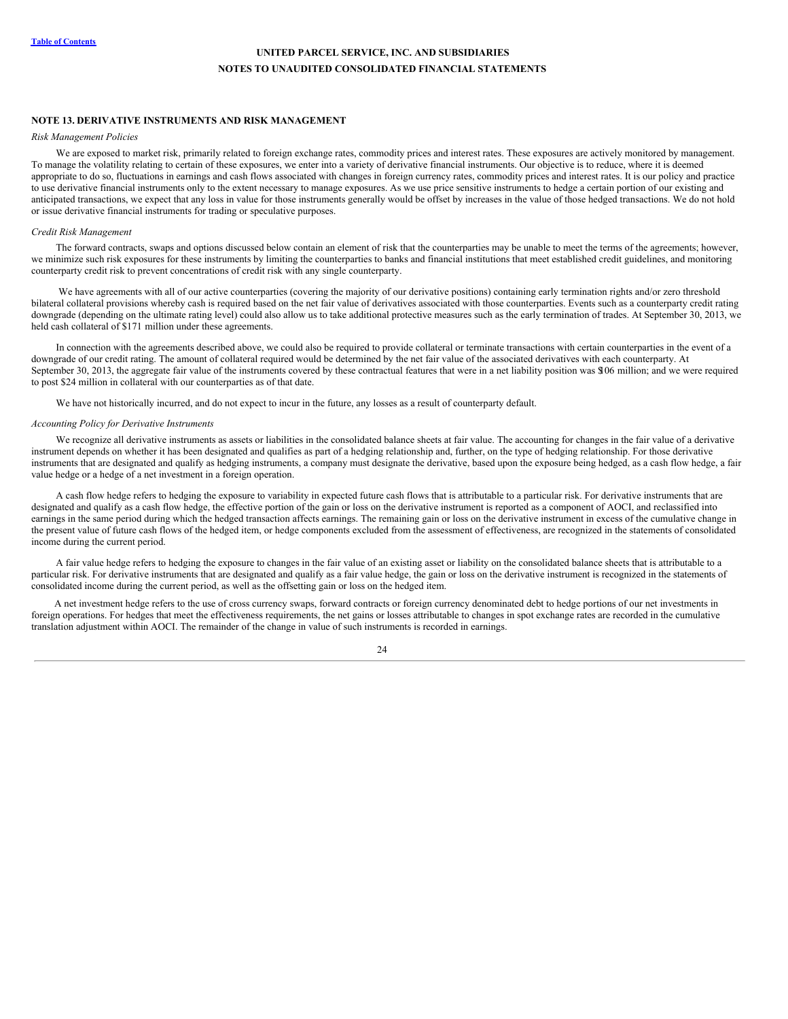# <span id="page-25-0"></span>**NOTE 13. DERIVATIVE INSTRUMENTS AND RISK MANAGEMENT**

#### *Risk Management Policies*

We are exposed to market risk, primarily related to foreign exchange rates, commodity prices and interest rates. These exposures are actively monitored by management. To manage the volatility relating to certain of these exposures, we enter into a variety of derivative financial instruments. Our objective is to reduce, where it is deemed appropriate to do so, fluctuations in earnings and cash flows associated with changes in foreign currency rates, commodity prices and interest rates. It is our policy and practice to use derivative financial instruments only to the extent necessary to manage exposures. As we use price sensitive instruments to hedge a certain portion of our existing and anticipated transactions, we expect that any loss in value for those instruments generally would be offset by increases in the value of those hedged transactions. We do not hold or issue derivative financial instruments for trading or speculative purposes.

#### *Credit Risk Management*

The forward contracts, swaps and options discussed below contain an element of risk that the counterparties may be unable to meet the terms of the agreements; however, we minimize such risk exposures for these instruments by limiting the counterparties to banks and financial institutions that meet established credit guidelines, and monitoring counterparty credit risk to prevent concentrations of credit risk with any single counterparty.

We have agreements with all of our active counterparties (covering the majority of our derivative positions) containing early termination rights and/or zero threshold bilateral collateral provisions whereby cash is required based on the net fair value of derivatives associated with those counterparties. Events such as a counterparty credit rating downgrade (depending on the ultimate rating level) could also allow us to take additional protective measures such as the early termination of trades. At September 30, 2013, we held cash collateral of \$171 million under these agreements.

In connection with the agreements described above, we could also be required to provide collateral or terminate transactions with certain counterparties in the event of a downgrade of our credit rating. The amount of collateral required would be determined by the net fair value of the associated derivatives with each counterparty. At September 30, 2013, the aggregate fair value of the instruments covered by these contractual features that were in a net liability position was \$06 million; and we were required to post \$24 million in collateral with our counterparties as of that date.

We have not historically incurred, and do not expect to incur in the future, any losses as a result of counterparty default.

#### *Accounting Policy for Derivative Instruments*

We recognize all derivative instruments as assets or liabilities in the consolidated balance sheets at fair value. The accounting for changes in the fair value of a derivative instrument depends on whether it has been designated and qualifies as part of a hedging relationship and, further, on the type of hedging relationship. For those derivative instruments that are designated and qualify as hedging instruments, a company must designate the derivative, based upon the exposure being hedged, as a cash flow hedge, a fair value hedge or a hedge of a net investment in a foreign operation.

A cash flow hedge refers to hedging the exposure to variability in expected future cash flows that is attributable to a particular risk. For derivative instruments that are designated and qualify as a cash flow hedge, the effective portion of the gain or loss on the derivative instrument is reported as a component of AOCI, and reclassified into earnings in the same period during which the hedged transaction affects earnings. The remaining gain or loss on the derivative instrument in excess of the cumulative change in the present value of future cash flows of the hedged item, or hedge components excluded from the assessment of effectiveness, are recognized in the statements of consolidated income during the current period.

A fair value hedge refers to hedging the exposure to changes in the fair value of an existing asset or liability on the consolidated balance sheets that is attributable to a particular risk. For derivative instruments that are designated and qualify as a fair value hedge, the gain or loss on the derivative instrument is recognized in the statements of consolidated income during the current period, as well as the offsetting gain or loss on the hedged item.

A net investment hedge refers to the use of cross currency swaps, forward contracts or foreign currency denominated debt to hedge portions of our net investments in foreign operations. For hedges that meet the effectiveness requirements, the net gains or losses attributable to changes in spot exchange rates are recorded in the cumulative translation adjustment within AOCI. The remainder of the change in value of such instruments is recorded in earnings.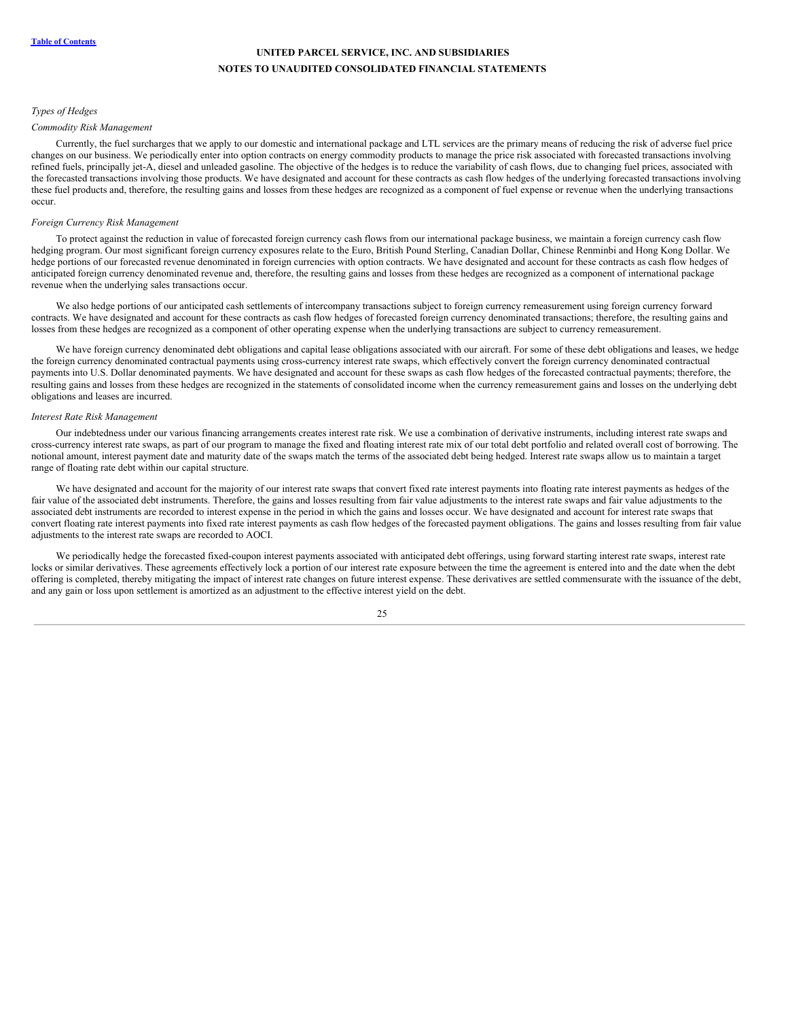# *Types of Hedges*

#### *Commodity Risk Management*

Currently, the fuel surcharges that we apply to our domestic and international package and LTL services are the primary means of reducing the risk of adverse fuel price changes on our business. We periodically enter into option contracts on energy commodity products to manage the price risk associated with forecasted transactions involving refined fuels, principally jet-A, diesel and unleaded gasoline. The objective of the hedges is to reduce the variability of cash flows, due to changing fuel prices, associated with the forecasted transactions involving those products. We have designated and account for these contracts as cash flow hedges of the underlying forecasted transactions involving these fuel products and, therefore, the resulting gains and losses from these hedges are recognized as a component of fuel expense or revenue when the underlying transactions occur.

#### *Foreign Currency Risk Management*

To protect against the reduction in value of forecasted foreign currency cash flows from our international package business, we maintain a foreign currency cash flow hedging program. Our most significant foreign currency exposures relate to the Euro, British Pound Sterling, Canadian Dollar, Chinese Renminbi and Hong Kong Dollar. We hedge portions of our forecasted revenue denominated in foreign currencies with option contracts. We have designated and account for these contracts as cash flow hedges of anticipated foreign currency denominated revenue and, therefore, the resulting gains and losses from these hedges are recognized as a component of international package revenue when the underlying sales transactions occur.

We also hedge portions of our anticipated cash settlements of intercompany transactions subject to foreign currency remeasurement using foreign currency forward contracts. We have designated and account for these contracts as cash flow hedges of forecasted foreign currency denominated transactions; therefore, the resulting gains and losses from these hedges are recognized as a component of other operating expense when the underlying transactions are subject to currency remeasurement.

We have foreign currency denominated debt obligations and capital lease obligations associated with our aircraft. For some of these debt obligations and leases, we hedge the foreign currency denominated contractual payments using cross-currency interest rate swaps, which effectively convert the foreign currency denominated contractual payments into U.S. Dollar denominated payments. We have designated and account for these swaps as cash flow hedges of the forecasted contractual payments; therefore, the resulting gains and losses from these hedges are recognized in the statements of consolidated income when the currency remeasurement gains and losses on the underlying debt obligations and leases are incurred.

#### *Interest Rate Risk Management*

Our indebtedness under our various financing arrangements creates interest rate risk. We use a combination of derivative instruments, including interest rate swaps and cross-currency interest rate swaps, as part of our program to manage the fixed and floating interest rate mix of our total debt portfolio and related overall cost of borrowing. The notional amount, interest payment date and maturity date of the swaps match the terms of the associated debt being hedged. Interest rate swaps allow us to maintain a target range of floating rate debt within our capital structure.

We have designated and account for the majority of our interest rate swaps that convert fixed rate interest payments into floating rate interest payments as hedges of the fair value of the associated debt instruments. Therefore, the gains and losses resulting from fair value adjustments to the interest rate swaps and fair value adjustments to the associated debt instruments are recorded to interest expense in the period in which the gains and losses occur. We have designated and account for interest rate swaps that convert floating rate interest payments into fixed rate interest payments as cash flow hedges of the forecasted payment obligations. The gains and losses resulting from fair value adjustments to the interest rate swaps are recorded to AOCI.

We periodically hedge the forecasted fixed-coupon interest payments associated with anticipated debt offerings, using forward starting interest rate swaps, interest rate locks or similar derivatives. These agreements effectively lock a portion of our interest rate exposure between the time the agreement is entered into and the date when the debt offering is completed, thereby mitigating the impact of interest rate changes on future interest expense. These derivatives are settled commensurate with the issuance of the debt, and any gain or loss upon settlement is amortized as an adjustment to the effective interest yield on the debt.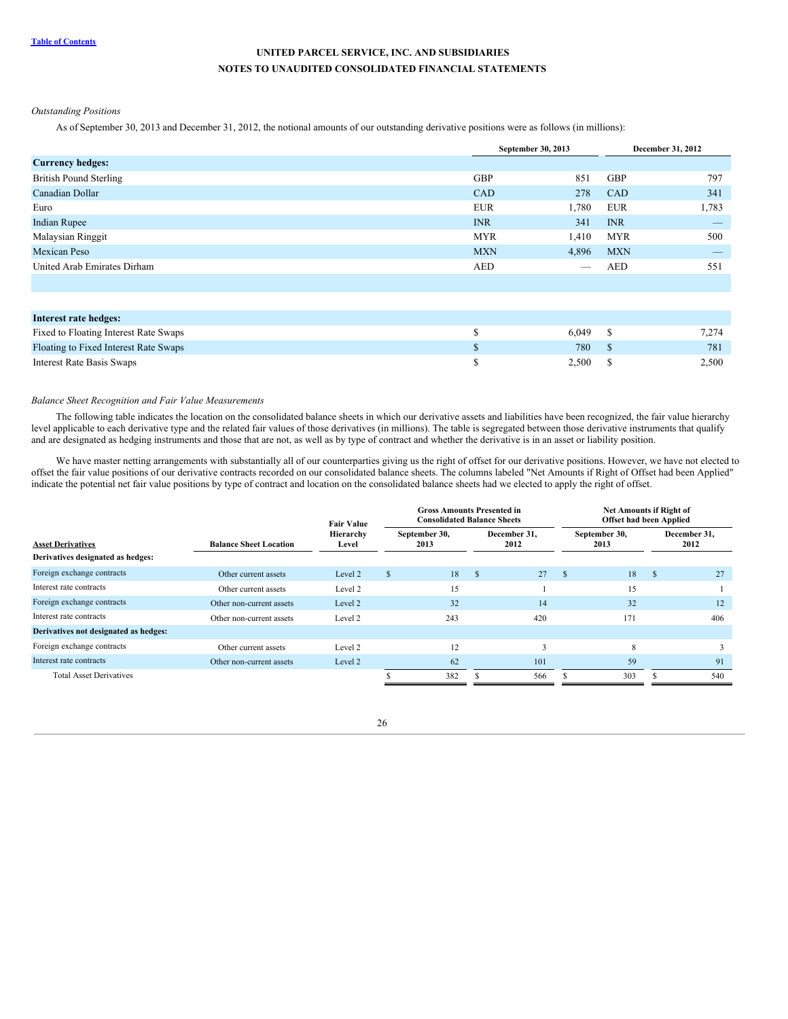#### *Outstanding Positions*

As of September 30, 2013 and December 31, 2012, the notional amounts of our outstanding derivative positions were as follows (in millions):

|                               | September 30, 2013 |                                 |            | December 31, 2012 |
|-------------------------------|--------------------|---------------------------------|------------|-------------------|
| <b>Currency hedges:</b>       |                    |                                 |            |                   |
| <b>British Pound Sterling</b> | <b>GBP</b>         | 851                             | <b>GBP</b> | 797               |
| Canadian Dollar               | CAD                | 278                             | <b>CAD</b> | 341               |
| Euro                          | <b>EUR</b>         | 1,780                           | EUR        | 1,783             |
| <b>Indian Rupee</b>           | <b>INR</b>         | 341                             | <b>INR</b> | $-$               |
| Malaysian Ringgit             | <b>MYR</b>         | 1,410                           | <b>MYR</b> | 500               |
| Mexican Peso                  | <b>MXN</b>         | 4,896                           | <b>MXN</b> | $-$               |
| United Arab Emirates Dirham   | AED                | $\hspace{0.1mm}-\hspace{0.1mm}$ | <b>AED</b> | 551               |
|                               |                    |                                 |            |                   |

| Interest rate hedges:                 |       |       |
|---------------------------------------|-------|-------|
| Fixed to Floating Interest Rate Swaps | 6.049 | 7,274 |
| Floating to Fixed Interest Rate Swaps | 780   | 781   |
| Interest Rate Basis Swaps             | 2.500 | 2,500 |

### *Balance Sheet Recognition and Fair Value Measurements*

The following table indicates the location on the consolidated balance sheets in which our derivative assets and liabilities have been recognized, the fair value hierarchy level applicable to each derivative type and the related fair values of those derivatives (in millions). The table is segregated between those derivative instruments that qualify and are designated as hedging instruments and those that are not, as well as by type of contract and whether the derivative is in an asset or liability position.

We have master netting arrangements with substantially all of our counterparties giving us the right of offset for our derivative positions. However, we have not elected to offset the fair value positions of our derivative contracts recorded on our consolidated balance sheets. The columns labeled "Net Amounts if Right of Offset had been Applied" indicate the potential net fair value positions by type of contract and location on the consolidated balance sheets had we elected to apply the right of offset.

|                                       | <b>Fair Value</b>             |                    | <b>Gross Amounts Presented in</b><br><b>Consolidated Balance Sheets</b> |                       |    | <b>Net Amounts if Right of</b><br><b>Offset had been Applied</b> |                       |     |                      |     |
|---------------------------------------|-------------------------------|--------------------|-------------------------------------------------------------------------|-----------------------|----|------------------------------------------------------------------|-----------------------|-----|----------------------|-----|
| <b>Asset Derivatives</b>              | <b>Balance Sheet Location</b> | Hierarchy<br>Level |                                                                         | September 30,<br>2013 |    | December 31.<br>2012                                             | September 30,<br>2013 |     | December 31,<br>2012 |     |
| Derivatives designated as hedges:     |                               |                    |                                                                         |                       |    |                                                                  |                       |     |                      |     |
| Foreign exchange contracts            | Other current assets          | Level 2            | <sup>\$</sup>                                                           | 18                    | -S | 27                                                               | <sup>\$</sup>         | 18  | <sup>\$</sup>        | 27  |
| Interest rate contracts               | Other current assets          | Level 2            |                                                                         | 15                    |    |                                                                  |                       | 15  |                      |     |
| Foreign exchange contracts            | Other non-current assets      | Level 2            |                                                                         | 32                    |    | 14                                                               |                       | 32  |                      | 12  |
| Interest rate contracts               | Other non-current assets      | Level 2            |                                                                         | 243                   |    | 420                                                              |                       | 171 |                      | 406 |
| Derivatives not designated as hedges: |                               |                    |                                                                         |                       |    |                                                                  |                       |     |                      |     |
| Foreign exchange contracts            | Other current assets          | Level 2            |                                                                         | 12                    |    |                                                                  |                       | 8   |                      |     |
| Interest rate contracts               | Other non-current assets      | Level 2            |                                                                         | 62                    |    | 101                                                              |                       | 59  |                      | 91  |
| <b>Total Asset Derivatives</b>        |                               |                    |                                                                         | 382                   |    | 566                                                              |                       | 303 |                      | 540 |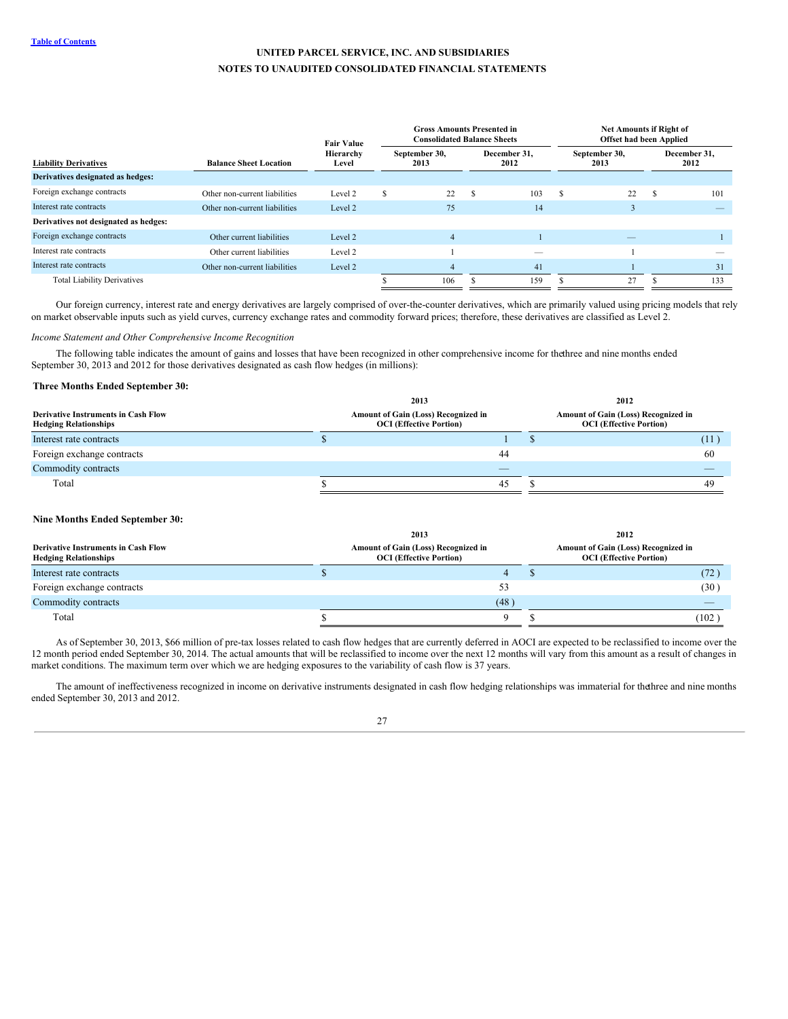|                                       |                               | <b>Fair Value</b>  | <b>Gross Amounts Presented in</b><br><b>Consolidated Balance Sheets</b> |     |                      |     |                       | <b>Net Amounts if Right of</b><br><b>Offset had been Applied</b> |                      |     |  |
|---------------------------------------|-------------------------------|--------------------|-------------------------------------------------------------------------|-----|----------------------|-----|-----------------------|------------------------------------------------------------------|----------------------|-----|--|
| <b>Liability Derivatives</b>          | <b>Balance Sheet Location</b> | Hierarchy<br>Level | September 30,<br>2013                                                   |     | December 31,<br>2012 |     | September 30,<br>2013 |                                                                  | December 31,<br>2012 |     |  |
| Derivatives designated as hedges:     |                               |                    |                                                                         |     |                      |     |                       |                                                                  |                      |     |  |
| Foreign exchange contracts            | Other non-current liabilities | Level 2            | \$.                                                                     | 22  | S.                   | 103 | <b>S</b>              | 22                                                               | S                    | 101 |  |
| Interest rate contracts               | Other non-current liabilities | Level 2            |                                                                         | 75  |                      | 14  |                       |                                                                  |                      |     |  |
| Derivatives not designated as hedges: |                               |                    |                                                                         |     |                      |     |                       |                                                                  |                      |     |  |
| Foreign exchange contracts            | Other current liabilities     | Level 2            |                                                                         |     |                      |     |                       |                                                                  |                      |     |  |
| Interest rate contracts               | Other current liabilities     | Level 2            |                                                                         |     |                      | $-$ |                       |                                                                  |                      |     |  |
| Interest rate contracts               | Other non-current liabilities | Level 2            |                                                                         |     |                      | 41  |                       |                                                                  |                      | 31  |  |
| <b>Total Liability Derivatives</b>    |                               |                    |                                                                         | 106 |                      | 159 |                       | 27                                                               |                      | 133 |  |

Our foreign currency, interest rate and energy derivatives are largely comprised of over-the-counter derivatives, which are primarily valued using pricing models that rely on market observable inputs such as yield curves, currency exchange rates and commodity forward prices; therefore, these derivatives are classified as Level 2.

*Income Statement and Other Comprehensive Income Recognition*

The following table indicates the amount of gains and losses that have been recognized in other comprehensive income for thethree and nine months ended September 30, 2013 and 2012 for those derivatives designated as cash flow hedges (in millions):

#### **Three Months Ended September 30:**

|                                                                            | 2013                                                                  | 2012 |                                                                       |      |
|----------------------------------------------------------------------------|-----------------------------------------------------------------------|------|-----------------------------------------------------------------------|------|
| <b>Derivative Instruments in Cash Flow</b><br><b>Hedging Relationships</b> | Amount of Gain (Loss) Recognized in<br><b>OCI</b> (Effective Portion) |      | Amount of Gain (Loss) Recognized in<br><b>OCI</b> (Effective Portion) |      |
| Interest rate contracts                                                    |                                                                       |      |                                                                       | (11) |
| Foreign exchange contracts                                                 |                                                                       | 44   |                                                                       | 60   |
| Commodity contracts                                                        |                                                                       | _    |                                                                       | _    |
| Total                                                                      |                                                                       | 45   |                                                                       | 49   |

#### **Nine Months Ended September 30:**

|                                                                            | 2013                                                                  | 2012                                                                  |
|----------------------------------------------------------------------------|-----------------------------------------------------------------------|-----------------------------------------------------------------------|
| <b>Derivative Instruments in Cash Flow</b><br><b>Hedging Relationships</b> | Amount of Gain (Loss) Recognized in<br><b>OCI</b> (Effective Portion) | Amount of Gain (Loss) Recognized in<br><b>OCI</b> (Effective Portion) |
| Interest rate contracts                                                    |                                                                       | (72)                                                                  |
| Foreign exchange contracts                                                 | 53                                                                    | (30)                                                                  |
| Commodity contracts                                                        | (48)                                                                  |                                                                       |
| Total                                                                      |                                                                       | (102)                                                                 |

As of September 30, 2013, \$66 million of pre-tax losses related to cash flow hedges that are currently deferred in AOCI are expected to be reclassified to income over the 12 month period ended September 30, 2014. The actual amounts that will be reclassified to income over the next 12 months will vary from this amount as a result of changes in market conditions. The maximum term over which we are hedging exposures to the variability of cash flow is 37 years.

The amount of ineffectiveness recognized in income on derivative instruments designated in cash flow hedging relationships was immaterial for thethree and nine months ended September 30, 2013 and 2012.

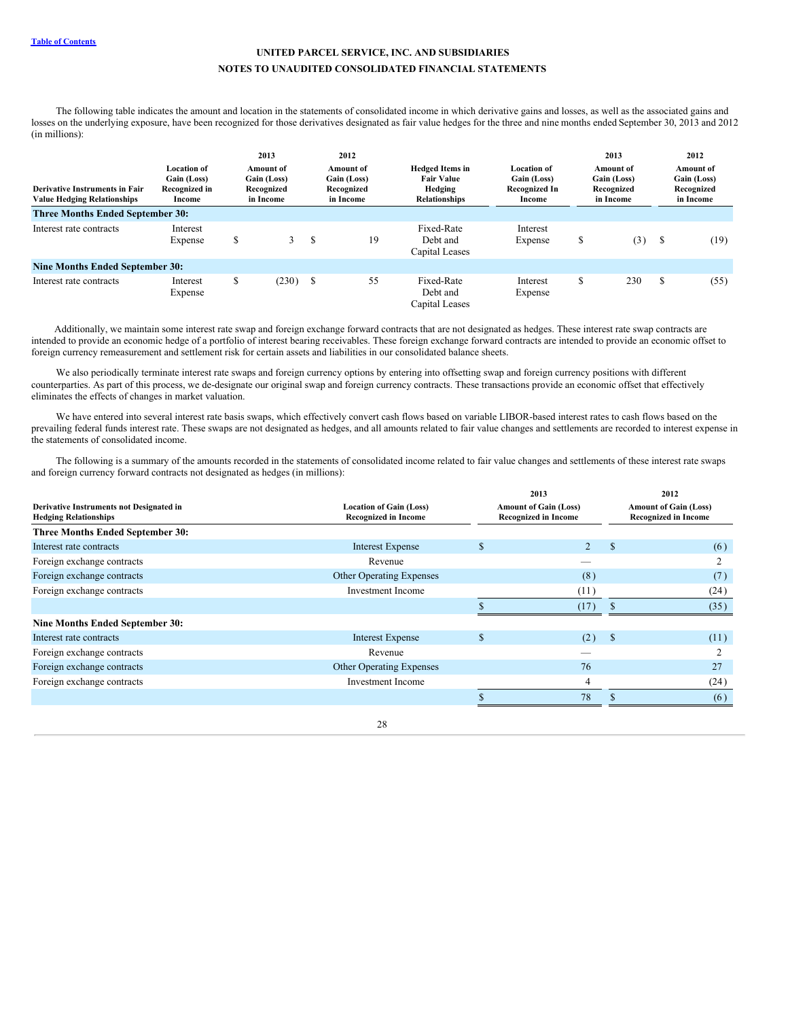The following table indicates the amount and location in the statements of consolidated income in which derivative gains and losses, as well as the associated gains and losses on the underlying exposure, have been recognized for those derivatives designated as fair value hedges for the three and nine months ended September 30, 2013 and 2012 (in millions):

| Derivative Instruments in Fair<br><b>Value Hedging Relationships</b> | <b>Location of</b><br>Gain (Loss)<br>Recognized in<br>Income |    | 2013<br><b>Amount</b> of<br>Gain (Loss)<br>Recognized<br>in Income |   | 2012<br><b>Amount of</b><br>Gain (Loss)<br>Recognized<br>in Income | <b>Hedged Items in</b><br><b>Fair Value</b><br>Hedging<br>Relationships | Location of<br>Gain (Loss)<br><b>Recognized In</b><br>Income |    | 2013<br>Amount of<br>Gain (Loss)<br>Recognized<br>in Income |   | 2012<br><b>Amount</b> of<br>Gain (Loss)<br>Recognized<br>in Income |
|----------------------------------------------------------------------|--------------------------------------------------------------|----|--------------------------------------------------------------------|---|--------------------------------------------------------------------|-------------------------------------------------------------------------|--------------------------------------------------------------|----|-------------------------------------------------------------|---|--------------------------------------------------------------------|
| <b>Three Months Ended September 30:</b>                              |                                                              |    |                                                                    |   |                                                                    |                                                                         |                                                              |    |                                                             |   |                                                                    |
| Interest rate contracts                                              | Interest<br>Expense                                          | \$ | 3                                                                  | S | 19                                                                 | Fixed-Rate<br>Debt and<br>Capital Leases                                | Interest<br>Expense                                          | \$ | (3)                                                         | S | (19)                                                               |
| <b>Nine Months Ended September 30:</b>                               |                                                              |    |                                                                    |   |                                                                    |                                                                         |                                                              |    |                                                             |   |                                                                    |
| Interest rate contracts                                              | Interest<br>Expense                                          | S  | $(230)$ \$                                                         |   | 55                                                                 | Fixed-Rate<br>Debt and<br>Capital Leases                                | Interest<br>Expense                                          | S  | 230                                                         | S | (55)                                                               |

Additionally, we maintain some interest rate swap and foreign exchange forward contracts that are not designated as hedges. These interest rate swap contracts are intended to provide an economic hedge of a portfolio of interest bearing receivables. These foreign exchange forward contracts are intended to provide an economic offset to foreign currency remeasurement and settlement risk for certain assets and liabilities in our consolidated balance sheets.

We also periodically terminate interest rate swaps and foreign currency options by entering into offsetting swap and foreign currency positions with different counterparties. As part of this process, we de-designate our original swap and foreign currency contracts. These transactions provide an economic offset that effectively eliminates the effects of changes in market valuation.

We have entered into several interest rate basis swaps, which effectively convert cash flows based on variable LIBOR-based interest rates to cash flows based on the prevailing federal funds interest rate. These swaps are not designated as hedges, and all amounts related to fair value changes and settlements are recorded to interest expense in the statements of consolidated income.

The following is a summary of the amounts recorded in the statements of consolidated income related to fair value changes and settlements of these interest rate swaps and foreign currency forward contracts not designated as hedges (in millions):

|                                                                          |                                                               | 2013                                                        |               | 2012                                                        |
|--------------------------------------------------------------------------|---------------------------------------------------------------|-------------------------------------------------------------|---------------|-------------------------------------------------------------|
| Derivative Instruments not Designated in<br><b>Hedging Relationships</b> | <b>Location of Gain (Loss)</b><br><b>Recognized in Income</b> | <b>Amount of Gain (Loss)</b><br><b>Recognized in Income</b> |               | <b>Amount of Gain (Loss)</b><br><b>Recognized in Income</b> |
| <b>Three Months Ended September 30:</b>                                  |                                                               |                                                             |               |                                                             |
| Interest rate contracts                                                  | <b>Interest Expense</b>                                       | \$<br>$\overline{2}$                                        | <sup>\$</sup> | (6)                                                         |
| Foreign exchange contracts                                               | Revenue                                                       |                                                             |               |                                                             |
| Foreign exchange contracts                                               | <b>Other Operating Expenses</b>                               | (8)                                                         |               | (7)                                                         |
| Foreign exchange contracts                                               | <b>Investment Income</b>                                      | (11)                                                        |               | (24)                                                        |
|                                                                          |                                                               | (17)                                                        |               | (35)                                                        |
| <b>Nine Months Ended September 30:</b>                                   |                                                               |                                                             |               |                                                             |
| Interest rate contracts                                                  | <b>Interest Expense</b>                                       | \$<br>(2)                                                   | <b>S</b>      | (11)                                                        |
| Foreign exchange contracts                                               | Revenue                                                       |                                                             |               |                                                             |
| Foreign exchange contracts                                               | <b>Other Operating Expenses</b>                               | 76                                                          |               | 27                                                          |
| Foreign exchange contracts                                               | <b>Investment Income</b>                                      | 4                                                           |               | (24)                                                        |
|                                                                          |                                                               | 78                                                          |               | (6)                                                         |
|                                                                          | 28                                                            |                                                             |               |                                                             |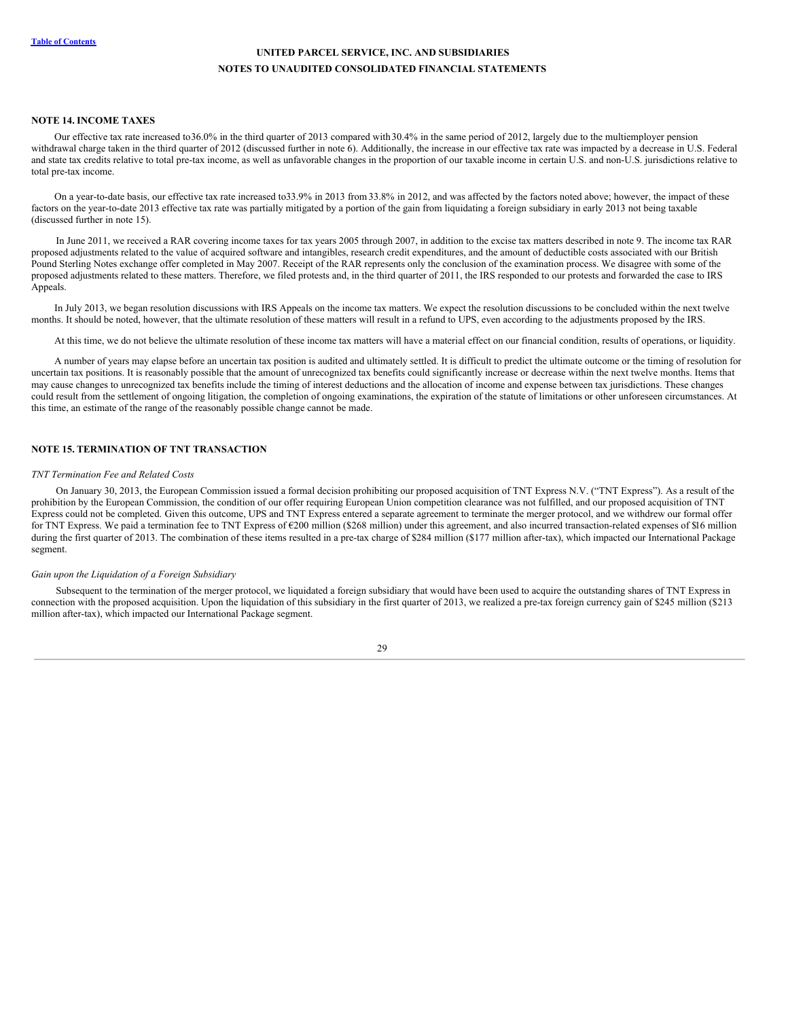# <span id="page-30-0"></span>**NOTE 14. INCOME TAXES**

Our effective tax rate increased to 36.0% in the third quarter of 2013 compared with 30.4% in the same period of 2012, largely due to the multiemployer pension withdrawal charge taken in the third quarter of 2012 (discussed further in note 6). Additionally, the increase in our effective tax rate was impacted by a decrease in U.S. Federal and state tax credits relative to total pre-tax income, as well as unfavorable changes in the proportion of our taxable income in certain U.S. and non-U.S. jurisdictions relative to total pre-tax income.

On a year-to-date basis, our effective tax rate increased to33.9% in 2013 from 33.8% in 2012, and was affected by the factors noted above; however, the impact of these factors on the year-to-date 2013 effective tax rate was partially mitigated by a portion of the gain from liquidating a foreign subsidiary in early 2013 not being taxable (discussed further in note 15).

In June 2011, we received a RAR covering income taxes for tax years 2005 through 2007, in addition to the excise tax matters described in note 9. The income tax RAR proposed adjustments related to the value of acquired software and intangibles, research credit expenditures, and the amount of deductible costs associated with our British Pound Sterling Notes exchange offer completed in May 2007. Receipt of the RAR represents only the conclusion of the examination process. We disagree with some of the proposed adjustments related to these matters. Therefore, we filed protests and, in the third quarter of 2011, the IRS responded to our protests and forwarded the case to IRS Appeals.

In July 2013, we began resolution discussions with IRS Appeals on the income tax matters. We expect the resolution discussions to be concluded within the next twelve months. It should be noted, however, that the ultimate resolution of these matters will result in a refund to UPS, even according to the adjustments proposed by the IRS.

At this time, we do not believe the ultimate resolution of these income tax matters will have a material effect on our financial condition, results of operations, or liquidity.

A number of years may elapse before an uncertain tax position is audited and ultimately settled. It is difficult to predict the ultimate outcome or the timing of resolution for uncertain tax positions. It is reasonably possible that the amount of unrecognized tax benefits could significantly increase or decrease within the next twelve months. Items that may cause changes to unrecognized tax benefits include the timing of interest deductions and the allocation of income and expense between tax jurisdictions. These changes could result from the settlement of ongoing litigation, the completion of ongoing examinations, the expiration of the statute of limitations or other unforeseen circumstances. At this time, an estimate of the range of the reasonably possible change cannot be made.

### <span id="page-30-1"></span>**NOTE 15. TERMINATION OF TNT TRANSACTION**

#### *TNT Termination Fee and Related Costs*

On January 30, 2013, the European Commission issued a formal decision prohibiting our proposed acquisition of TNT Express N.V. ("TNT Express"). As a result of the prohibition by the European Commission, the condition of our offer requiring European Union competition clearance was not fulfilled, and our proposed acquisition of TNT Express could not be completed. Given this outcome, UPS and TNT Express entered a separate agreement to terminate the merger protocol, and we withdrew our formal offer for TNT Express. We paid a termination fee to TNT Express of €200 million (\$268 million) under this agreement, and also incurred transaction-related expenses of \$16 million during the first quarter of 2013. The combination of these items resulted in a pre-tax charge of \$284 million (\$177 million after-tax), which impacted our International Package segment.

#### *Gain upon the Liquidation of a Foreign Subsidiary*

Subsequent to the termination of the merger protocol, we liquidated a foreign subsidiary that would have been used to acquire the outstanding shares of TNT Express in connection with the proposed acquisition. Upon the liquidation of this subsidiary in the first quarter of 2013, we realized a pre-tax foreign currency gain of \$245 million (\$213 million after-tax), which impacted our International Package segment.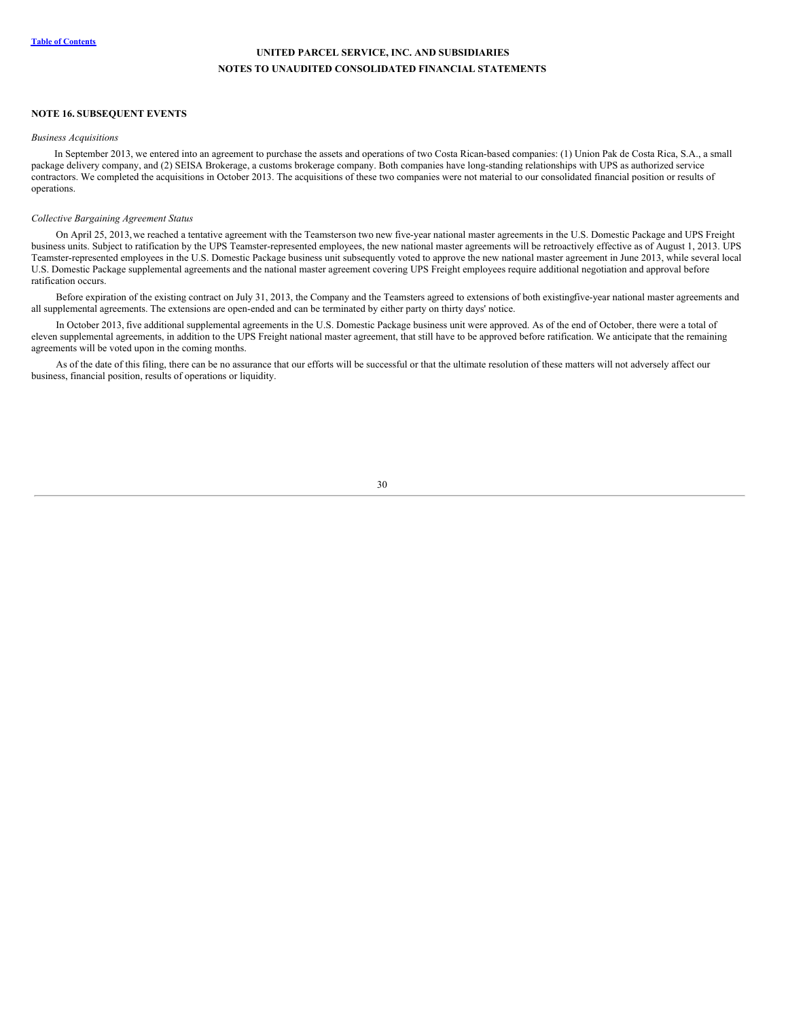# <span id="page-31-0"></span>**NOTE 16. SUBSEQUENT EVENTS**

#### *Business Acquisitions*

In September 2013, we entered into an agreement to purchase the assets and operations of two Costa Rican-based companies: (1) Union Pak de Costa Rica, S.A., a small package delivery company, and (2) SEISA Brokerage, a customs brokerage company. Both companies have long-standing relationships with UPS as authorized service contractors. We completed the acquisitions in October 2013. The acquisitions of these two companies were not material to our consolidated financial position or results of operations.

#### *Collective Bargaining Agreement Status*

On April 25, 2013,we reached a tentative agreement with the Teamsterson two new five-year national master agreements in the U.S. Domestic Package and UPS Freight business units. Subject to ratification by the UPS Teamster-represented employees, the new national master agreements will be retroactively effective as of August 1, 2013. UPS Teamster-represented employees in the U.S. Domestic Package business unit subsequently voted to approve the new national master agreement in June 2013, while several local U.S. Domestic Package supplemental agreements and the national master agreement covering UPS Freight employees require additional negotiation and approval before ratification occurs.

Before expiration of the existing contract on July 31, 2013, the Company and the Teamsters agreed to extensions of both existingfive-year national master agreements and all supplemental agreements. The extensions are open-ended and can be terminated by either party on thirty days' notice.

In October 2013, five additional supplemental agreements in the U.S. Domestic Package business unit were approved. As of the end of October, there were a total of eleven supplemental agreements, in addition to the UPS Freight national master agreement, that still have to be approved before ratification. We anticipate that the remaining agreements will be voted upon in the coming months.

As of the date of this filing, there can be no assurance that our efforts will be successful or that the ultimate resolution of these matters will not adversely affect our business, financial position, results of operations or liquidity.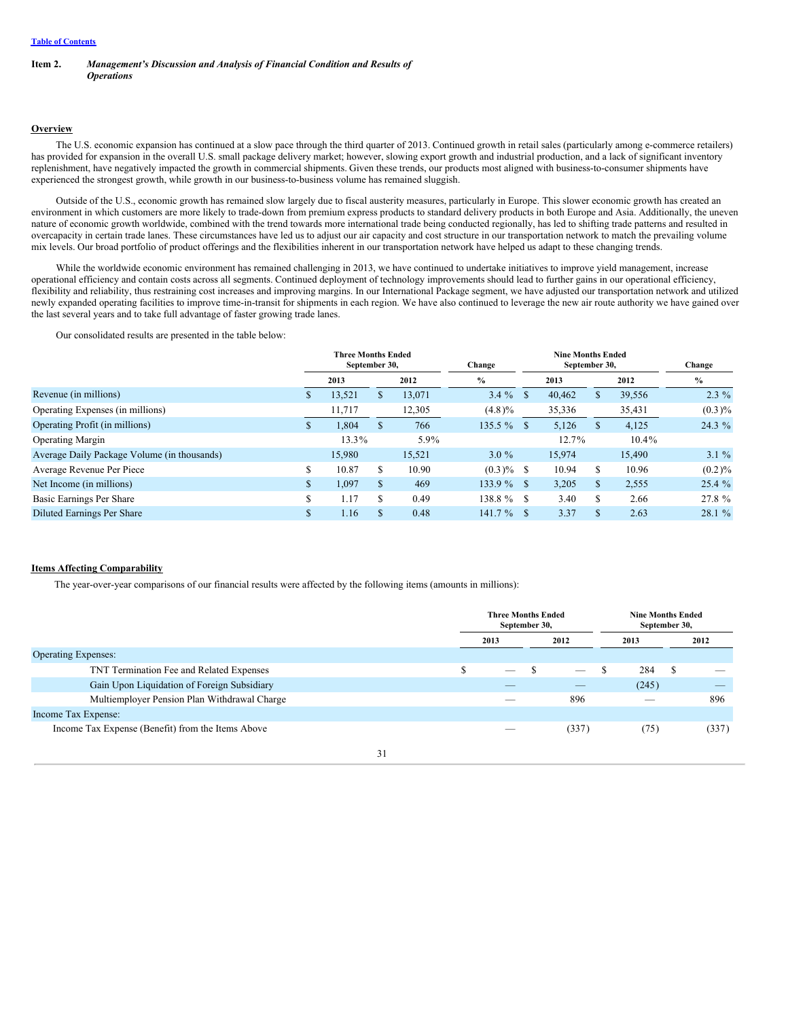<span id="page-32-0"></span>**Item 2.** *Management's Discussion and Analysis of Financial Condition and Results of Operations*

#### <span id="page-32-1"></span>**Overview**

The U.S. economic expansion has continued at a slow pace through the third quarter of 2013. Continued growth in retail sales (particularly among e-commerce retailers) has provided for expansion in the overall U.S. small package delivery market; however, slowing export growth and industrial production, and a lack of significant inventory replenishment, have negatively impacted the growth in commercial shipments. Given these trends, our products most aligned with business-to-consumer shipments have experienced the strongest growth, while growth in our business-to-business volume has remained sluggish.

Outside of the U.S., economic growth has remained slow largely due to fiscal austerity measures, particularly in Europe. This slower economic growth has created an environment in which customers are more likely to trade-down from premium express products to standard delivery products in both Europe and Asia. Additionally, the uneven nature of economic growth worldwide, combined with the trend towards more international trade being conducted regionally, has led to shifting trade patterns and resulted in overcapacity in certain trade lanes. These circumstances have led us to adjust our air capacity and cost structure in our transportation network to match the prevailing volume mix levels. Our broad portfolio of product offerings and the flexibilities inherent in our transportation network have helped us adapt to these changing trends.

While the worldwide economic environment has remained challenging in 2013, we have continued to undertake initiatives to improve yield management, increase operational efficiency and contain costs across all segments. Continued deployment of technology improvements should lead to further gains in our operational efficiency, flexibility and reliability, thus restraining cost increases and improving margins. In our International Package segment, we have adjusted our transportation network and utilized newly expanded operating facilities to improve time-in-transit for shipments in each region. We have also continued to leverage the new air route authority we have gained over the last several years and to take full advantage of faster growing trade lanes.

Our consolidated results are presented in the table below:

|                                             | <b>Three Months Ended</b><br>September 30, |          |    |        | Change        |              | <b>Nine Months Ended</b><br>September 30, | Change |          |           |
|---------------------------------------------|--------------------------------------------|----------|----|--------|---------------|--------------|-------------------------------------------|--------|----------|-----------|
|                                             |                                            | 2013     |    | 2012   | $\frac{0}{0}$ |              | 2013                                      |        | 2012     | $\%$      |
| Revenue (in millions)                       | ъ                                          | 13,521   | ъ  | 13,071 | $3.4\%$       | <sup>S</sup> | 40,462                                    | Эħ.    | 39,556   | $2.3\%$   |
| Operating Expenses (in millions)            |                                            | 11,717   |    | 12,305 | $(4.8)\%$     |              | 35,336                                    |        | 35,431   | $(0.3)\%$ |
| Operating Profit (in millions)              |                                            | 1,804    | S. | 766    | 135.5 %       | -S           | 5,126                                     | \$     | 4,125    | $24.3 \%$ |
| <b>Operating Margin</b>                     |                                            | $13.3\%$ |    | 5.9%   |               |              | $12.7\%$                                  |        | $10.4\%$ |           |
| Average Daily Package Volume (in thousands) |                                            | 15,980   |    | 15,521 | $3.0\%$       |              | 15.974                                    |        | 15,490   | $3.1\%$   |
| Average Revenue Per Piece                   | S                                          | 10.87    | S  | 10.90  | $(0.3)\%$ \$  |              | 10.94                                     | S      | 10.96    | $(0.2)\%$ |
| Net Income (in millions)                    | \$                                         | 1,097    | S. | 469    | $133.9\%$ \$  |              | 3.205                                     | \$     | 2,555    | $25.4 \%$ |
| Basic Earnings Per Share                    | S                                          | 1.17     | S  | 0.49   | 138.8 % \$    |              | 3.40                                      | \$     | 2.66     | 27.8 %    |
| Diluted Earnings Per Share                  | ъ                                          | 1.16     |    | 0.48   | $141.7\%$ \$  |              | 3.37                                      | \$     | 2.63     | 28.1%     |

# <span id="page-32-2"></span>**Items Affecting Comparability**

The year-over-year comparisons of our financial results were affected by the following items (amounts in millions):

|                                                   |    | <b>Three Months Ended</b><br>September 30, |      |  |       |      | <b>Nine Months Ended</b><br>September 30, |   |       |
|---------------------------------------------------|----|--------------------------------------------|------|--|-------|------|-------------------------------------------|---|-------|
|                                                   |    |                                            | 2013 |  | 2012  | 2013 |                                           |   | 2012  |
| <b>Operating Expenses:</b>                        |    |                                            |      |  |       |      |                                           |   |       |
| TNT Termination Fee and Related Expenses          |    | S                                          |      |  |       | D    | 284                                       | S |       |
| Gain Upon Liquidation of Foreign Subsidiary       |    |                                            |      |  | _     |      | (245)                                     |   | _     |
| Multiemployer Pension Plan Withdrawal Charge      |    |                                            |      |  | 896   |      | _                                         |   | 896   |
| Income Tax Expense:                               |    |                                            |      |  |       |      |                                           |   |       |
| Income Tax Expense (Benefit) from the Items Above |    |                                            |      |  | (337) |      | (75)                                      |   | (337) |
|                                                   | 31 |                                            |      |  |       |      |                                           |   |       |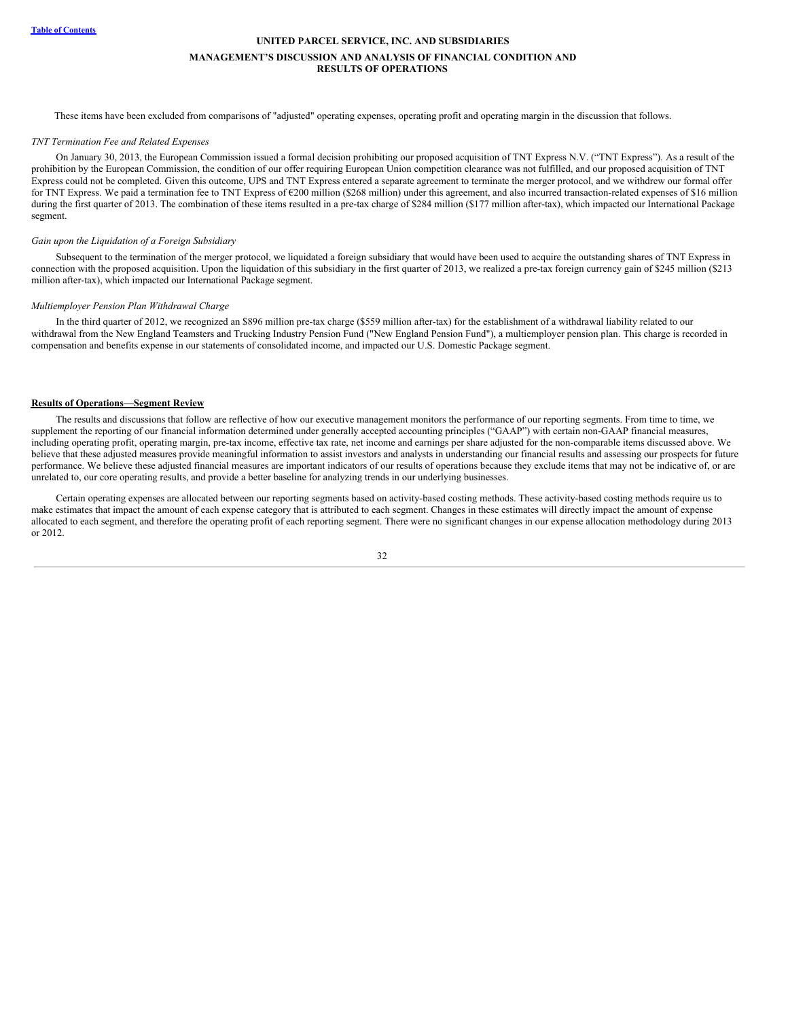These items have been excluded from comparisons of "adjusted" operating expenses, operating profit and operating margin in the discussion that follows.

#### *TNT Termination Fee and Related Expenses*

On January 30, 2013, the European Commission issued a formal decision prohibiting our proposed acquisition of TNT Express N.V. ("TNT Express"). As a result of the prohibition by the European Commission, the condition of our offer requiring European Union competition clearance was not fulfilled, and our proposed acquisition of TNT Express could not be completed. Given this outcome, UPS and TNT Express entered a separate agreement to terminate the merger protocol, and we withdrew our formal offer for TNT Express. We paid a termination fee to TNT Express of €200 million (\$268 million) under this agreement, and also incurred transaction-related expenses of \$16 million during the first quarter of 2013. The combination of these items resulted in a pre-tax charge of \$284 million (\$177 million after-tax), which impacted our International Package segment.

#### *Gain upon the Liquidation of a Foreign Subsidiary*

Subsequent to the termination of the merger protocol, we liquidated a foreign subsidiary that would have been used to acquire the outstanding shares of TNT Express in connection with the proposed acquisition. Upon the liquidation of this subsidiary in the first quarter of 2013, we realized a pre-tax foreign currency gain of \$245 million (\$213 million after-tax), which impacted our International Package segment.

#### *Multiemployer Pension Plan Withdrawal Charge*

In the third quarter of 2012, we recognized an \$896 million pre-tax charge (\$559 million after-tax) for the establishment of a withdrawal liability related to our withdrawal from the New England Teamsters and Trucking Industry Pension Fund ("New England Pension Fund"), a multiemployer pension plan. This charge is recorded in compensation and benefits expense in our statements of consolidated income, and impacted our U.S. Domestic Package segment.

#### <span id="page-33-0"></span>**Results of Operations—Segment Review**

The results and discussions that follow are reflective of how our executive management monitors the performance of our reporting segments. From time to time, we supplement the reporting of our financial information determined under generally accepted accounting principles ("GAAP") with certain non-GAAP financial measures, including operating profit, operating margin, pre-tax income, effective tax rate, net income and earnings per share adjusted for the non-comparable items discussed above. We believe that these adjusted measures provide meaningful information to assist investors and analysts in understanding our financial results and assessing our prospects for future performance. We believe these adjusted financial measures are important indicators of our results of operations because they exclude items that may not be indicative of, or are unrelated to, our core operating results, and provide a better baseline for analyzing trends in our underlying businesses.

Certain operating expenses are allocated between our reporting segments based on activity-based costing methods. These activity-based costing methods require us to make estimates that impact the amount of each expense category that is attributed to each segment. Changes in these estimates will directly impact the amount of expense allocated to each segment, and therefore the operating profit of each reporting segment. There were no significant changes in our expense allocation methodology during 2013 or 2012.

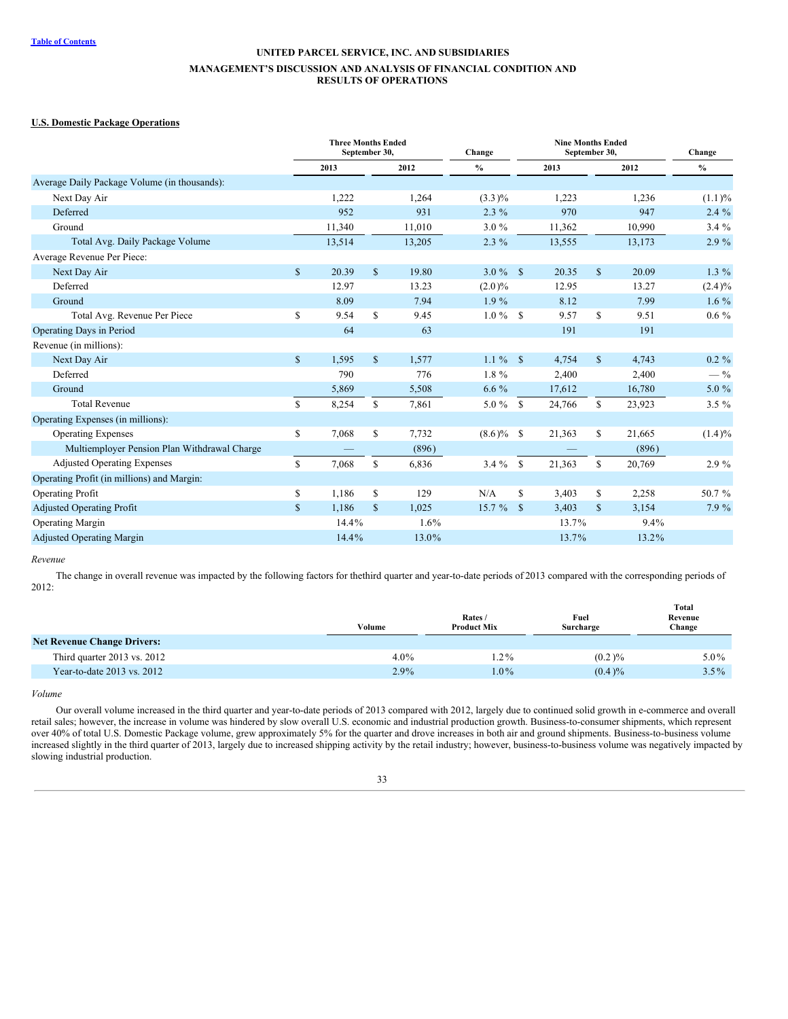# <span id="page-34-0"></span>**U.S. Domestic Package Operations**

|                                              |              | <b>Three Months Ended</b><br>September 30, |               |        | Change        |               | <b>Nine Months Ended</b><br>September 30, |              |        | Change        |
|----------------------------------------------|--------------|--------------------------------------------|---------------|--------|---------------|---------------|-------------------------------------------|--------------|--------|---------------|
|                                              |              | 2013                                       |               | 2012   | $\frac{0}{0}$ |               | 2013                                      |              | 2012   | $\frac{0}{0}$ |
| Average Daily Package Volume (in thousands): |              |                                            |               |        |               |               |                                           |              |        |               |
| Next Day Air                                 |              | 1,222                                      |               | 1,264  | $(3.3)\%$     |               | 1,223                                     |              | 1,236  | $(1.1)\%$     |
| Deferred                                     |              | 952                                        |               | 931    | $2.3\%$       |               | 970                                       |              | 947    | $2.4\%$       |
| Ground                                       |              | 11,340                                     |               | 11,010 | 3.0%          |               | 11,362                                    |              | 10,990 | $3.4\%$       |
| Total Avg. Daily Package Volume              |              | 13,514                                     |               | 13,205 | $2.3\%$       |               | 13,555                                    |              | 13,173 | $2.9\%$       |
| Average Revenue Per Piece:                   |              |                                            |               |        |               |               |                                           |              |        |               |
| Next Day Air                                 | $\mathbb{S}$ | 20.39                                      | $\mathsf{\$}$ | 19.80  | $3.0\%$ \$    |               | 20.35                                     | $\mathbb{S}$ | 20.09  | 1.3 $%$       |
| Deferred                                     |              | 12.97                                      |               | 13.23  | $(2.0)\%$     |               | 12.95                                     |              | 13.27  | $(2.4)\%$     |
| Ground                                       |              | 8.09                                       |               | 7.94   | $1.9\%$       |               | 8.12                                      |              | 7.99   | $1.6\%$       |
| Total Avg. Revenue Per Piece                 | \$           | 9.54                                       | <sup>\$</sup> | 9.45   | $1.0 \%$ \$   |               | 9.57                                      | S.           | 9.51   | $0.6\%$       |
| Operating Days in Period                     |              | 64                                         |               | 63     |               |               | 191                                       |              | 191    |               |
| Revenue (in millions):                       |              |                                            |               |        |               |               |                                           |              |        |               |
| Next Day Air                                 | $\mathbb{S}$ | 1,595                                      | $\mathbb{S}$  | 1,577  | $1.1 \%$ \$   |               | 4,754                                     | $\mathbb{S}$ | 4,743  | $0.2\%$       |
| Deferred                                     |              | 790                                        |               | 776    | 1.8 %         |               | 2,400                                     |              | 2,400  | $-$ %         |
| Ground                                       |              | 5,869                                      |               | 5,508  | $6.6\%$       |               | 17,612                                    |              | 16,780 | 5.0 $%$       |
| <b>Total Revenue</b>                         | \$           | 8,254                                      | \$            | 7,861  | $5.0 \%$ \$   |               | 24,766                                    | $\mathbb{S}$ | 23,923 | $3.5 \%$      |
| Operating Expenses (in millions):            |              |                                            |               |        |               |               |                                           |              |        |               |
| <b>Operating Expenses</b>                    | \$           | 7,068                                      | \$            | 7,732  | $(8.6)\%$ \$  |               | 21,363                                    | \$           | 21,665 | $(1.4)\%$     |
| Multiemployer Pension Plan Withdrawal Charge |              |                                            |               | (896)  |               |               |                                           |              | (896)  |               |
| <b>Adjusted Operating Expenses</b>           | \$           | 7,068                                      | \$            | 6,836  | $3.4\%$       | <sup>\$</sup> | 21,363                                    | \$           | 20,769 | $2.9\%$       |
| Operating Profit (in millions) and Margin:   |              |                                            |               |        |               |               |                                           |              |        |               |
| <b>Operating Profit</b>                      | \$           | 1,186                                      | \$            | 129    | N/A           | \$            | 3,403                                     | \$           | 2,258  | 50.7 %        |
| <b>Adjusted Operating Profit</b>             | $\mathbb{S}$ | 1,186                                      | $\mathsf{\$}$ | 1,025  | $15.7 \%$ \$  |               | 3,403                                     | $\mathbb{S}$ | 3,154  | 7.9 %         |
| <b>Operating Margin</b>                      |              | 14.4%                                      |               | 1.6%   |               |               | 13.7%                                     |              | 9.4%   |               |
| <b>Adjusted Operating Margin</b>             |              | 14.4%                                      |               | 13.0%  |               |               | 13.7%                                     |              | 13.2%  |               |

# *Revenue*

The change in overall revenue was impacted by the following factors for thethird quarter and year-to-date periods of 2013 compared with the corresponding periods of 2012:

|                                    | Volume  | Rates /<br><b>Product Mix</b> | Fuel<br>Surcharge | <b>Total</b><br>Revenue<br>Change |
|------------------------------------|---------|-------------------------------|-------------------|-----------------------------------|
| <b>Net Revenue Change Drivers:</b> |         |                               |                   |                                   |
| Third quarter $2013$ vs. $2012$    | $4.0\%$ | $1.2\%$                       | $(0.2) \%$        | $5.0\%$                           |
| Year-to-date $2013$ vs. $2012$     | $2.9\%$ | $1.0\%$                       | $(0.4) \%$        | $3.5\%$                           |
|                                    |         |                               |                   |                                   |

### *Volume*

Our overall volume increased in the third quarter and year-to-date periods of 2013 compared with 2012, largely due to continued solid growth in e-commerce and overall retail sales; however, the increase in volume was hindered by slow overall U.S. economic and industrial production growth. Business-to-consumer shipments, which represent over 40% of total U.S. Domestic Package volume, grew approximately 5% for the quarter and drove increases in both air and ground shipments. Business-to-business volume increased slightly in the third quarter of 2013, largely due to increased shipping activity by the retail industry; however, business-to-business volume was negatively impacted by slowing industrial production.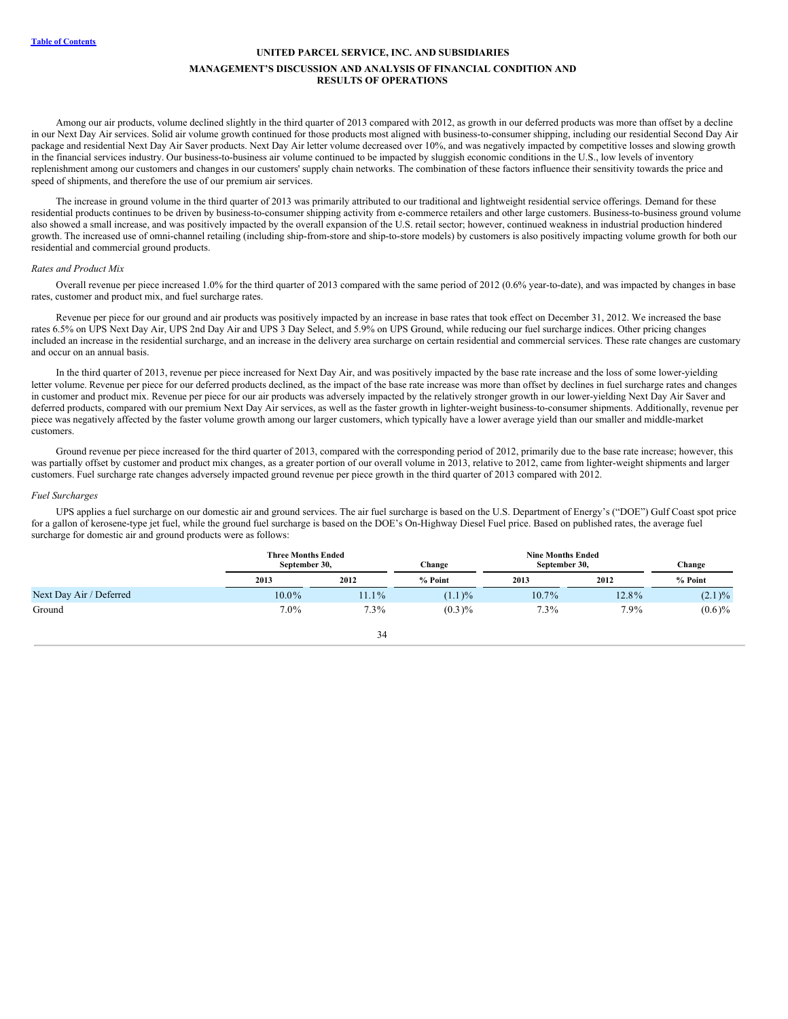### **UNITED PARCEL SERVICE, INC. AND SUBSIDIARIES**

### **MANAGEMENT'S DISCUSSION AND ANALYSIS OF FINANCIAL CONDITION AND RESULTS OF OPERATIONS**

Among our air products, volume declined slightly in the third quarter of 2013 compared with 2012, as growth in our deferred products was more than offset by a decline in our Next Day Air services. Solid air volume growth continued for those products most aligned with business-to-consumer shipping, including our residential Second Day Air package and residential Next Day Air Saver products. Next Day Air letter volume decreased over 10%, and was negatively impacted by competitive losses and slowing growth in the financial services industry. Our business-to-business air volume continued to be impacted by sluggish economic conditions in the U.S., low levels of inventory replenishment among our customers and changes in our customers' supply chain networks. The combination of these factors influence their sensitivity towards the price and speed of shipments, and therefore the use of our premium air services.

The increase in ground volume in the third quarter of 2013 was primarily attributed to our traditional and lightweight residential service offerings. Demand for these residential products continues to be driven by business-to-consumer shipping activity from e-commerce retailers and other large customers. Business-to-business ground volume also showed a small increase, and was positively impacted by the overall expansion of the U.S. retail sector; however, continued weakness in industrial production hindered growth. The increased use of omni-channel retailing (including ship-from-store and ship-to-store models) by customers is also positively impacting volume growth for both our residential and commercial ground products.

### *Rates and Product Mix*

Overall revenue per piece increased 1.0% for the third quarter of 2013 compared with the same period of 2012 (0.6% year-to-date), and was impacted by changes in base rates, customer and product mix, and fuel surcharge rates.

Revenue per piece for our ground and air products was positively impacted by an increase in base rates that took effect on December 31, 2012. We increased the base rates 6.5% on UPS Next Day Air, UPS 2nd Day Air and UPS 3 Day Select, and 5.9% on UPS Ground, while reducing our fuel surcharge indices. Other pricing changes included an increase in the residential surcharge, and an increase in the delivery area surcharge on certain residential and commercial services. These rate changes are customary and occur on an annual basis.

In the third quarter of 2013, revenue per piece increased for Next Day Air, and was positively impacted by the base rate increase and the loss of some lower-yielding letter volume. Revenue per piece for our deferred products declined, as the impact of the base rate increase was more than offset by declines in fuel surcharge rates and changes in customer and product mix. Revenue per piece for our air products was adversely impacted by the relatively stronger growth in our lower-yielding Next Day Air Saver and deferred products, compared with our premium Next Day Air services, as well as the faster growth in lighter-weight business-to-consumer shipments. Additionally, revenue per piece was negatively affected by the faster volume growth among our larger customers, which typically have a lower average yield than our smaller and middle-market customers.

Ground revenue per piece increased for the third quarter of 2013, compared with the corresponding period of 2012, primarily due to the base rate increase; however, this was partially offset by customer and product mix changes, as a greater portion of our overall volume in 2013, relative to 2012, came from lighter-weight shipments and larger customers. Fuel surcharge rate changes adversely impacted ground revenue per piece growth in the third quarter of 2013 compared with 2012.

#### *Fuel Surcharges*

UPS applies a fuel surcharge on our domestic air and ground services. The air fuel surcharge is based on the U.S. Department of Energy's ("DOE") Gulf Coast spot price for a gallon of kerosene-type jet fuel, while the ground fuel surcharge is based on the DOE's On-Highway Diesel Fuel price. Based on published rates, the average fuel surcharge for domestic air and ground products were as follows:

|                         | <b>Three Months Ended</b><br>September 30, |          | Change    | <b>Nine Months Ended</b><br>September 30, | Change |           |
|-------------------------|--------------------------------------------|----------|-----------|-------------------------------------------|--------|-----------|
|                         | 2013                                       | 2012     | % Point   | 2013                                      | 2012   | % Point   |
| Next Day Air / Deferred | $10.0\%$                                   | $11.1\%$ | $(1.1)\%$ | $10.7\%$                                  | 12.8%  | $(2.1)\%$ |
| Ground                  | $7.0\%$                                    | $7.3\%$  | $(0.3)\%$ | $7.3\%$                                   | 7.9%   | $(0.6)\%$ |
|                         |                                            | 34       |           |                                           |        |           |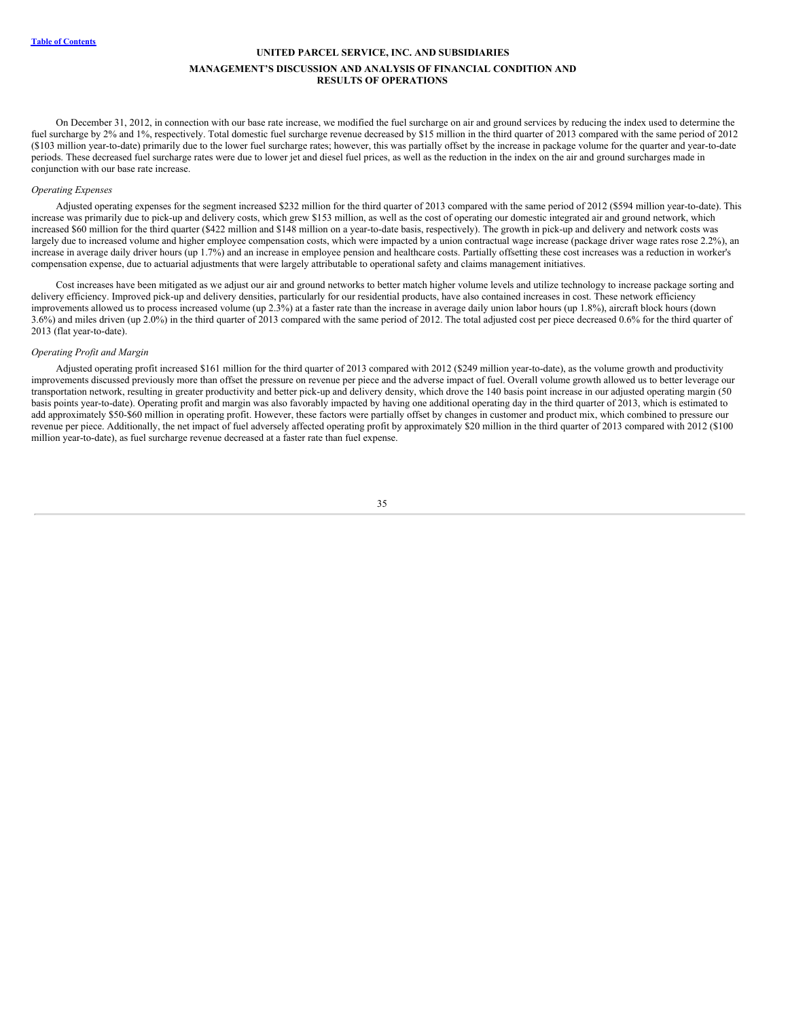### **UNITED PARCEL SERVICE, INC. AND SUBSIDIARIES**

#### **MANAGEMENT'S DISCUSSION AND ANALYSIS OF FINANCIAL CONDITION AND RESULTS OF OPERATIONS**

On December 31, 2012, in connection with our base rate increase, we modified the fuel surcharge on air and ground services by reducing the index used to determine the fuel surcharge by 2% and 1%, respectively. Total domestic fuel surcharge revenue decreased by \$15 million in the third quarter of 2013 compared with the same period of 2012 (\$103 million year-to-date) primarily due to the lower fuel surcharge rates; however, this was partially offset by the increase in package volume for the quarter and year-to-date periods. These decreased fuel surcharge rates were due to lower jet and diesel fuel prices, as well as the reduction in the index on the air and ground surcharges made in conjunction with our base rate increase.

#### *Operating Expenses*

Adjusted operating expenses for the segment increased \$232 million for the third quarter of 2013 compared with the same period of 2012 (\$594 million year-to-date). This increase was primarily due to pick-up and delivery costs, which grew \$153 million, as well as the cost of operating our domestic integrated air and ground network, which increased \$60 million for the third quarter (\$422 million and \$148 million on a year-to-date basis, respectively). The growth in pick-up and delivery and network costs was largely due to increased volume and higher employee compensation costs, which were impacted by a union contractual wage increase (package driver wage rates rose 2.2%), an increase in average daily driver hours (up 1.7%) and an increase in employee pension and healthcare costs. Partially offsetting these cost increases was a reduction in worker's compensation expense, due to actuarial adjustments that were largely attributable to operational safety and claims management initiatives.

Cost increases have been mitigated as we adjust our air and ground networks to better match higher volume levels and utilize technology to increase package sorting and delivery efficiency. Improved pick-up and delivery densities, particularly for our residential products, have also contained increases in cost. These network efficiency improvements allowed us to process increased volume (up 2.3%) at a faster rate than the increase in average daily union labor hours (up 1.8%), aircraft block hours (down  $3.6\%$ ) and miles driven (up 2.0%) in the third quarter of 2013 compared with the same period of 2012. The total adjusted cost per piece decreased 0.6% for the third quarter of 2013 (flat year-to-date).

### *Operating Profit and Margin*

Adjusted operating profit increased \$161 million for the third quarter of 2013 compared with 2012 (\$249 million year-to-date), as the volume growth and productivity improvements discussed previously more than offset the pressure on revenue per piece and the adverse impact of fuel. Overall volume growth allowed us to better leverage our transportation network, resulting in greater productivity and better pick-up and delivery density, which drove the 140 basis point increase in our adjusted operating margin (50 basis points year-to-date). Operating profit and margin was also favorably impacted by having one additional operating day in the third quarter of 2013, which is estimated to add approximately \$50-\$60 million in operating profit. However, these factors were partially offset by changes in customer and product mix, which combined to pressure our revenue per piece. Additionally, the net impact of fuel adversely affected operating profit by approximately \$20 million in the third quarter of 2013 compared with 2012 (\$100 million year-to-date), as fuel surcharge revenue decreased at a faster rate than fuel expense.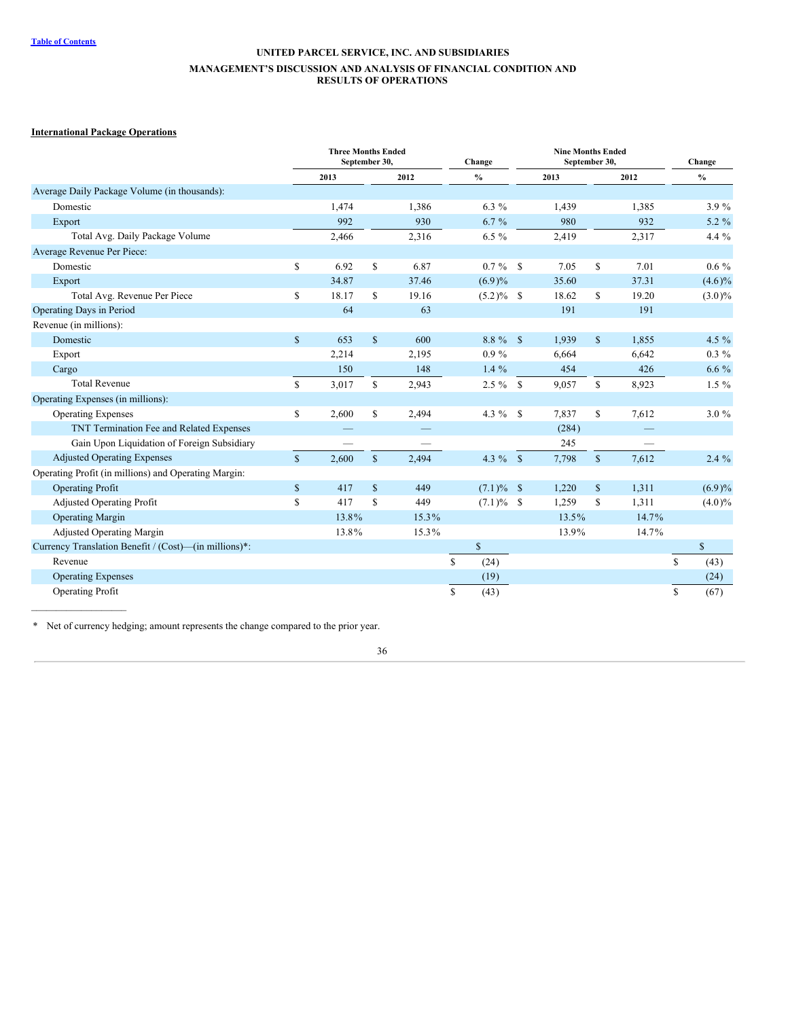# <span id="page-37-0"></span>**International Package Operations**

|                                                       |               | <b>Three Months Ended</b> | September 30. |       | Change        |               | <b>Nine Months Ended</b><br>September 30. |              |       |             | Change        |
|-------------------------------------------------------|---------------|---------------------------|---------------|-------|---------------|---------------|-------------------------------------------|--------------|-------|-------------|---------------|
|                                                       |               | 2013                      |               | 2012  |               | $\frac{0}{0}$ | 2013                                      |              | 2012  |             | $\frac{0}{0}$ |
| Average Daily Package Volume (in thousands):          |               |                           |               |       |               |               |                                           |              |       |             |               |
| Domestic                                              |               | 1,474                     |               | 1,386 |               | $6.3\%$       | 1,439                                     |              | 1,385 |             | $3.9\%$       |
| Export                                                |               | 992                       |               | 930   |               | $6.7 \%$      | 980                                       |              | 932   |             | 5.2 %         |
| Total Avg. Daily Package Volume                       |               | 2,466                     |               | 2,316 |               | $6.5\%$       | 2,419                                     |              | 2,317 |             | 4.4 %         |
| Average Revenue Per Piece:                            |               |                           |               |       |               |               |                                           |              |       |             |               |
| Domestic                                              | \$            | 6.92                      | <sup>\$</sup> | 6.87  |               | $0.7 \%$ \$   | 7.05                                      | \$           | 7.01  |             | $0.6\%$       |
| Export                                                |               | 34.87                     |               | 37.46 |               | $(6.9)\%$     | 35.60                                     |              | 37.31 |             | $(4.6)\%$     |
| Total Avg. Revenue Per Piece                          | $\mathbb{S}$  | 18.17                     | \$            | 19.16 |               | $(5.2)\%$ \$  | 18.62                                     | \$           | 19.20 |             | $(3.0)\%$     |
| Operating Days in Period                              |               | 64                        |               | 63    |               |               | 191                                       |              | 191   |             |               |
| Revenue (in millions):                                |               |                           |               |       |               |               |                                           |              |       |             |               |
| Domestic                                              | $\mathsf{\$}$ | 653                       | $\mathbb{S}$  | 600   |               | $8.8 \%$ \$   | 1,939                                     | $\mathbb{S}$ | 1,855 |             | 4.5 $%$       |
| Export                                                |               | 2,214                     |               | 2,195 |               | $0.9\%$       | 6,664                                     |              | 6,642 |             | $0.3\%$       |
| Cargo                                                 |               | 150                       |               | 148   |               | $1.4\%$       | 454                                       |              | 426   |             | $6.6\%$       |
| <b>Total Revenue</b>                                  | $\mathbb{S}$  | 3,017                     | \$            | 2,943 |               | $2.5 \%$ \$   | 9,057                                     | \$           | 8,923 |             | $1.5\%$       |
| Operating Expenses (in millions):                     |               |                           |               |       |               |               |                                           |              |       |             |               |
| <b>Operating Expenses</b>                             | \$            | 2,600                     | \$            | 2,494 |               | 4.3 $%$ \$    | 7,837                                     | \$           | 7,612 |             | $3.0\%$       |
| TNT Termination Fee and Related Expenses              |               |                           |               |       |               |               | (284)                                     |              |       |             |               |
| Gain Upon Liquidation of Foreign Subsidiary           |               |                           |               |       |               |               | 245                                       |              |       |             |               |
| <b>Adjusted Operating Expenses</b>                    | $\mathbb{S}$  | 2,600                     | $\mathbb{S}$  | 2,494 |               | 4.3 $%$ \$    | 7,798                                     | $\mathbb{S}$ | 7,612 |             | $2.4\%$       |
| Operating Profit (in millions) and Operating Margin:  |               |                           |               |       |               |               |                                           |              |       |             |               |
| <b>Operating Profit</b>                               | $\mathsf{\$}$ | 417                       | $\mathcal{S}$ | 449   |               | $(7.1)\%$ \$  | 1,220                                     | $\mathbb{S}$ | 1,311 |             | $(6.9)\%$     |
| <b>Adjusted Operating Profit</b>                      | \$            | 417                       | \$            | 449   |               | $(7.1)\%$ \$  | 1,259                                     | \$           | 1,311 |             | $(4.0)\%$     |
| <b>Operating Margin</b>                               |               | 13.8%                     |               | 15.3% |               |               | 13.5%                                     |              | 14.7% |             |               |
| <b>Adjusted Operating Margin</b>                      |               | 13.8%                     |               | 15.3% |               |               | 13.9%                                     |              | 14.7% |             |               |
| Currency Translation Benefit / (Cost)—(in millions)*: |               |                           |               |       |               | $\mathsf{\$}$ |                                           |              |       |             | \$            |
| Revenue                                               |               |                           |               |       | <sup>\$</sup> | (24)          |                                           |              |       | $\mathbf S$ | (43)          |
| <b>Operating Expenses</b>                             |               |                           |               |       |               | (19)          |                                           |              |       |             | (24)          |
| <b>Operating Profit</b>                               |               |                           |               |       | \$            | (43)          |                                           |              |       | \$          | (67)          |

\* Net of currency hedging; amount represents the change compared to the prior year.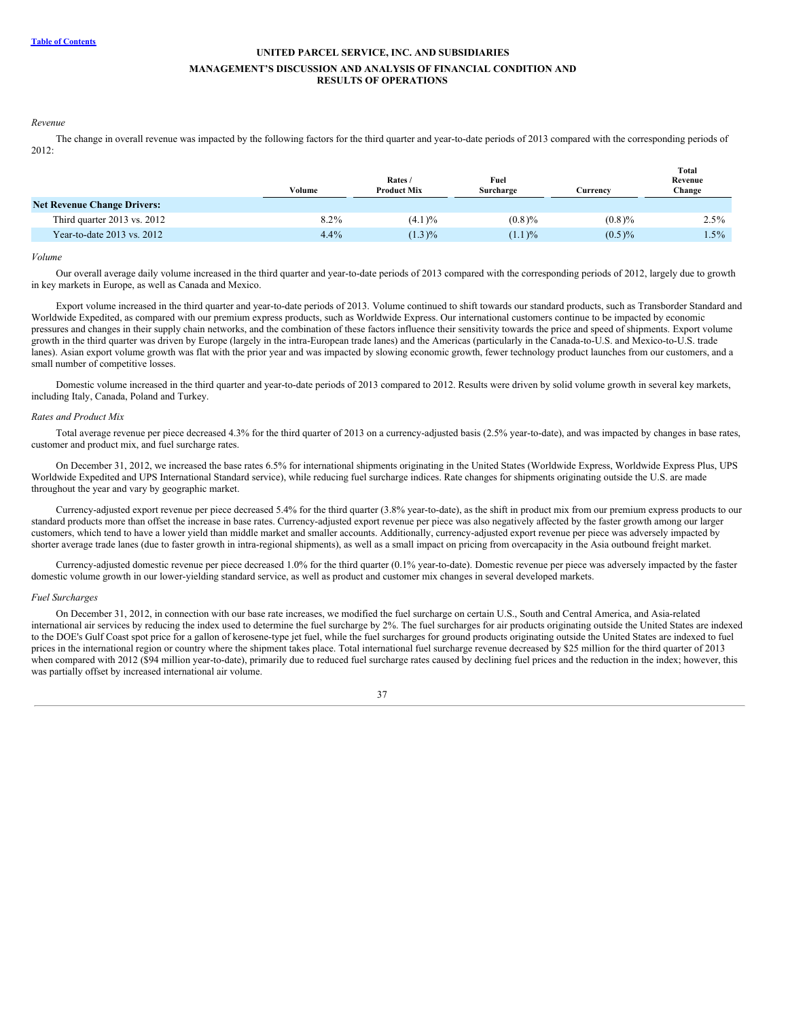#### *Revenue*

The change in overall revenue was impacted by the following factors for the third quarter and year-to-date periods of 2013 compared with the corresponding periods of 2012:

|                                    | Volume  | Rates<br><b>Product Mix</b> | Fuel<br>Surcharge | Currencv  | <b>Total</b><br>Revenue<br>Change |
|------------------------------------|---------|-----------------------------|-------------------|-----------|-----------------------------------|
| <b>Net Revenue Change Drivers:</b> |         |                             |                   |           |                                   |
| Third quarter 2013 vs. 2012        | $8.2\%$ | $(4.1)\%$                   | $(0.8)\%$         | $(0.8)\%$ | 2.5%                              |
| Year-to-date $2013$ vs. $2012$     | $4.4\%$ | $(1.3)\%$                   | $(1.1)\%$         | $(0.5)\%$ | $1.5\%$                           |

#### *Volume*

Our overall average daily volume increased in the third quarter and year-to-date periods of 2013 compared with the corresponding periods of 2012, largely due to growth in key markets in Europe, as well as Canada and Mexico.

Export volume increased in the third quarter and year-to-date periods of 2013. Volume continued to shift towards our standard products, such as Transborder Standard and Worldwide Expedited, as compared with our premium express products, such as Worldwide Express. Our international customers continue to be impacted by economic pressures and changes in their supply chain networks, and the combination of these factors influence their sensitivity towards the price and speed of shipments. Export volume growth in the third quarter was driven by Europe (largely in the intra-European trade lanes) and the Americas (particularly in the Canada-to-U.S. and Mexico-to-U.S. trade lanes). Asian export volume growth was flat with the prior year and was impacted by slowing economic growth, fewer technology product launches from our customers, and a small number of competitive losses.

Domestic volume increased in the third quarter and year-to-date periods of 2013 compared to 2012. Results were driven by solid volume growth in several key markets, including Italy, Canada, Poland and Turkey.

#### *Rates and Product Mix*

Total average revenue per piece decreased 4.3% for the third quarter of 2013 on a currency-adjusted basis (2.5% year-to-date), and was impacted by changes in base rates, customer and product mix, and fuel surcharge rates.

On December 31, 2012, we increased the base rates 6.5% for international shipments originating in the United States (Worldwide Express, Worldwide Express Plus, UPS Worldwide Expedited and UPS International Standard service), while reducing fuel surcharge indices. Rate changes for shipments originating outside the U.S. are made throughout the year and vary by geographic market.

Currency-adjusted export revenue per piece decreased 5.4% for the third quarter (3.8% year-to-date), as the shift in product mix from our premium express products to our standard products more than offset the increase in base rates. Currency-adjusted export revenue per piece was also negatively affected by the faster growth among our larger customers, which tend to have a lower yield than middle market and smaller accounts. Additionally, currency-adjusted export revenue per piece was adversely impacted by shorter average trade lanes (due to faster growth in intra-regional shipments), as well as a small impact on pricing from overcapacity in the Asia outbound freight market.

Currency-adjusted domestic revenue per piece decreased 1.0% for the third quarter (0.1% year-to-date). Domestic revenue per piece was adversely impacted by the faster domestic volume growth in our lower-yielding standard service, as well as product and customer mix changes in several developed markets.

#### *Fuel Surcharges*

On December 31, 2012, in connection with our base rate increases, we modified the fuel surcharge on certain U.S., South and Central America, and Asia-related international air services by reducing the index used to determine the fuel surcharge by 2%. The fuel surcharges for air products originating outside the United States are indexed to the DOE's Gulf Coast spot price for a gallon of kerosene-type jet fuel, while the fuel surcharges for ground products originating outside the United States are indexed to fuel prices in the international region or country where the shipment takes place. Total international fuel surcharge revenue decreased by \$25 million for the third quarter of 2013 when compared with 2012 (\$94 million year-to-date), primarily due to reduced fuel surcharge rates caused by declining fuel prices and the reduction in the index; however, this was partially offset by increased international air volume.

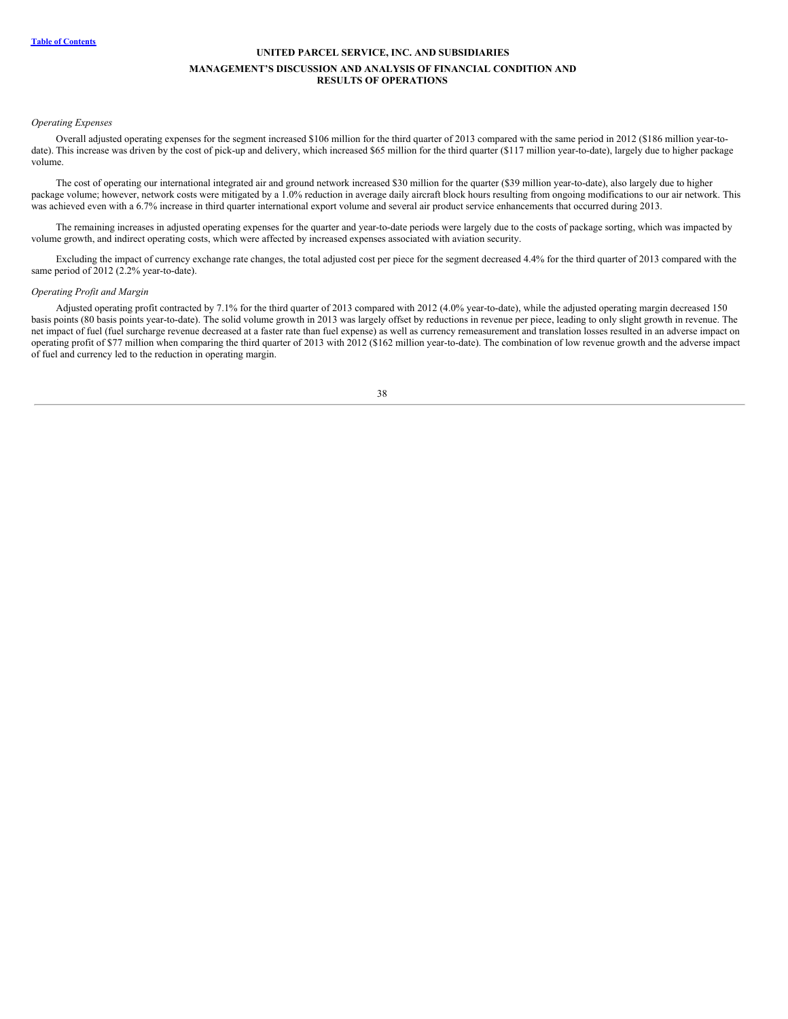# **UNITED PARCEL SERVICE, INC. AND SUBSIDIARIES**

#### **MANAGEMENT'S DISCUSSION AND ANALYSIS OF FINANCIAL CONDITION AND RESULTS OF OPERATIONS**

### *Operating Expenses*

Overall adjusted operating expenses for the segment increased \$106 million for the third quarter of 2013 compared with the same period in 2012 (\$186 million year-todate). This increase was driven by the cost of pick-up and delivery, which increased \$65 million for the third quarter (\$117 million year-to-date), largely due to higher package volume.

The cost of operating our international integrated air and ground network increased \$30 million for the quarter (\$39 million year-to-date), also largely due to higher package volume; however, network costs were mitigated by a 1.0% reduction in average daily aircraft block hours resulting from ongoing modifications to our air network. This was achieved even with a 6.7% increase in third quarter international export volume and several air product service enhancements that occurred during 2013.

The remaining increases in adjusted operating expenses for the quarter and year-to-date periods were largely due to the costs of package sorting, which was impacted by volume growth, and indirect operating costs, which were affected by increased expenses associated with aviation security.

Excluding the impact of currency exchange rate changes, the total adjusted cost per piece for the segment decreased 4.4% for the third quarter of 2013 compared with the same period of 2012 (2.2% year-to-date).

### *Operating Profit and Margin*

Adjusted operating profit contracted by 7.1% for the third quarter of 2013 compared with 2012 (4.0% year-to-date), while the adjusted operating margin decreased 150 basis points (80 basis points year-to-date). The solid volume growth in 2013 was largely offset by reductions in revenue per piece, leading to only slight growth in revenue. The net impact of fuel (fuel surcharge revenue decreased at a faster rate than fuel expense) as well as currency remeasurement and translation losses resulted in an adverse impact on operating profit of \$77 million when comparing the third quarter of 2013 with 2012 (\$162 million year-to-date). The combination of low revenue growth and the adverse impact of fuel and currency led to the reduction in operating margin.

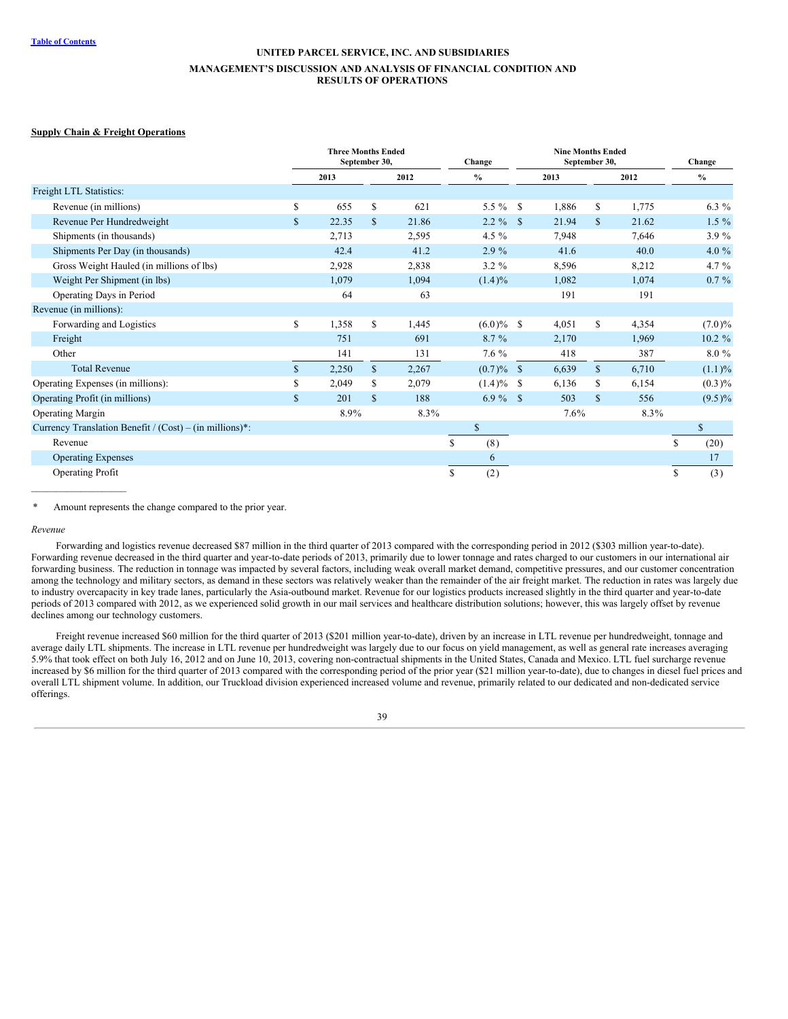# <span id="page-40-0"></span>**Supply Chain & Freight Operations**

|                                                           |              | <b>Three Months Ended</b> | September 30, |       |              | Change        |  | <b>Nine Months Ended</b><br>September 30, |              |       |               | Change       |
|-----------------------------------------------------------|--------------|---------------------------|---------------|-------|--------------|---------------|--|-------------------------------------------|--------------|-------|---------------|--------------|
|                                                           |              | 2013                      |               | 2012  |              | $\frac{0}{0}$ |  | 2013                                      | 2012         |       | $\frac{0}{0}$ |              |
| Freight LTL Statistics:                                   |              |                           |               |       |              |               |  |                                           |              |       |               |              |
| Revenue (in millions)                                     | $\mathbb{S}$ | 655                       | \$            | 621   |              | 5.5 $%$ \$    |  | 1,886                                     | $\mathbb{S}$ | 1,775 |               | 6.3 $%$      |
| Revenue Per Hundredweight                                 | $\mathbb{S}$ | 22.35                     | \$            | 21.86 |              | $2.2 \%$ \$   |  | 21.94                                     | \$           | 21.62 |               | $1.5\%$      |
| Shipments (in thousands)                                  |              | 2,713                     |               | 2,595 |              | 4.5 $%$       |  | 7,948                                     |              | 7,646 |               | $3.9\%$      |
| Shipments Per Day (in thousands)                          |              | 42.4                      |               | 41.2  |              | $2.9\%$       |  | 41.6                                      |              | 40.0  |               | 4.0 $%$      |
| Gross Weight Hauled (in millions of lbs)                  |              | 2,928                     |               | 2,838 |              | $3.2\%$       |  | 8,596                                     |              | 8,212 |               | 4.7 $%$      |
| Weight Per Shipment (in lbs)                              |              | 1,079                     |               | 1,094 |              | $(1.4)\%$     |  | 1,082                                     |              | 1,074 |               | $0.7\%$      |
| Operating Days in Period                                  |              | 64                        |               | 63    |              |               |  | 191                                       |              | 191   |               |              |
| Revenue (in millions):                                    |              |                           |               |       |              |               |  |                                           |              |       |               |              |
| Forwarding and Logistics                                  | $\mathbb{S}$ | 1,358                     | \$            | 1,445 |              | $(6.0)\%$ \$  |  | 4,051                                     | \$           | 4,354 |               | $(7.0)\%$    |
| Freight                                                   |              | 751                       |               | 691   |              | $8.7\%$       |  | 2,170                                     |              | 1,969 |               | $10.2 \%$    |
| Other                                                     |              | 141                       |               | 131   |              | $7.6\%$       |  | 418                                       |              | 387   |               | $8.0\%$      |
| <b>Total Revenue</b>                                      | $\mathbb{S}$ | 2,250                     | $\mathbb{S}$  | 2,267 |              | $(0.7)\%$ \$  |  | 6,639                                     | $\mathbb{S}$ | 6,710 |               | $(1.1)\%$    |
| Operating Expenses (in millions):                         | \$           | 2,049                     | \$            | 2,079 |              | $(1.4)\%$ \$  |  | 6,136                                     | \$           | 6,154 |               | $(0.3)\%$    |
| Operating Profit (in millions)                            | $\mathbb{S}$ | 201                       | $\mathbb{S}$  | 188   |              | $6.9 \%$ \$   |  | 503                                       | $\mathbb{S}$ | 556   |               | $(9.5)\%$    |
| <b>Operating Margin</b>                                   |              | 8.9%                      |               | 8.3%  |              |               |  | $7.6\%$                                   |              | 8.3%  |               |              |
| Currency Translation Benefit / $(Cost) - (in$ millions)*: |              |                           |               |       |              | $\mathbf S$   |  |                                           |              |       |               | $\mathbb{S}$ |
| Revenue                                                   |              |                           |               |       | S            | (8)           |  |                                           |              |       | \$            | (20)         |
| <b>Operating Expenses</b>                                 |              |                           |               |       |              | 6             |  |                                           |              |       |               | 17           |
| <b>Operating Profit</b>                                   |              |                           |               |       | $\mathbb{S}$ | (2)           |  |                                           |              |       | \$            | (3)          |

Amount represents the change compared to the prior year.

*Revenue*

Forwarding and logistics revenue decreased \$87 million in the third quarter of 2013 compared with the corresponding period in 2012 (\$303 million year-to-date). Forwarding revenue decreased in the third quarter and year-to-date periods of 2013, primarily due to lower tonnage and rates charged to our customers in our international air forwarding business. The reduction in tonnage was impacted by several factors, including weak overall market demand, competitive pressures, and our customer concentration among the technology and military sectors, as demand in these sectors was relatively weaker than the remainder of the air freight market. The reduction in rates was largely due to industry overcapacity in key trade lanes, particularly the Asia-outbound market. Revenue for our logistics products increased slightly in the third quarter and year-to-date periods of 2013 compared with 2012, as we experienced solid growth in our mail services and healthcare distribution solutions; however, this was largely offset by revenue declines among our technology customers.

Freight revenue increased \$60 million for the third quarter of 2013 (\$201 million year-to-date), driven by an increase in LTL revenue per hundredweight, tonnage and average daily LTL shipments. The increase in LTL revenue per hundredweight was largely due to our focus on yield management, as well as general rate increases averaging 5.9% that took effect on both July 16, 2012 and on June 10, 2013, covering non-contractual shipments in the United States, Canada and Mexico. LTL fuel surcharge revenue increased by \$6 million for the third quarter of 2013 compared with the corresponding period of the prior year (\$21 million year-to-date), due to changes in diesel fuel prices and overall LTL shipment volume. In addition, our Truckload division experienced increased volume and revenue, primarily related to our dedicated and non-dedicated service offerings.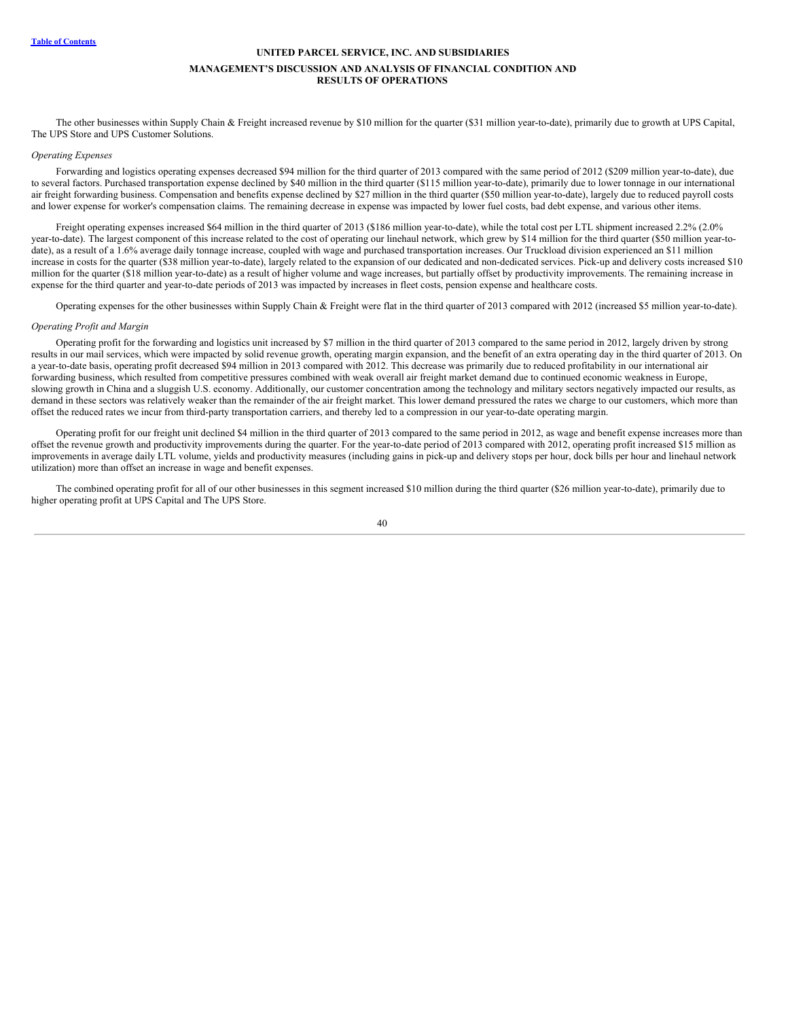#### **UNITED PARCEL SERVICE, INC. AND SUBSIDIARIES**

#### **MANAGEMENT'S DISCUSSION AND ANALYSIS OF FINANCIAL CONDITION AND RESULTS OF OPERATIONS**

The other businesses within Supply Chain & Freight increased revenue by \$10 million for the quarter (\$31 million year-to-date), primarily due to growth at UPS Capital, The UPS Store and UPS Customer Solutions.

#### *Operating Expenses*

Forwarding and logistics operating expenses decreased \$94 million for the third quarter of 2013 compared with the same period of 2012 (\$209 million year-to-date), due to several factors. Purchased transportation expense declined by \$40 million in the third quarter (\$115 million year-to-date), primarily due to lower tonnage in our international air freight forwarding business. Compensation and benefits expense declined by \$27 million in the third quarter (\$50 million year-to-date), largely due to reduced payroll costs and lower expense for worker's compensation claims. The remaining decrease in expense was impacted by lower fuel costs, bad debt expense, and various other items.

Freight operating expenses increased \$64 million in the third quarter of 2013 (\$186 million year-to-date), while the total cost per LTL shipment increased 2.2% (2.0%) year-to-date). The largest component of this increase related to the cost of operating our linehaul network, which grew by \$14 million for the third quarter (\$50 million year-todate), as a result of a 1.6% average daily tonnage increase, coupled with wage and purchased transportation increases. Our Truckload division experienced an \$11 million increase in costs for the quarter (\$38 million year-to-date), largely related to the expansion of our dedicated and non-dedicated services. Pick-up and delivery costs increased \$10 million for the quarter (\$18 million year-to-date) as a result of higher volume and wage increases, but partially offset by productivity improvements. The remaining increase in expense for the third quarter and year-to-date periods of 2013 was impacted by increases in fleet costs, pension expense and healthcare costs.

Operating expenses for the other businesses within Supply Chain & Freight were flat in the third quarter of 2013 compared with 2012 (increased \$5 million year-to-date).

#### *Operating Profit and Margin*

Operating profit for the forwarding and logistics unit increased by \$7 million in the third quarter of 2013 compared to the same period in 2012, largely driven by strong results in our mail services, which were impacted by solid revenue growth, operating margin expansion, and the benefit of an extra operating day in the third quarter of 2013. On a year-to-date basis, operating profit decreased \$94 million in 2013 compared with 2012. This decrease was primarily due to reduced profitability in our international air forwarding business, which resulted from competitive pressures combined with weak overall air freight market demand due to continued economic weakness in Europe, slowing growth in China and a sluggish U.S. economy. Additionally, our customer concentration among the technology and military sectors negatively impacted our results, as demand in these sectors was relatively weaker than the remainder of the air freight market. This lower demand pressured the rates we charge to our customers, which more than offset the reduced rates we incur from third-party transportation carriers, and thereby led to a compression in our year-to-date operating margin.

Operating profit for our freight unit declined \$4 million in the third quarter of 2013 compared to the same period in 2012, as wage and benefit expense increases more than offset the revenue growth and productivity improvements during the quarter. For the year-to-date period of 2013 compared with 2012, operating profit increased \$15 million as improvements in average daily LTL volume, yields and productivity measures (including gains in pick-up and delivery stops per hour, dock bills per hour and linehaul network utilization) more than offset an increase in wage and benefit expenses.

The combined operating profit for all of our other businesses in this segment increased \$10 million during the third quarter (\$26 million year-to-date), primarily due to higher operating profit at UPS Capital and The UPS Store.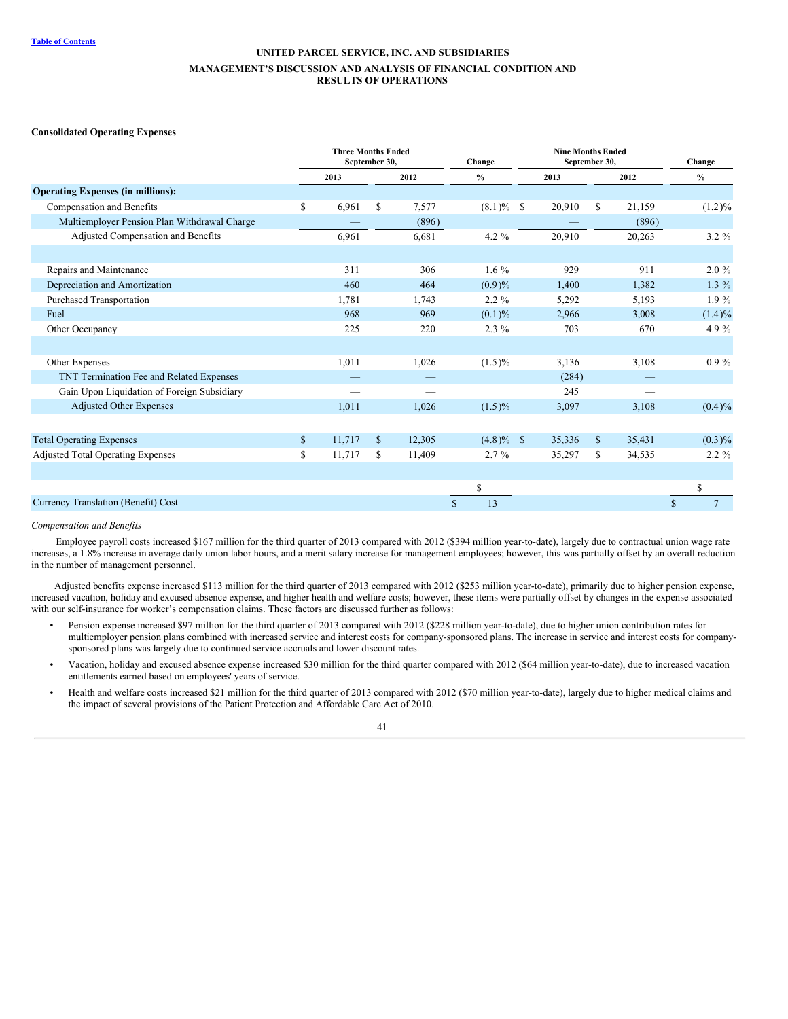### <span id="page-42-0"></span>**Consolidated Operating Expenses**

|                                              |              | <b>Three Months Ended</b> | September 30, |        |              | Change        |      | <b>Nine Months Ended</b><br>September 30, |    |        | Change        |                |
|----------------------------------------------|--------------|---------------------------|---------------|--------|--------------|---------------|------|-------------------------------------------|----|--------|---------------|----------------|
|                                              |              | 2013                      |               | 2012   |              | $\frac{6}{6}$ | 2013 |                                           |    | 2012   | $\frac{0}{0}$ |                |
| <b>Operating Expenses (in millions):</b>     |              |                           |               |        |              |               |      |                                           |    |        |               |                |
| Compensation and Benefits                    | \$           | 6,961                     | S             | 7,577  |              | $(8.1)\%$ \$  |      | 20,910                                    | S  | 21,159 |               | $(1.2)\%$      |
| Multiemployer Pension Plan Withdrawal Charge |              |                           |               | (896)  |              |               |      |                                           |    | (896)  |               |                |
| Adjusted Compensation and Benefits           |              | 6.961                     |               | 6,681  |              | 4.2 $\%$      |      | 20,910                                    |    | 20,263 |               | $3.2\%$        |
|                                              |              |                           |               |        |              |               |      |                                           |    |        |               |                |
| Repairs and Maintenance                      |              | 311                       |               | 306    |              | 1.6 $%$       |      | 929                                       |    | 911    |               | $2.0\%$        |
| Depreciation and Amortization                |              | 460                       |               | 464    |              | $(0.9)\%$     |      | 1,400                                     |    | 1,382  |               | 1.3 $%$        |
| <b>Purchased Transportation</b>              |              | 1,781                     |               | 1,743  |              | $2.2\%$       |      | 5,292                                     |    | 5,193  |               | $1.9\%$        |
| Fuel                                         |              | 968                       |               | 969    |              | $(0.1)\%$     |      | 2,966                                     |    | 3,008  |               | $(1.4)\%$      |
| Other Occupancy                              |              | 225                       |               | 220    |              | $2.3\%$       |      | 703                                       |    | 670    |               | 4.9 $%$        |
|                                              |              |                           |               |        |              |               |      |                                           |    |        |               |                |
| Other Expenses                               |              | 1,011                     |               | 1,026  |              | $(1.5)\%$     |      | 3,136                                     |    | 3,108  |               | $0.9\%$        |
| TNT Termination Fee and Related Expenses     |              |                           |               |        |              |               |      | (284)                                     |    |        |               |                |
| Gain Upon Liquidation of Foreign Subsidiary  |              |                           |               |        |              |               |      | 245                                       |    |        |               |                |
| <b>Adjusted Other Expenses</b>               |              | 1,011                     |               | 1,026  |              | $(1.5)\%$     |      | 3,097                                     |    | 3,108  |               | $(0.4)\%$      |
|                                              |              |                           |               |        |              |               |      |                                           |    |        |               |                |
| <b>Total Operating Expenses</b>              | $\mathbb{S}$ | 11,717                    | \$            | 12,305 |              | $(4.8)\%$ \$  |      | 35,336                                    | \$ | 35,431 |               | $(0.3)\%$      |
| <b>Adjusted Total Operating Expenses</b>     | \$           | 11,717                    | \$            | 11,409 |              | $2.7\%$       |      | 35,297                                    | S  | 34,535 |               | $2.2\%$        |
|                                              |              |                           |               |        |              |               |      |                                           |    |        |               |                |
|                                              |              |                           |               |        |              | \$            |      |                                           |    |        |               | S              |
| Currency Translation (Benefit) Cost          |              |                           |               |        | $\mathbb{S}$ | 13            |      |                                           |    |        | $\mathbf S$   | $\overline{7}$ |

#### *Compensation and Benefits*

Employee payroll costs increased \$167 million for the third quarter of 2013 compared with 2012 (\$394 million year-to-date), largely due to contractual union wage rate increases, a 1.8% increase in average daily union labor hours, and a merit salary increase for management employees; however, this was partially offset by an overall reduction in the number of management personnel.

Adjusted benefits expense increased \$113 million for the third quarter of 2013 compared with 2012 (\$253 million year-to-date), primarily due to higher pension expense, increased vacation, holiday and excused absence expense, and higher health and welfare costs; however, these items were partially offset by changes in the expense associated with our self-insurance for worker's compensation claims. These factors are discussed further as follows:

- Pension expense increased \$97 million for the third quarter of 2013 compared with 2012 (\$228 million year-to-date), due to higher union contribution rates for multiemployer pension plans combined with increased service and interest costs for company-sponsored plans. The increase in service and interest costs for companysponsored plans was largely due to continued service accruals and lower discount rates.
- Vacation, holiday and excused absence expense increased \$30 million for the third quarter compared with 2012 (\$64 million year-to-date), due to increased vacation entitlements earned based on employees' years of service.
- Health and welfare costs increased \$21 million for the third quarter of 2013 compared with 2012 (\$70 million year-to-date), largely due to higher medical claims and the impact of several provisions of the Patient Protection and Affordable Care Act of 2010.

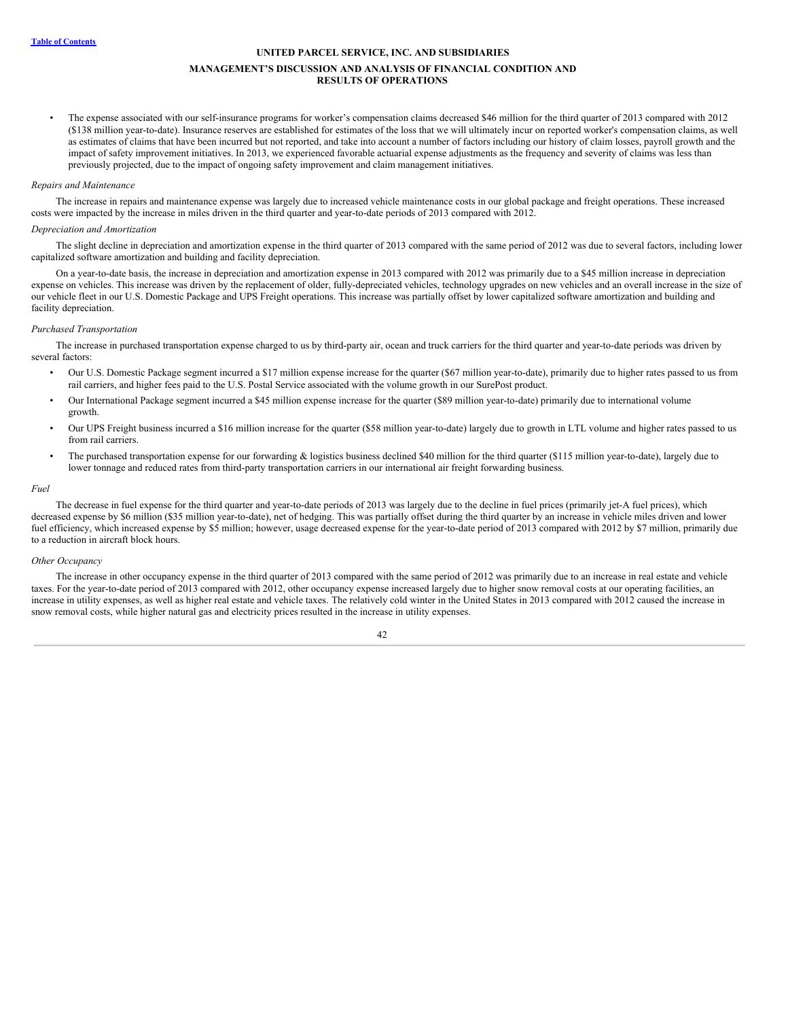#### **UNITED PARCEL SERVICE, INC. AND SUBSIDIARIES**

### **MANAGEMENT'S DISCUSSION AND ANALYSIS OF FINANCIAL CONDITION AND RESULTS OF OPERATIONS**

• The expense associated with our self-insurance programs for worker's compensation claims decreased \$46 million for the third quarter of 2013 compared with 2012 (\$138 million year-to-date). Insurance reserves are established for estimates of the loss that we will ultimately incur on reported worker's compensation claims, as well as estimates of claims that have been incurred but not reported, and take into account a number of factors including our history of claim losses, payroll growth and the impact of safety improvement initiatives. In 2013, we experienced favorable actuarial expense adjustments as the frequency and severity of claims was less than previously projected, due to the impact of ongoing safety improvement and claim management initiatives.

#### *Repairs and Maintenance*

The increase in repairs and maintenance expense was largely due to increased vehicle maintenance costs in our global package and freight operations. These increased costs were impacted by the increase in miles driven in the third quarter and year-to-date periods of 2013 compared with 2012.

#### *Depreciation and Amortization*

The slight decline in depreciation and amortization expense in the third quarter of 2013 compared with the same period of 2012 was due to several factors, including lower capitalized software amortization and building and facility depreciation.

On a year-to-date basis, the increase in depreciation and amortization expense in 2013 compared with 2012 was primarily due to a \$45 million increase in depreciation expense on vehicles. This increase was driven by the replacement of older, fully-depreciated vehicles, technology upgrades on new vehicles and an overall increase in the size of our vehicle fleet in our U.S. Domestic Package and UPS Freight operations. This increase was partially offset by lower capitalized software amortization and building and facility depreciation.

#### *Purchased Transportation*

The increase in purchased transportation expense charged to us by third-party air, ocean and truck carriers for the third quarter and year-to-date periods was driven by several factors:

- Our U.S. Domestic Package segment incurred a \$17 million expense increase for the quarter (\$67 million year-to-date), primarily due to higher rates passed to us from rail carriers, and higher fees paid to the U.S. Postal Service associated with the volume growth in our SurePost product.
- Our International Package segment incurred a \$45 million expense increase for the quarter (\$89 million year-to-date) primarily due to international volume growth.
- Our UPS Freight business incurred a \$16 million increase for the quarter (\$58 million year-to-date) largely due to growth in LTL volume and higher rates passed to us from rail carriers.
- The purchased transportation expense for our forwarding & logistics business declined \$40 million for the third quarter (\$115 million year-to-date), largely due to lower tonnage and reduced rates from third-party transportation carriers in our international air freight forwarding business.

#### *Fuel*

The decrease in fuel expense for the third quarter and year-to-date periods of 2013 was largely due to the decline in fuel prices (primarily jet-A fuel prices), which decreased expense by \$6 million (\$35 million year-to-date), net of hedging. This was partially offset during the third quarter by an increase in vehicle miles driven and lower fuel efficiency, which increased expense by \$5 million; however, usage decreased expense for the year-to-date period of 2013 compared with 2012 by \$7 million, primarily due to a reduction in aircraft block hours.

#### *Other Occupancy*

The increase in other occupancy expense in the third quarter of 2013 compared with the same period of 2012 was primarily due to an increase in real estate and vehicle taxes. For the year-to-date period of 2013 compared with 2012, other occupancy expense increased largely due to higher snow removal costs at our operating facilities, an increase in utility expenses, as well as higher real estate and vehicle taxes. The relatively cold winter in the United States in 2013 compared with 2012 caused the increase in snow removal costs, while higher natural gas and electricity prices resulted in the increase in utility expenses.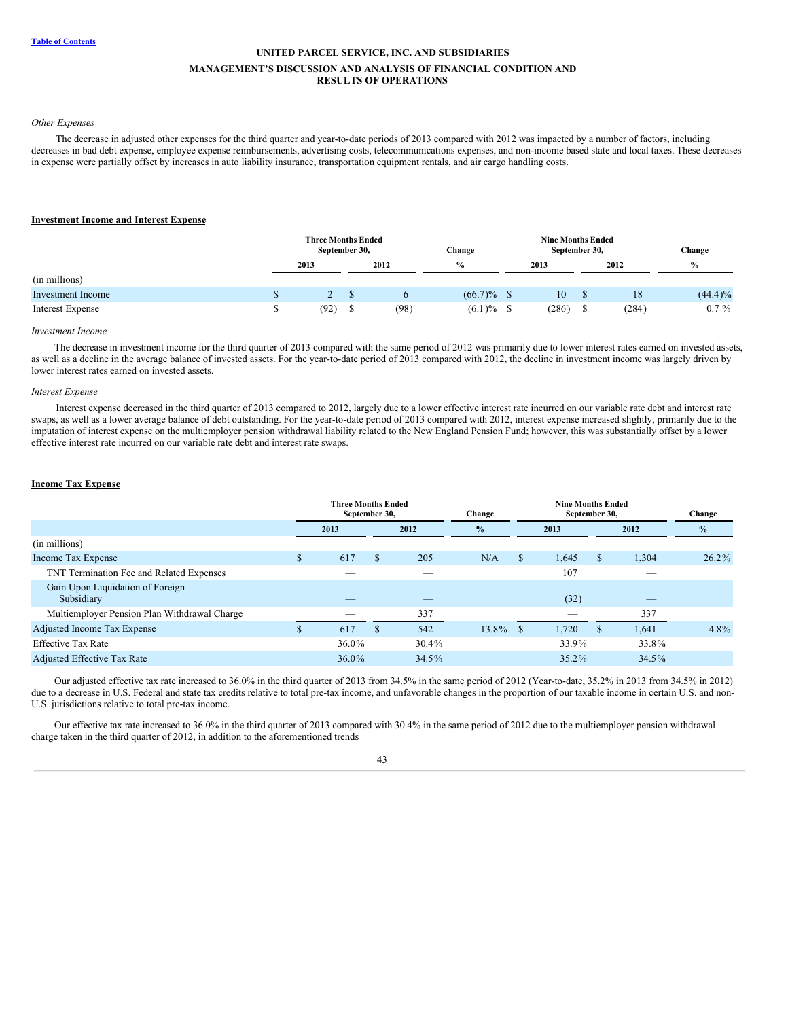### *Other Expenses*

The decrease in adjusted other expenses for the third quarter and year-to-date periods of 2013 compared with 2012 was impacted by a number of factors, including decreases in bad debt expense, employee expense reimbursements, advertising costs, telecommunications expenses, and non-income based state and local taxes. These decreases in expense were partially offset by increases in auto liability insurance, transportation equipment rentals, and air cargo handling costs.

#### <span id="page-44-0"></span>**Investment Income and Interest Expense**

|                   | <b>Three Months Ended</b><br>September 30, |  | Change       |               | <b>Nine Months Ended</b><br>September 30, | Change |  |       |               |
|-------------------|--------------------------------------------|--|--------------|---------------|-------------------------------------------|--------|--|-------|---------------|
|                   | 2013                                       |  | 2012         | $\frac{0}{0}$ |                                           | 2013   |  | 2012  | $\frac{9}{6}$ |
| (in millions)     |                                            |  |              |               |                                           |        |  |       |               |
| Investment Income |                                            |  | $\mathbf{p}$ | $(66.7)\%$ \$ |                                           | 10     |  | 18    | $(44.4)\%$    |
| Interest Expense  | (92)                                       |  | (98)         | $(6.1)\%$ \$  |                                           | (286)  |  | (284) | $0.7\%$       |

#### *Investment Income*

The decrease in investment income for the third quarter of 2013 compared with the same period of 2012 was primarily due to lower interest rates earned on invested assets, as well as a decline in the average balance of invested assets. For the year-to-date period of 2013 compared with 2012, the decline in investment income was largely driven by lower interest rates earned on invested assets.

#### *Interest Expense*

Interest expense decreased in the third quarter of 2013 compared to 2012, largely due to a lower effective interest rate incurred on our variable rate debt and interest rate swaps, as well as a lower average balance of debt outstanding. For the year-to-date period of 2013 compared with 2012, interest expense increased slightly, primarily due to the imputation of interest expense on the multiemployer pension withdrawal liability related to the New England Pension Fund; however, this was substantially offset by a lower effective interest rate incurred on our variable rate debt and interest rate swaps.

#### <span id="page-44-1"></span>**Income Tax Expense**

|                                                | <b>Three Months Ended</b><br>September 30, |               |          | Change        |    | <b>Nine Months Ended</b><br>September 30, |               | Change                   |               |
|------------------------------------------------|--------------------------------------------|---------------|----------|---------------|----|-------------------------------------------|---------------|--------------------------|---------------|
|                                                | 2013                                       |               | 2012     | $\frac{0}{0}$ |    | 2013                                      |               | 2012                     | $\frac{0}{0}$ |
| (in millions)                                  |                                            |               |          |               |    |                                           |               |                          |               |
| Income Tax Expense                             | \$<br>617                                  | <sup>\$</sup> | 205      | N/A           | \$ | 1,645                                     | <sup>\$</sup> | 1,304                    | $26.2\%$      |
| TNT Termination Fee and Related Expenses       | $\overline{\phantom{a}}$                   |               | _        |               |    | 107                                       |               | $\overline{\phantom{a}}$ |               |
| Gain Upon Liquidation of Foreign<br>Subsidiary |                                            |               | _        |               |    | (32)                                      |               | $\overline{\phantom{a}}$ |               |
| Multiemployer Pension Plan Withdrawal Charge   |                                            |               | 337      |               |    |                                           |               | 337                      |               |
| Adjusted Income Tax Expense                    | \$<br>617                                  | S             | 542      | 13.8%         | -S | 1,720                                     | <sup>\$</sup> | 1,641                    | $4.8\%$       |
| <b>Effective Tax Rate</b>                      | 36.0%                                      |               | 30.4%    |               |    | 33.9%                                     |               | 33.8%                    |               |
| <b>Adjusted Effective Tax Rate</b>             | $36.0\%$                                   |               | $34.5\%$ |               |    | $35.2\%$                                  |               | $34.5\%$                 |               |

Our adjusted effective tax rate increased to 36.0% in the third quarter of 2013 from 34.5% in the same period of 2012 (Year-to-date, 35.2% in 2013 from 34.5% in 2012) due to a decrease in U.S. Federal and state tax credits relative to total pre-tax income, and unfavorable changes in the proportion of our taxable income in certain U.S. and non-U.S. jurisdictions relative to total pre-tax income.

Our effective tax rate increased to 36.0% in the third quarter of 2013 compared with 30.4% in the same period of 2012 due to the multiemployer pension withdrawal charge taken in the third quarter of 2012, in addition to the aforementioned trends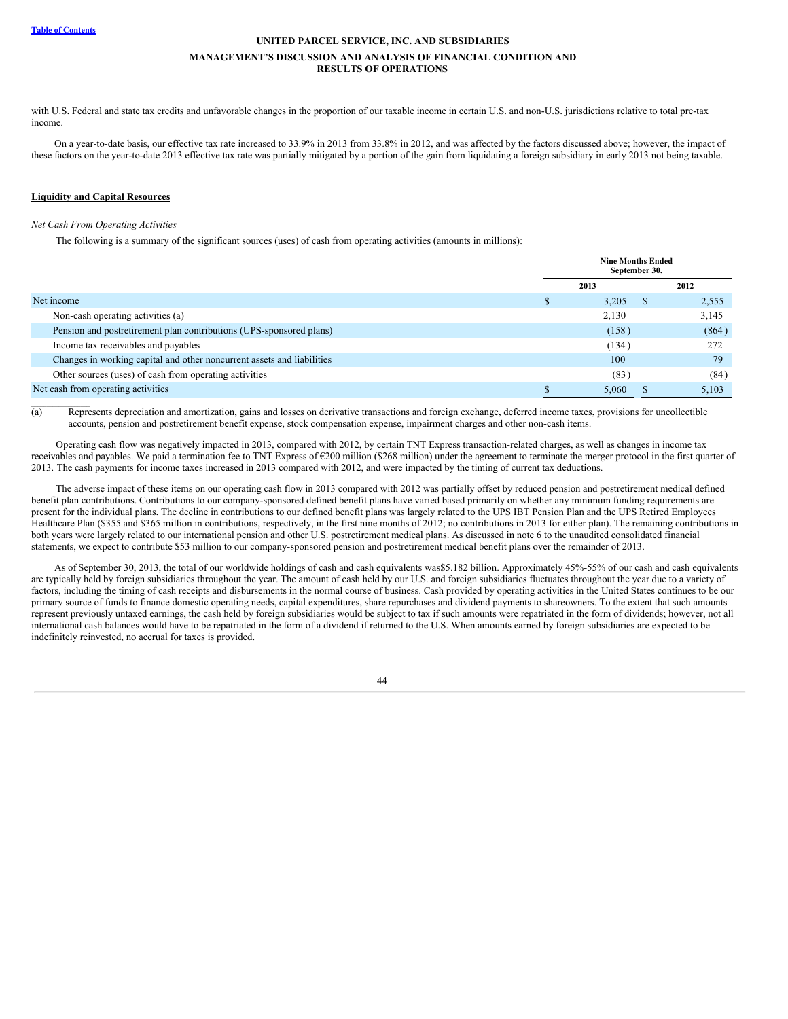$\mathcal{L}_\text{max}$ 

# **UNITED PARCEL SERVICE, INC. AND SUBSIDIARIES MANAGEMENT'S DISCUSSION AND ANALYSIS OF FINANCIAL CONDITION AND RESULTS OF OPERATIONS**

with U.S. Federal and state tax credits and unfavorable changes in the proportion of our taxable income in certain U.S. and non-U.S. jurisdictions relative to total pre-tax income.

<span id="page-45-0"></span>On a year-to-date basis, our effective tax rate increased to 33.9% in 2013 from 33.8% in 2012, and was affected by the factors discussed above; however, the impact of these factors on the year-to-date 2013 effective tax rate was partially mitigated by a portion of the gain from liquidating a foreign subsidiary in early 2013 not being taxable.

### <span id="page-45-1"></span>**Liquidity and Capital Resources**

### *Net Cash From Operating Activities*

The following is a summary of the significant sources (uses) of cash from operating activities (amounts in millions):

|                                                                        | <b>Nine Months Ended</b><br>September 30, |              |       |  |  |
|------------------------------------------------------------------------|-------------------------------------------|--------------|-------|--|--|
|                                                                        | 2013                                      |              | 2012  |  |  |
| Net income                                                             | 3,205                                     | <sup>8</sup> | 2,555 |  |  |
| Non-cash operating activities (a)                                      | 2,130                                     |              | 3,145 |  |  |
| Pension and postretirement plan contributions (UPS-sponsored plans)    | (158)                                     |              | (864) |  |  |
| Income tax receivables and payables                                    | (134)                                     |              | 272   |  |  |
| Changes in working capital and other noncurrent assets and liabilities | 100                                       |              | 79    |  |  |
| Other sources (uses) of cash from operating activities                 | (83)                                      |              | (84)  |  |  |
| Net cash from operating activities                                     | 5,060                                     |              | 5,103 |  |  |

(a) Represents depreciation and amortization, gains and losses on derivative transactions and foreign exchange, deferred income taxes, provisions for uncollectible accounts, pension and postretirement benefit expense, stock compensation expense, impairment charges and other non-cash items.

Operating cash flow was negatively impacted in 2013, compared with 2012, by certain TNT Express transaction-related charges, as well as changes in income tax receivables and payables. We paid a termination fee to TNT Express of €200 million (\$268 million) under the agreement to terminate the merger protocol in the first quarter of 2013. The cash payments for income taxes increased in 2013 compared with 2012, and were impacted by the timing of current tax deductions.

The adverse impact of these items on our operating cash flow in 2013 compared with 2012 was partially offset by reduced pension and postretirement medical defined benefit plan contributions. Contributions to our company-sponsored defined benefit plans have varied based primarily on whether any minimum funding requirements are present for the individual plans. The decline in contributions to our defined benefit plans was largely related to the UPS IBT Pension Plan and the UPS Retired Employees Healthcare Plan (\$355 and \$365 million in contributions, respectively, in the first nine months of 2012; no contributions in 2013 for either plan). The remaining contributions in both years were largely related to our international pension and other U.S. postretirement medical plans. As discussed in note 6 to the unaudited consolidated financial statements, we expect to contribute \$53 million to our company-sponsored pension and postretirement medical benefit plans over the remainder of 2013.

As of September 30, 2013, the total of our worldwide holdings of cash and cash equivalents was\$5.182 billion. Approximately 45%-55% of our cash and cash equivalents are typically held by foreign subsidiaries throughout the year. The amount of cash held by our U.S. and foreign subsidiaries fluctuates throughout the year due to a variety of factors, including the timing of cash receipts and disbursements in the normal course of business. Cash provided by operating activities in the United States continues to be our primary source of funds to finance domestic operating needs, capital expenditures, share repurchases and dividend payments to shareowners. To the extent that such amounts represent previously untaxed earnings, the cash held by foreign subsidiaries would be subject to tax if such amounts were repatriated in the form of dividends; however, not all international cash balances would have to be repatriated in the form of a dividend if returned to the U.S. When amounts earned by foreign subsidiaries are expected to be indefinitely reinvested, no accrual for taxes is provided.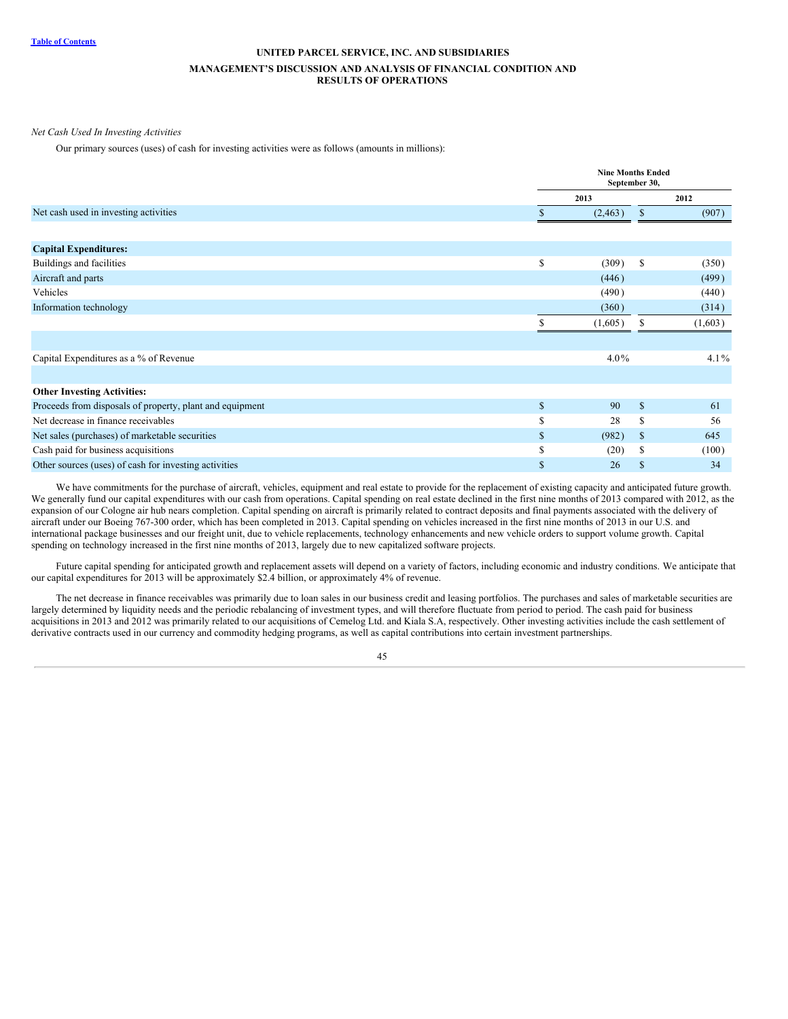# <span id="page-46-0"></span>*Net Cash Used In Investing Activities*

Our primary sources (uses) of cash for investing activities were as follows (amounts in millions):

|                                                          |               | <b>Nine Months Ended</b><br>September 30, |               |         |  |  |  |
|----------------------------------------------------------|---------------|-------------------------------------------|---------------|---------|--|--|--|
|                                                          | 2013          |                                           |               | 2012    |  |  |  |
| Net cash used in investing activities                    | Ъ.            | (2, 463)                                  | <sup>\$</sup> | (907)   |  |  |  |
|                                                          |               |                                           |               |         |  |  |  |
| <b>Capital Expenditures:</b>                             |               |                                           |               |         |  |  |  |
| Buildings and facilities                                 | \$            | (309)                                     | \$            | (350)   |  |  |  |
| Aircraft and parts                                       |               | (446)                                     |               | (499)   |  |  |  |
| Vehicles                                                 |               | (490)                                     |               | (440)   |  |  |  |
| Information technology                                   |               | (360)                                     |               | (314)   |  |  |  |
|                                                          |               | (1,605)                                   | S             | (1,603) |  |  |  |
|                                                          |               |                                           |               |         |  |  |  |
| Capital Expenditures as a % of Revenue                   |               | $4.0\%$                                   |               | $4.1\%$ |  |  |  |
|                                                          |               |                                           |               |         |  |  |  |
| <b>Other Investing Activities:</b>                       |               |                                           |               |         |  |  |  |
| Proceeds from disposals of property, plant and equipment | $\mathsf{\$}$ | 90                                        | $\mathbb{S}$  | 61      |  |  |  |
| Net decrease in finance receivables                      | \$            | 28                                        | S             | 56      |  |  |  |
| Net sales (purchases) of marketable securities           | $\mathsf{\$}$ | (982)                                     | \$            | 645     |  |  |  |
| Cash paid for business acquisitions                      | \$            | (20)                                      | \$            | (100)   |  |  |  |
| Other sources (uses) of cash for investing activities    | \$            | 26                                        | \$            | 34      |  |  |  |

We have commitments for the purchase of aircraft, vehicles, equipment and real estate to provide for the replacement of existing capacity and anticipated future growth. We generally fund our capital expenditures with our cash from operations. Capital spending on real estate declined in the first nine months of 2013 compared with 2012, as the expansion of our Cologne air hub nears completion. Capital spending on aircraft is primarily related to contract deposits and final payments associated with the delivery of aircraft under our Boeing 767-300 order, which has been completed in 2013. Capital spending on vehicles increased in the first nine months of 2013 in our U.S. and international package businesses and our freight unit, due to vehicle replacements, technology enhancements and new vehicle orders to support volume growth. Capital spending on technology increased in the first nine months of 2013, largely due to new capitalized software projects.

Future capital spending for anticipated growth and replacement assets will depend on a variety of factors, including economic and industry conditions. We anticipate that our capital expenditures for 2013 will be approximately \$2.4 billion, or approximately 4% of revenue.

The net decrease in finance receivables was primarily due to loan sales in our business credit and leasing portfolios. The purchases and sales of marketable securities are largely determined by liquidity needs and the periodic rebalancing of investment types, and will therefore fluctuate from period to period. The cash paid for business acquisitions in 2013 and 2012 was primarily related to our acquisitions of Cemelog Ltd. and Kiala S.A, respectively. Other investing activities include the cash settlement of derivative contracts used in our currency and commodity hedging programs, as well as capital contributions into certain investment partnerships.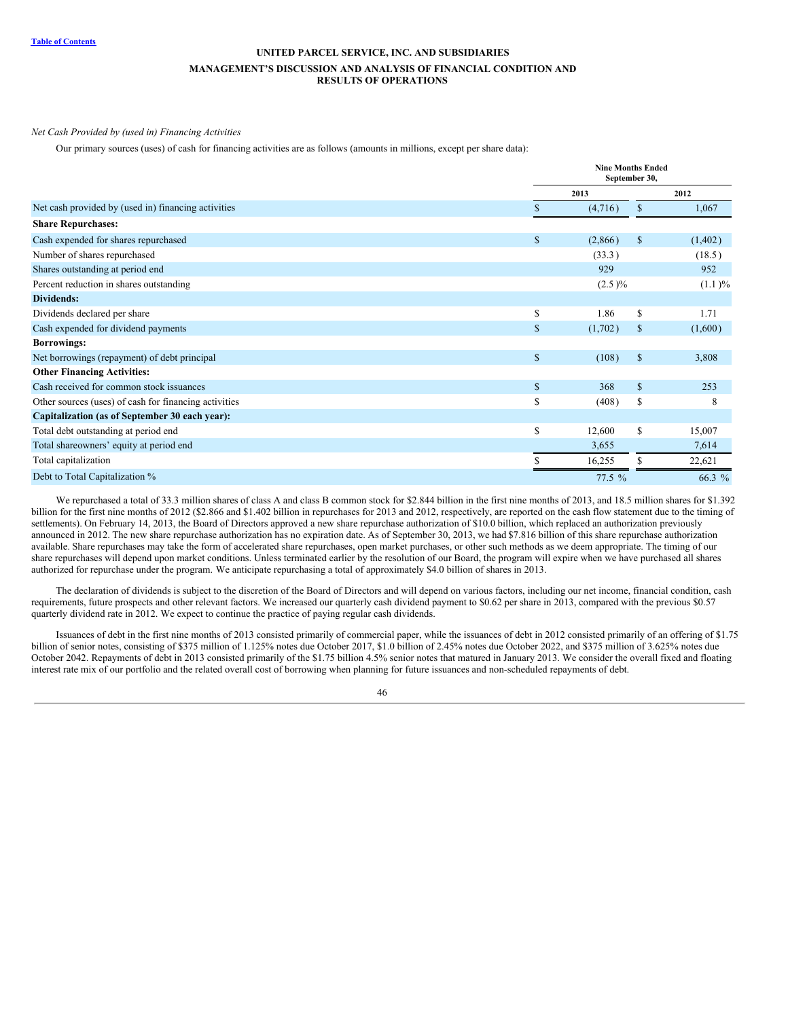### <span id="page-47-0"></span>*Net Cash Provided by (used in) Financing Activities*

Our primary sources (uses) of cash for financing activities are as follows (amounts in millions, except per share data):

|                                                       |               | <b>Nine Months Ended</b> | September 30, |         |  |  |
|-------------------------------------------------------|---------------|--------------------------|---------------|---------|--|--|
|                                                       |               | 2013                     |               |         |  |  |
| Net cash provided by (used in) financing activities   |               | (4,716)                  | <sup>\$</sup> | 1,067   |  |  |
| <b>Share Repurchases:</b>                             |               |                          |               |         |  |  |
| Cash expended for shares repurchased                  | <sup>\$</sup> | (2,866)                  | $\mathbb{S}$  | (1,402) |  |  |
| Number of shares repurchased                          |               | (33.3)                   |               | (18.5)  |  |  |
| Shares outstanding at period end                      |               | 929                      |               | 952     |  |  |
| Percent reduction in shares outstanding               |               | $(2.5)\%$                |               | (1.1)%  |  |  |
| Dividends:                                            |               |                          |               |         |  |  |
| Dividends declared per share                          | S             | 1.86                     | <sup>\$</sup> | 1.71    |  |  |
| Cash expended for dividend payments                   | \$            | (1,702)                  | \$            | (1,600) |  |  |
| <b>Borrowings:</b>                                    |               |                          |               |         |  |  |
| Net borrowings (repayment) of debt principal          | <sup>\$</sup> | (108)                    | $\mathbb{S}$  | 3,808   |  |  |
| <b>Other Financing Activities:</b>                    |               |                          |               |         |  |  |
| Cash received for common stock issuances              | $\mathbb{S}$  | 368                      | $\mathbf S$   | 253     |  |  |
| Other sources (uses) of cash for financing activities | $\mathbb{S}$  | (408)                    | S             | 8       |  |  |
| Capitalization (as of September 30 each year):        |               |                          |               |         |  |  |
| Total debt outstanding at period end                  | S             | 12,600                   | <sup>\$</sup> | 15,007  |  |  |
| Total shareowners' equity at period end               |               | 3,655                    |               | 7,614   |  |  |
| Total capitalization                                  |               | 16,255                   | S             | 22,621  |  |  |
| Debt to Total Capitalization %                        |               | 77.5%                    |               | 66.3 %  |  |  |

We repurchased a total of 33.3 million shares of class A and class B common stock for \$2.844 billion in the first nine months of 2013, and 18.5 million shares for \$1.392 billion for the first nine months of 2012 (\$2.866 and \$1.402 billion in repurchases for 2013 and 2012, respectively, are reported on the cash flow statement due to the timing of settlements). On February 14, 2013, the Board of Directors approved a new share repurchase authorization of \$10.0 billion, which replaced an authorization previously announced in 2012. The new share repurchase authorization has no expiration date. As of September 30, 2013, we had \$7.816 billion of this share repurchase authorization available. Share repurchases may take the form of accelerated share repurchases, open market purchases, or other such methods as we deem appropriate. The timing of our share repurchases will depend upon market conditions. Unless terminated earlier by the resolution of our Board, the program will expire when we have purchased all shares authorized for repurchase under the program. We anticipate repurchasing a total of approximately \$4.0 billion of shares in 2013.

The declaration of dividends is subject to the discretion of the Board of Directors and will depend on various factors, including our net income, financial condition, cash requirements, future prospects and other relevant factors. We increased our quarterly cash dividend payment to \$0.62 per share in 2013, compared with the previous \$0.57 quarterly dividend rate in 2012. We expect to continue the practice of paying regular cash dividends.

Issuances of debt in the first nine months of 2013 consisted primarily of commercial paper, while the issuances of debt in 2012 consisted primarily of an offering of \$1.75 billion of senior notes, consisting of \$375 million of 1.125% notes due October 2017, \$1.0 billion of 2.45% notes due October 2022, and \$375 million of 3.625% notes due October 2042. Repayments of debt in 2013 consisted primarily of the \$1.75 billion 4.5% senior notes that matured in January 2013. We consider the overall fixed and floating interest rate mix of our portfolio and the related overall cost of borrowing when planning for future issuances and non-scheduled repayments of debt.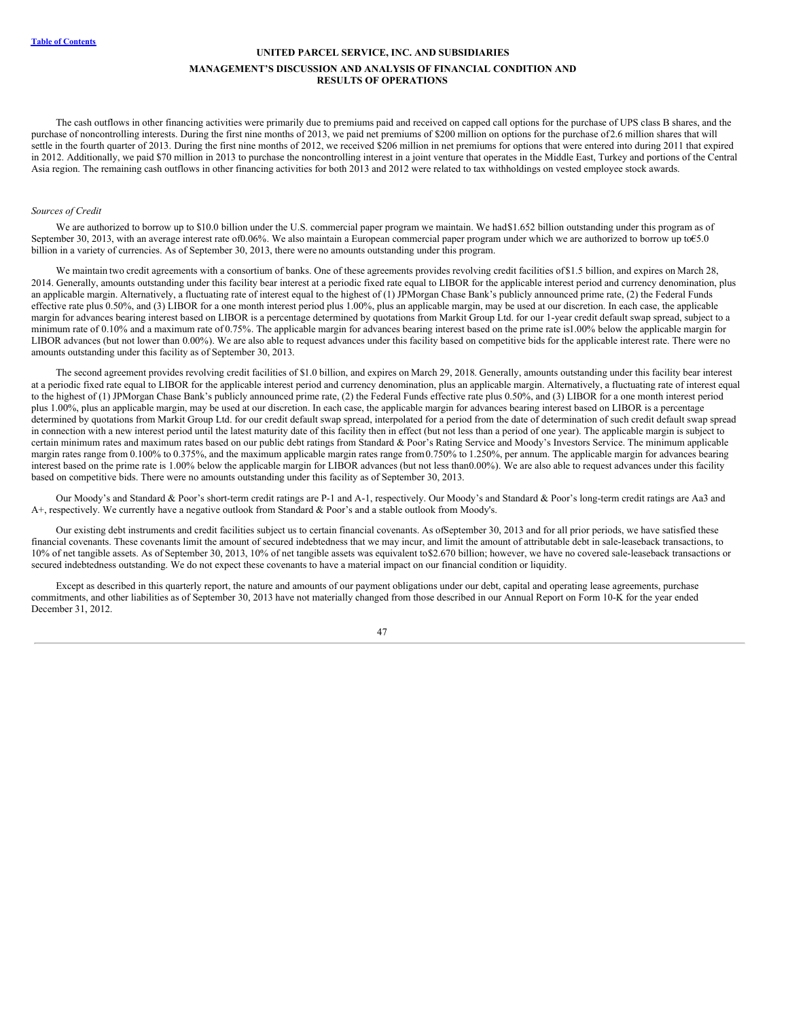The cash outflows in other financing activities were primarily due to premiums paid and received on capped call options for the purchase of UPS class B shares, and the purchase of noncontrolling interests. During the first nine months of 2013, we paid net premiums of \$200 million on options for the purchase of2.6 million shares that will settle in the fourth quarter of 2013. During the first nine months of 2012, we received \$206 million in net premiums for options that were entered into during 2011 that expired in 2012. Additionally, we paid \$70 million in 2013 to purchase the noncontrolling interest in a joint venture that operates in the Middle East, Turkey and portions of the Central Asia region. The remaining cash outflows in other financing activities for both 2013 and 2012 were related to tax withholdings on vested employee stock awards.

# <span id="page-48-0"></span>*Sources of Credit*

We are authorized to borrow up to \$10.0 billion under the U.S. commercial paper program we maintain. We had\$1.652 billion outstanding under this program as of September 30, 2013, with an average interest rate of0.06%. We also maintain a European commercial paper program under which we are authorized to borrow up to £5.0 billion in a variety of currencies. As of September 30, 2013, there were no amounts outstanding under this program.

We maintain two credit agreements with a consortium of banks. One of these agreements provides revolving credit facilities of \$1.5 billion, and expires on March 28, 2014. Generally, amounts outstanding under this facility bear interest at a periodic fixed rate equal to LIBOR for the applicable interest period and currency denomination, plus an applicable margin. Alternatively, a fluctuating rate of interest equal to the highest of (1) JPMorgan Chase Bank's publicly announced prime rate, (2) the Federal Funds effective rate plus 0.50%, and (3) LIBOR for a one month interest period plus 1.00%, plus an applicable margin, may be used at our discretion. In each case, the applicable margin for advances bearing interest based on LIBOR is a percentage determined by quotations from Markit Group Ltd. for our 1-year credit default swap spread, subject to a minimum rate of 0.10% and a maximum rate of 0.75%. The applicable margin for advances bearing interest based on the prime rate is1.00% below the applicable margin for LIBOR advances (but not lower than 0.00%). We are also able to request advances under this facility based on competitive bids for the applicable interest rate. There were no amounts outstanding under this facility as of September 30, 2013.

The second agreement provides revolving credit facilities of \$1.0 billion, and expires on March 29, 2018. Generally, amounts outstanding under this facility bear interest at a periodic fixed rate equal to LIBOR for the applicable interest period and currency denomination, plus an applicable margin. Alternatively, a fluctuating rate of interest equal to the highest of (1) JPMorgan Chase Bank's publicly announced prime rate, (2) the Federal Funds effective rate plus 0.50%, and (3) LIBOR for a one month interest period plus 1.00%, plus an applicable margin, may be used at our discretion. In each case, the applicable margin for advances bearing interest based on LIBOR is a percentage determined by quotations from Markit Group Ltd. for our credit default swap spread, interpolated for a period from the date of determination of such credit default swap spread in connection with a new interest period until the latest maturity date of this facility then in effect (but not less than a period of one year). The applicable margin is subject to certain minimum rates and maximum rates based on our public debt ratings from Standard & Poor's Rating Service and Moody's Investors Service. The minimum applicable margin rates range from 0.100% to 0.375%, and the maximum applicable margin rates range from0.750% to 1.250%, per annum. The applicable margin for advances bearing interest based on the prime rate is 1.00% below the applicable margin for LIBOR advances (but not less than0.00%). We are also able to request advances under this facility based on competitive bids. There were no amounts outstanding under this facility as of September 30, 2013.

Our Moody's and Standard & Poor's short-term credit ratings are P-1 and A-1, respectively. Our Moody's and Standard & Poor's long-term credit ratings are Aa3 and A+, respectively. We currently have a negative outlook from Standard & Poor's and a stable outlook from Moody's.

Our existing debt instruments and credit facilities subject us to certain financial covenants. As ofSeptember 30, 2013 and for all prior periods, we have satisfied these financial covenants. These covenants limit the amount of secured indebtedness that we may incur, and limit the amount of attributable debt in sale-leaseback transactions, to 10% of net tangible assets. As of September 30, 2013, 10% of net tangible assets was equivalent to\$2.670 billion; however, we have no covered sale-leaseback transactions or secured indebtedness outstanding. We do not expect these covenants to have a material impact on our financial condition or liquidity.

Except as described in this quarterly report, the nature and amounts of our payment obligations under our debt, capital and operating lease agreements, purchase commitments, and other liabilities as of September 30, 2013 have not materially changed from those described in our Annual Report on Form 10-K for the year ended December 31, 2012.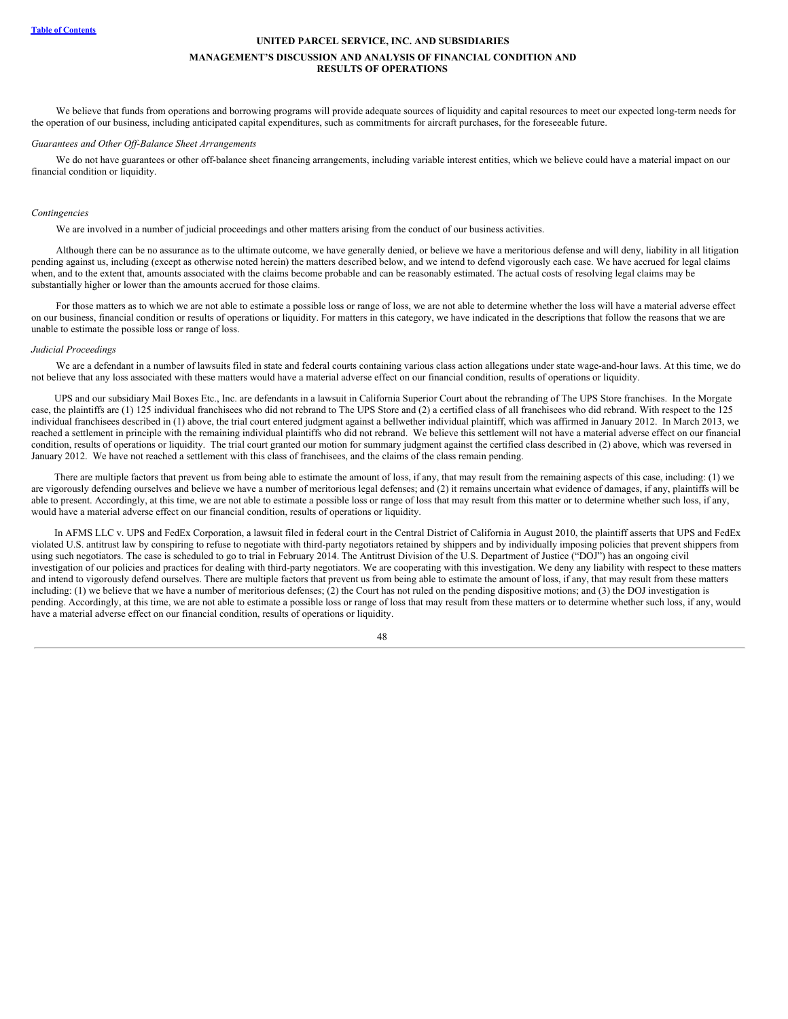### **UNITED PARCEL SERVICE, INC. AND SUBSIDIARIES**

### **MANAGEMENT'S DISCUSSION AND ANALYSIS OF FINANCIAL CONDITION AND RESULTS OF OPERATIONS**

We believe that funds from operations and borrowing programs will provide adequate sources of liquidity and capital resources to meet our expected long-term needs for the operation of our business, including anticipated capital expenditures, such as commitments for aircraft purchases, for the foreseeable future.

# *Guarantees and Other Of -Balance Sheet Arrangements*

<span id="page-49-0"></span>We do not have guarantees or other off-balance sheet financing arrangements, including variable interest entities, which we believe could have a material impact on our financial condition or liquidity.

#### *Contingencies*

We are involved in a number of judicial proceedings and other matters arising from the conduct of our business activities.

Although there can be no assurance as to the ultimate outcome, we have generally denied, or believe we have a meritorious defense and will deny, liability in all litigation pending against us, including (except as otherwise noted herein) the matters described below, and we intend to defend vigorously each case. We have accrued for legal claims when, and to the extent that, amounts associated with the claims become probable and can be reasonably estimated. The actual costs of resolving legal claims may be substantially higher or lower than the amounts accrued for those claims.

For those matters as to which we are not able to estimate a possible loss or range of loss, we are not able to determine whether the loss will have a material adverse effect on our business, financial condition or results of operations or liquidity. For matters in this category, we have indicated in the descriptions that follow the reasons that we are unable to estimate the possible loss or range of loss.

#### *Judicial Proceedings*

We are a defendant in a number of lawsuits filed in state and federal courts containing various class action allegations under state wage-and-hour laws. At this time, we do not believe that any loss associated with these matters would have a material adverse effect on our financial condition, results of operations or liquidity.

UPS and our subsidiary Mail Boxes Etc., Inc. are defendants in a lawsuit in California Superior Court about the rebranding of The UPS Store franchises. In the Morgate case, the plaintiffs are (1) 125 individual franchisees who did not rebrand to The UPS Store and (2) a certified class of all franchisees who did rebrand. With respect to the 125 individual franchisees described in (1) above, the trial court entered judgment against a bellwether individual plaintiff, which was affirmed in January 2012. In March 2013, we reached a settlement in principle with the remaining individual plaintiffs who did not rebrand. We believe this settlement will not have a material adverse effect on our financial condition, results of operations or liquidity. The trial court granted our motion for summary judgment against the certified class described in (2) above, which was reversed in January 2012. We have not reached a settlement with this class of franchisees, and the claims of the class remain pending.

There are multiple factors that prevent us from being able to estimate the amount of loss, if any, that may result from the remaining aspects of this case, including: (1) we are vigorously defending ourselves and believe we have a number of meritorious legal defenses; and (2) it remains uncertain what evidence of damages, if any, plaintiffs will be able to present. Accordingly, at this time, we are not able to estimate a possible loss or range of loss that may result from this matter or to determine whether such loss, if any, would have a material adverse effect on our financial condition, results of operations or liquidity.

In AFMS LLC v. UPS and FedEx Corporation, a lawsuit filed in federal court in the Central District of California in August 2010, the plaintiff asserts that UPS and FedEx violated U.S. antitrust law by conspiring to refuse to negotiate with third-party negotiators retained by shippers and by individually imposing policies that prevent shippers from using such negotiators. The case is scheduled to go to trial in February 2014. The Antitrust Division of the U.S. Department of Justice ("DOJ") has an ongoing civil investigation of our policies and practices for dealing with third-party negotiators. We are cooperating with this investigation. We deny any liability with respect to these matters and intend to vigorously defend ourselves. There are multiple factors that prevent us from being able to estimate the amount of loss, if any, that may result from these matters including: (1) we believe that we have a number of meritorious defenses; (2) the Court has not ruled on the pending dispositive motions; and (3) the DOJ investigation is pending. Accordingly, at this time, we are not able to estimate a possible loss or range of loss that may result from these matters or to determine whether such loss, if any, would have a material adverse effect on our financial condition, results of operations or liquidity.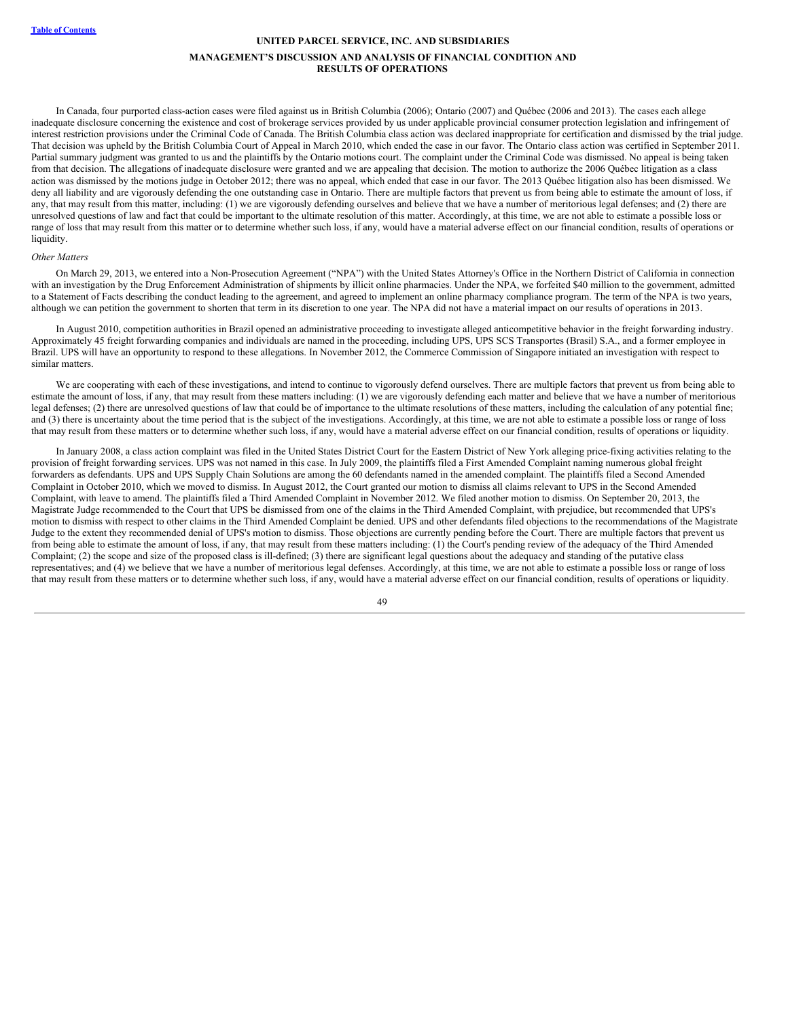In Canada, four purported class-action cases were filed against us in British Columbia (2006); Ontario (2007) and Québec (2006 and 2013). The cases each allege inadequate disclosure concerning the existence and cost of brokerage services provided by us under applicable provincial consumer protection legislation and infringement of interest restriction provisions under the Criminal Code of Canada. The British Columbia class action was declared inappropriate for certification and dismissed by the trial judge. That decision was upheld by the British Columbia Court of Appeal in March 2010, which ended the case in our favor. The Ontario class action was certified in September 2011. Partial summary judgment was granted to us and the plaintiffs by the Ontario motions court. The complaint under the Criminal Code was dismissed. No appeal is being taken from that decision. The allegations of inadequate disclosure were granted and we are appealing that decision. The motion to authorize the 2006 Québec litigation as a class action was dismissed by the motions judge in October 2012; there was no appeal, which ended that case in our favor. The 2013 Québec litigation also has been dismissed. We deny all liability and are vigorously defending the one outstanding case in Ontario. There are multiple factors that prevent us from being able to estimate the amount of loss, if any, that may result from this matter, including: (1) we are vigorously defending ourselves and believe that we have a number of meritorious legal defenses; and (2) there are unresolved questions of law and fact that could be important to the ultimate resolution of this matter. Accordingly, at this time, we are not able to estimate a possible loss or range of loss that may result from this matter or to determine whether such loss, if any, would have a material adverse effect on our financial condition, results of operations or liquidity.

#### *Other Matters*

On March 29, 2013, we entered into a Non-Prosecution Agreement ("NPA") with the United States Attorney's Office in the Northern District of California in connection with an investigation by the Drug Enforcement Administration of shipments by illicit online pharmacies. Under the NPA, we forfeited \$40 million to the government, admitted to a Statement of Facts describing the conduct leading to the agreement, and agreed to implement an online pharmacy compliance program. The term of the NPA is two years, although we can petition the government to shorten that term in its discretion to one year. The NPA did not have a material impact on our results of operations in 2013.

In August 2010, competition authorities in Brazil opened an administrative proceeding to investigate alleged anticompetitive behavior in the freight forwarding industry. Approximately 45 freight forwarding companies and individuals are named in the proceeding, including UPS, UPS SCS Transportes (Brasil) S.A., and a former employee in Brazil. UPS will have an opportunity to respond to these allegations. In November 2012, the Commerce Commission of Singapore initiated an investigation with respect to similar matters.

We are cooperating with each of these investigations, and intend to continue to vigorously defend ourselves. There are multiple factors that prevent us from being able to estimate the amount of loss, if any, that may result from these matters including: (1) we are vigorously defending each matter and believe that we have a number of meritorious legal defenses; (2) there are unresolved questions of law that could be of importance to the ultimate resolutions of these matters, including the calculation of any potential fine; and (3) there is uncertainty about the time period that is the subject of the investigations. Accordingly, at this time, we are not able to estimate a possible loss or range of loss that may result from these matters or to determine whether such loss, if any, would have a material adverse effect on our financial condition, results of operations or liquidity.

In January 2008, a class action complaint was filed in the United States District Court for the Eastern District of New York alleging price-fixing activities relating to the provision of freight forwarding services. UPS was not named in this case. In July 2009, the plaintiffs filed a First Amended Complaint naming numerous global freight forwarders as defendants. UPS and UPS Supply Chain Solutions are among the 60 defendants named in the amended complaint. The plaintiffs filed a Second Amended Complaint in October 2010, which we moved to dismiss. In August 2012, the Court granted our motion to dismiss all claims relevant to UPS in the Second Amended Complaint, with leave to amend. The plaintiffs filed a Third Amended Complaint in November 2012. We filed another motion to dismiss. On September 20, 2013, the Magistrate Judge recommended to the Court that UPS be dismissed from one of the claims in the Third Amended Complaint, with prejudice, but recommended that UPS's motion to dismiss with respect to other claims in the Third Amended Complaint be denied. UPS and other defendants filed objections to the recommendations of the Magistrate Judge to the extent they recommended denial of UPS's motion to dismiss. Those objections are currently pending before the Court. There are multiple factors that prevent us from being able to estimate the amount of loss, if any, that may result from these matters including: (1) the Court's pending review of the adequacy of the Third Amended Complaint; (2) the scope and size of the proposed class is ill-defined; (3) there are significant legal questions about the adequacy and standing of the putative class representatives; and (4) we believe that we have a number of meritorious legal defenses. Accordingly, at this time, we are not able to estimate a possible loss or range of loss that may result from these matters or to determine whether such loss, if any, would have a material adverse effect on our financial condition, results of operations or liquidity.

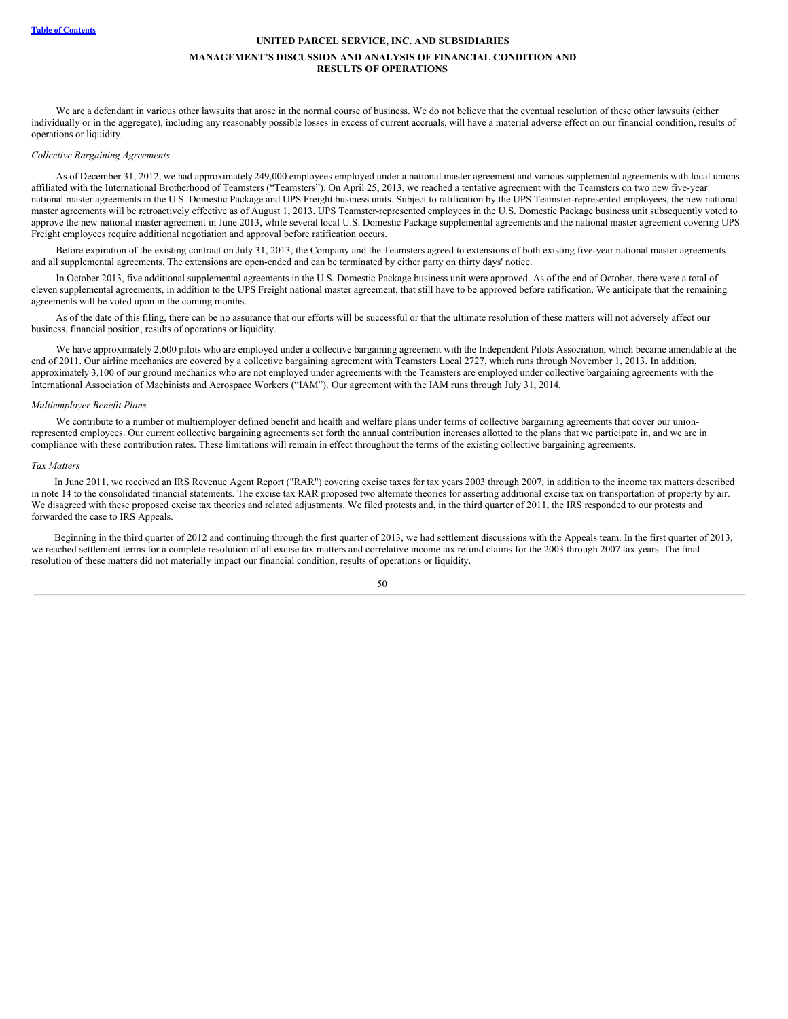### **UNITED PARCEL SERVICE, INC. AND SUBSIDIARIES**

### **MANAGEMENT'S DISCUSSION AND ANALYSIS OF FINANCIAL CONDITION AND RESULTS OF OPERATIONS**

We are a defendant in various other lawsuits that arose in the normal course of business. We do not believe that the eventual resolution of these other lawsuits (either individually or in the aggregate), including any reasonably possible losses in excess of current accruals, will have a material adverse effect on our financial condition, results of operations or liquidity.

#### *Collective Bargaining Agreements*

As of December 31, 2012, we had approximately 249,000 employees employed under a national master agreement and various supplemental agreements with local unions affiliated with the International Brotherhood of Teamsters ("Teamsters"). On April 25, 2013, we reached a tentative agreement with the Teamsters on two new five-year national master agreements in the U.S. Domestic Package and UPS Freight business units. Subject to ratification by the UPS Teamster-represented employees, the new national master agreements will be retroactively effective as of August 1, 2013. UPS Teamster-represented employees in the U.S. Domestic Package business unit subsequently voted to approve the new national master agreement in June 2013, while several local U.S. Domestic Package supplemental agreements and the national master agreement covering UPS Freight employees require additional negotiation and approval before ratification occurs.

Before expiration of the existing contract on July 31, 2013, the Company and the Teamsters agreed to extensions of both existing five-year national master agreements and all supplemental agreements. The extensions are open-ended and can be terminated by either party on thirty days' notice.

In October 2013, five additional supplemental agreements in the U.S. Domestic Package business unit were approved. As of the end of October, there were a total of eleven supplemental agreements, in addition to the UPS Freight national master agreement, that still have to be approved before ratification. We anticipate that the remaining agreements will be voted upon in the coming months.

As of the date of this filing, there can be no assurance that our efforts will be successful or that the ultimate resolution of these matters will not adversely affect our business, financial position, results of operations or liquidity.

We have approximately 2,600 pilots who are employed under a collective bargaining agreement with the Independent Pilots Association, which became amendable at the end of 2011. Our airline mechanics are covered by a collective bargaining agreement with Teamsters Local 2727, which runs through November 1, 2013. In addition, approximately 3,100 of our ground mechanics who are not employed under agreements with the Teamsters are employed under collective bargaining agreements with the International Association of Machinists and Aerospace Workers ("IAM"). Our agreement with the IAM runs through July 31, 2014.

#### *Multiemployer Benefit Plans*

We contribute to a number of multiemployer defined benefit and health and welfare plans under terms of collective bargaining agreements that cover our unionrepresented employees. Our current collective bargaining agreements set forth the annual contribution increases allotted to the plans that we participate in, and we are in compliance with these contribution rates. These limitations will remain in effect throughout the terms of the existing collective bargaining agreements.

#### *Tax Matters*

In June 2011, we received an IRS Revenue Agent Report ("RAR") covering excise taxes for tax years 2003 through 2007, in addition to the income tax matters described in note 14 to the consolidated financial statements. The excise tax RAR proposed two alternate theories for asserting additional excise tax on transportation of property by air. We disagreed with these proposed excise tax theories and related adjustments. We filed protests and, in the third quarter of 2011, the IRS responded to our protests and forwarded the case to IRS Appeals.

Beginning in the third quarter of 2012 and continuing through the first quarter of 2013, we had settlement discussions with the Appeals team. In the first quarter of 2013, we reached settlement terms for a complete resolution of all excise tax matters and correlative income tax refund claims for the 2003 through 2007 tax years. The final resolution of these matters did not materially impact our financial condition, results of operations or liquidity.

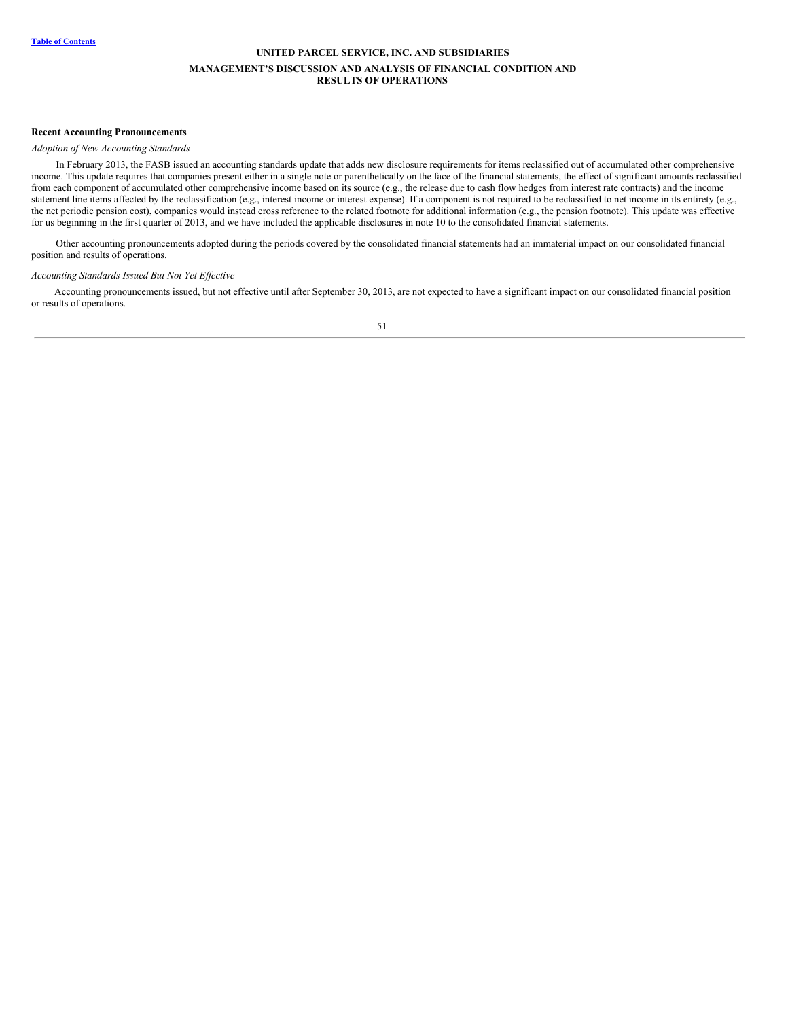# <span id="page-52-0"></span>**Recent Accounting Pronouncements**

*Adoption of New Accounting Standards*

In February 2013, the FASB issued an accounting standards update that adds new disclosure requirements for items reclassified out of accumulated other comprehensive income. This update requires that companies present either in a single note or parenthetically on the face of the financial statements, the effect of significant amounts reclassified from each component of accumulated other comprehensive income based on its source (e.g., the release due to cash flow hedges from interest rate contracts) and the income statement line items affected by the reclassification (e.g., interest income or interest expense). If a component is not required to be reclassified to net income in its entirety (e.g., the net periodic pension cost), companies would instead cross reference to the related footnote for additional information (e.g., the pension footnote). This update was effective for us beginning in the first quarter of 2013, and we have included the applicable disclosures in note 10 to the consolidated financial statements.

Other accounting pronouncements adopted during the periods covered by the consolidated financial statements had an immaterial impact on our consolidated financial position and results of operations.

### *Accounting Standards Issued But Not Yet Ef ective*

Accounting pronouncements issued, but not effective until after September 30, 2013, are not expected to have a significant impact on our consolidated financial position or results of operations.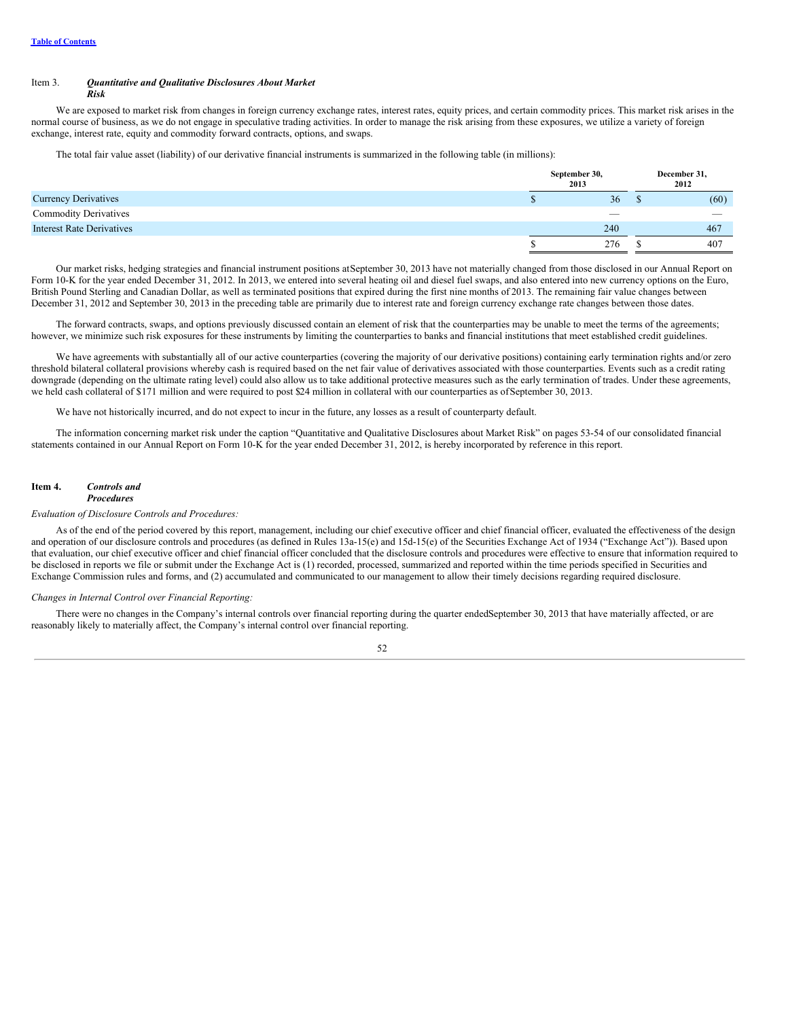#### <span id="page-53-0"></span>Item 3. *Quantitative and Qualitative Disclosures About Market Risk*

We are exposed to market risk from changes in foreign currency exchange rates, interest rates, equity prices, and certain commodity prices. This market risk arises in the normal course of business, as we do not engage in speculative trading activities. In order to manage the risk arising from these exposures, we utilize a variety of foreign exchange, interest rate, equity and commodity forward contracts, options, and swaps.

The total fair value asset (liability) of our derivative financial instruments is summarized in the following table (in millions):

|                                  |    | September 30,<br>2013    | December 31,<br>2012 |
|----------------------------------|----|--------------------------|----------------------|
| <b>Currency Derivatives</b>      | ٨D | 36                       | (60)                 |
| <b>Commodity Derivatives</b>     |    | $\overline{\phantom{a}}$ | __                   |
| <b>Interest Rate Derivatives</b> |    | 240                      | 467                  |
|                                  |    | 276                      | 407                  |

Our market risks, hedging strategies and financial instrument positions atSeptember 30, 2013 have not materially changed from those disclosed in our Annual Report on Form 10-K for the year ended December 31, 2012. In 2013, we entered into several heating oil and diesel fuel swaps, and also entered into new currency options on the Euro, British Pound Sterling and Canadian Dollar, as well as terminated positions that expired during the first nine months of 2013. The remaining fair value changes between December 31, 2012 and September 30, 2013 in the preceding table are primarily due to interest rate and foreign currency exchange rate changes between those dates.

The forward contracts, swaps, and options previously discussed contain an element of risk that the counterparties may be unable to meet the terms of the agreements; however, we minimize such risk exposures for these instruments by limiting the counterparties to banks and financial institutions that meet established credit guidelines.

We have agreements with substantially all of our active counterparties (covering the majority of our derivative positions) containing early termination rights and/or zero threshold bilateral collateral provisions whereby cash is required based on the net fair value of derivatives associated with those counterparties. Events such as a credit rating downgrade (depending on the ultimate rating level) could also allow us to take additional protective measures such as the early termination of trades. Under these agreements, we held cash collateral of \$171 million and were required to post \$24 million in collateral with our counterparties as ofSeptember 30, 2013.

We have not historically incurred, and do not expect to incur in the future, any losses as a result of counterparty default.

<span id="page-53-1"></span>The information concerning market risk under the caption "Quantitative and Qualitative Disclosures about Market Risk" on pages 53-54 of our consolidated financial statements contained in our Annual Report on Form 10-K for the year ended December 31, 2012, is hereby incorporated by reference in this report.

#### **Item 4.** *Controls and Procedures*

### *Evaluation of Disclosure Controls and Procedures:*

As of the end of the period covered by this report, management, including our chief executive officer and chief financial officer, evaluated the effectiveness of the design and operation of our disclosure controls and procedures (as defined in Rules 13a-15(e) and 15d-15(e) of the Securities Exchange Act of 1934 ("Exchange Act")). Based upon that evaluation, our chief executive officer and chief financial officer concluded that the disclosure controls and procedures were effective to ensure that information required to be disclosed in reports we file or submit under the Exchange Act is (1) recorded, processed, summarized and reported within the time periods specified in Securities and Exchange Commission rules and forms, and (2) accumulated and communicated to our management to allow their timely decisions regarding required disclosure.

#### *Changes in Internal Control over Financial Reporting:*

There were no changes in the Company's internal controls over financial reporting during the quarter endedSeptember 30, 2013 that have materially affected, or are reasonably likely to materially affect, the Company's internal control over financial reporting.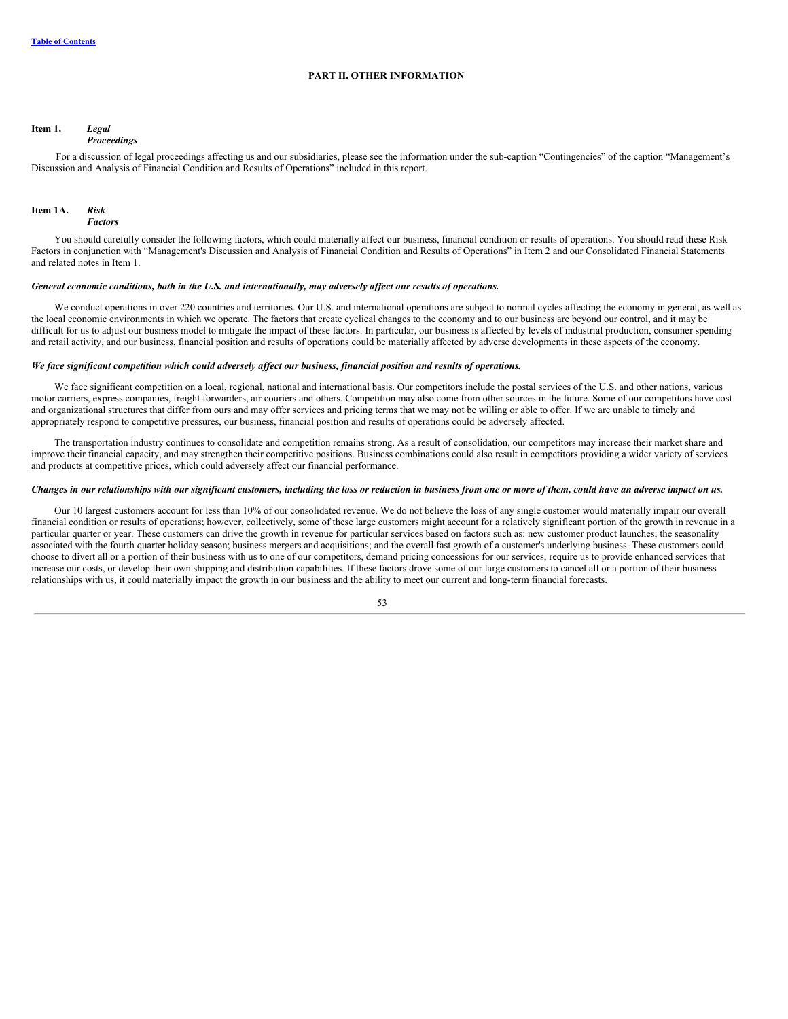#### **PART II. OTHER INFORMATION**

# <span id="page-54-0"></span>**Item 1.** *Legal*

# *Proceedings*

<span id="page-54-1"></span>For a discussion of legal proceedings affecting us and our subsidiaries, please see the information under the sub-caption "Contingencies" of the caption "Management's Discussion and Analysis of Financial Condition and Results of Operations" included in this report.

#### **Item 1A.** *Risk Factors*

You should carefully consider the following factors, which could materially affect our business, financial condition or results of operations. You should read these Risk Factors in conjunction with "Management's Discussion and Analysis of Financial Condition and Results of Operations" in Item 2 and our Consolidated Financial Statements and related notes in Item 1.

# General economic conditions, both in the U.S. and internationally, may adversely affect our results of operations.

We conduct operations in over 220 countries and territories. Our U.S. and international operations are subject to normal cycles affecting the economy in general, as well as the local economic environments in which we operate. The factors that create cyclical changes to the economy and to our business are beyond our control, and it may be difficult for us to adjust our business model to mitigate the impact of these factors. In particular, our business is affected by levels of industrial production, consumer spending and retail activity, and our business, financial position and results of operations could be materially affected by adverse developments in these aspects of the economy.

#### We face significant competition which could adversely affect our business, financial position and results of operations.

We face significant competition on a local, regional, national and international basis. Our competitors include the postal services of the U.S. and other nations, various motor carriers, express companies, freight forwarders, air couriers and others. Competition may also come from other sources in the future. Some of our competitors have cost and organizational structures that differ from ours and may offer services and pricing terms that we may not be willing or able to offer. If we are unable to timely and appropriately respond to competitive pressures, our business, financial position and results of operations could be adversely affected.

The transportation industry continues to consolidate and competition remains strong. As a result of consolidation, our competitors may increase their market share and improve their financial capacity, and may strengthen their competitive positions. Business combinations could also result in competitors providing a wider variety of services and products at competitive prices, which could adversely affect our financial performance.

#### Changes in our relationships with our significant customers, including the loss or reduction in business from one or more of them, could have an adverse impact on us.

Our 10 largest customers account for less than 10% of our consolidated revenue. We do not believe the loss of any single customer would materially impair our overall financial condition or results of operations; however, collectively, some of these large customers might account for a relatively significant portion of the growth in revenue in a particular quarter or year. These customers can drive the growth in revenue for particular services based on factors such as: new customer product launches; the seasonality associated with the fourth quarter holiday season; business mergers and acquisitions; and the overall fast growth of a customer's underlying business. These customers could choose to divert all or a portion of their business with us to one of our competitors, demand pricing concessions for our services, require us to provide enhanced services that increase our costs, or develop their own shipping and distribution capabilities. If these factors drove some of our large customers to cancel all or a portion of their business relationships with us, it could materially impact the growth in our business and the ability to meet our current and long-term financial forecasts.

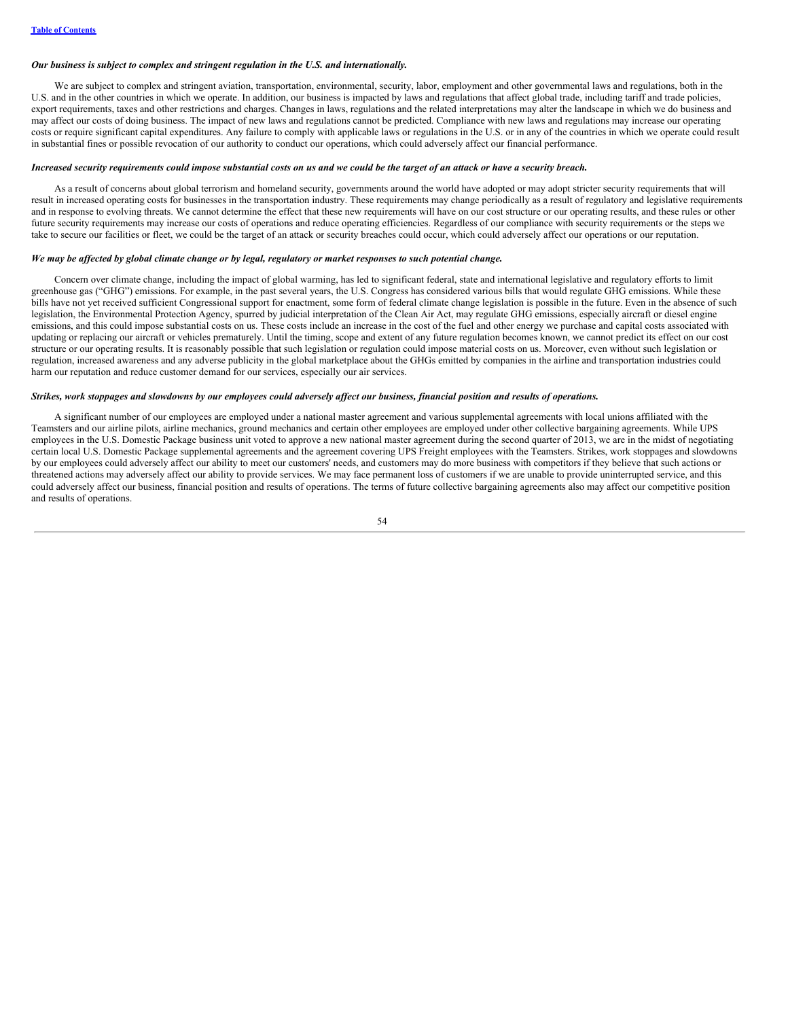#### *Our business is subject to complex and stringent regulation in the U.S. and internationally.*

We are subject to complex and stringent aviation, transportation, environmental, security, labor, employment and other governmental laws and regulations, both in the U.S. and in the other countries in which we operate. In addition, our business is impacted by laws and regulations that affect global trade, including tariff and trade policies, export requirements, taxes and other restrictions and charges. Changes in laws, regulations and the related interpretations may alter the landscape in which we do business and may affect our costs of doing business. The impact of new laws and regulations cannot be predicted. Compliance with new laws and regulations may increase our operating costs or require significant capital expenditures. Any failure to comply with applicable laws or regulations in the U.S. or in any of the countries in which we operate could result in substantial fines or possible revocation of our authority to conduct our operations, which could adversely affect our financial performance.

#### Increased security requirements could impose substantial costs on us and we could be the target of an attack or have a security breach.

As a result of concerns about global terrorism and homeland security, governments around the world have adopted or may adopt stricter security requirements that will result in increased operating costs for businesses in the transportation industry. These requirements may change periodically as a result of regulatory and legislative requirements and in response to evolving threats. We cannot determine the effect that these new requirements will have on our cost structure or our operating results, and these rules or other future security requirements may increase our costs of operations and reduce operating efficiencies. Regardless of our compliance with security requirements or the steps we take to secure our facilities or fleet, we could be the target of an attack or security breaches could occur, which could adversely affect our operations or our reputation.

#### We may be affected by global climate change or by legal, regulatory or market responses to such potential change.

Concern over climate change, including the impact of global warming, has led to significant federal, state and international legislative and regulatory efforts to limit greenhouse gas ("GHG") emissions. For example, in the past several years, the U.S. Congress has considered various bills that would regulate GHG emissions. While these bills have not yet received sufficient Congressional support for enactment, some form of federal climate change legislation is possible in the future. Even in the absence of such legislation, the Environmental Protection Agency, spurred by judicial interpretation of the Clean Air Act, may regulate GHG emissions, especially aircraft or diesel engine emissions, and this could impose substantial costs on us. These costs include an increase in the cost of the fuel and other energy we purchase and capital costs associated with updating or replacing our aircraft or vehicles prematurely. Until the timing, scope and extent of any future regulation becomes known, we cannot predict its effect on our cost structure or our operating results. It is reasonably possible that such legislation or regulation could impose material costs on us. Moreover, even without such legislation or regulation, increased awareness and any adverse publicity in the global marketplace about the GHGs emitted by companies in the airline and transportation industries could harm our reputation and reduce customer demand for our services, especially our air services.

#### Strikes, work stoppages and slowdowns by our employees could adversely affect our business, financial position and results of operations.

A significant number of our employees are employed under a national master agreement and various supplemental agreements with local unions affiliated with the Teamsters and our airline pilots, airline mechanics, ground mechanics and certain other employees are employed under other collective bargaining agreements. While UPS employees in the U.S. Domestic Package business unit voted to approve a new national master agreement during the second quarter of 2013, we are in the midst of negotiating certain local U.S. Domestic Package supplemental agreements and the agreement covering UPS Freight employees with the Teamsters. Strikes, work stoppages and slowdowns by our employees could adversely affect our ability to meet our customers' needs, and customers may do more business with competitors if they believe that such actions or threatened actions may adversely affect our ability to provide services. We may face permanent loss of customers if we are unable to provide uninterrupted service, and this could adversely affect our business, financial position and results of operations. The terms of future collective bargaining agreements also may affect our competitive position and results of operations.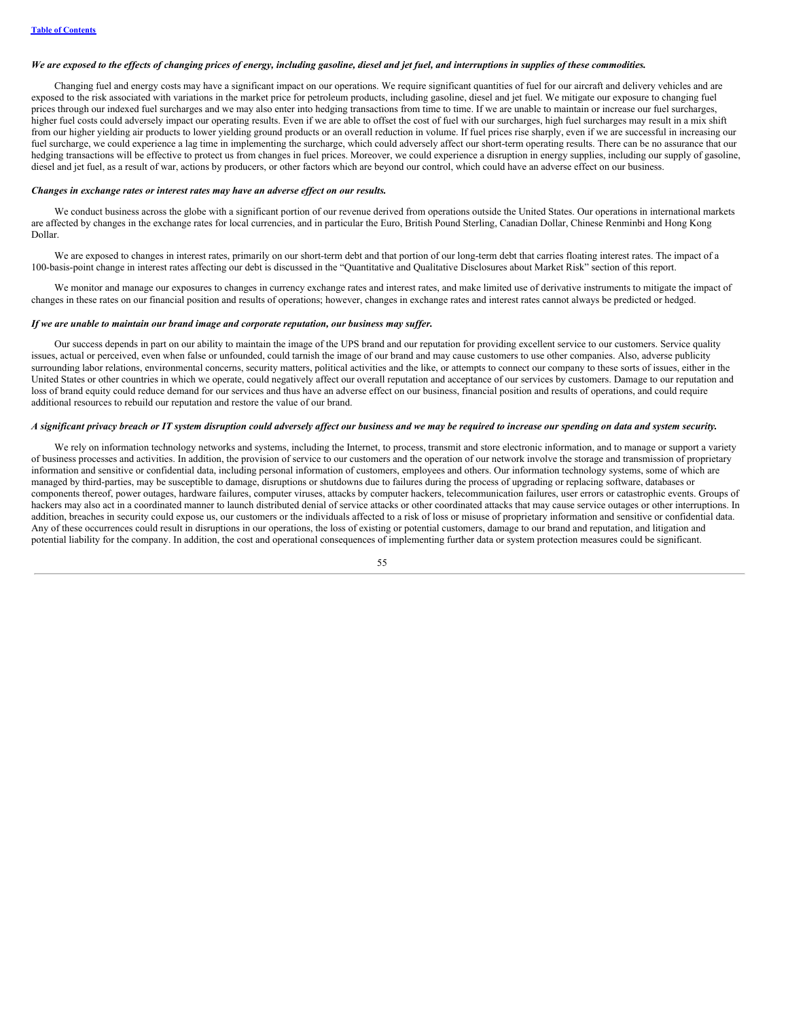#### We are exposed to the effects of changing prices of energy, including gasoline, diesel and jet fuel, and interruptions in supplies of these commodities.

Changing fuel and energy costs may have a significant impact on our operations. We require significant quantities of fuel for our aircraft and delivery vehicles and are exposed to the risk associated with variations in the market price for petroleum products, including gasoline, diesel and jet fuel. We mitigate our exposure to changing fuel prices through our indexed fuel surcharges and we may also enter into hedging transactions from time to time. If we are unable to maintain or increase our fuel surcharges, higher fuel costs could adversely impact our operating results. Even if we are able to offset the cost of fuel with our surcharges, high fuel surcharges may result in a mix shift from our higher yielding air products to lower yielding ground products or an overall reduction in volume. If fuel prices rise sharply, even if we are successful in increasing our fuel surcharge, we could experience a lag time in implementing the surcharge, which could adversely affect our short-term operating results. There can be no assurance that our hedging transactions will be effective to protect us from changes in fuel prices. Moreover, we could experience a disruption in energy supplies, including our supply of gasoline, diesel and jet fuel, as a result of war, actions by producers, or other factors which are beyond our control, which could have an adverse effect on our business.

#### *Changes in exchange rates or interest rates may have an adverse ef ect on our results.*

We conduct business across the globe with a significant portion of our revenue derived from operations outside the United States. Our operations in international markets are affected by changes in the exchange rates for local currencies, and in particular the Euro, British Pound Sterling, Canadian Dollar, Chinese Renminbi and Hong Kong Dollar.

We are exposed to changes in interest rates, primarily on our short-term debt and that portion of our long-term debt that carries floating interest rates. The impact of a 100-basis-point change in interest rates affecting our debt is discussed in the "Quantitative and Qualitative Disclosures about Market Risk" section of this report.

We monitor and manage our exposures to changes in currency exchange rates and interest rates, and make limited use of derivative instruments to mitigate the impact of changes in these rates on our financial position and results of operations; however, changes in exchange rates and interest rates cannot always be predicted or hedged.

#### *If we are unable to maintain our brand image and corporate reputation, our business may suf er.*

Our success depends in part on our ability to maintain the image of the UPS brand and our reputation for providing excellent service to our customers. Service quality issues, actual or perceived, even when false or unfounded, could tarnish the image of our brand and may cause customers to use other companies. Also, adverse publicity surrounding labor relations, environmental concerns, security matters, political activities and the like, or attempts to connect our company to these sorts of issues, either in the United States or other countries in which we operate, could negatively affect our overall reputation and acceptance of our services by customers. Damage to our reputation and loss of brand equity could reduce demand for our services and thus have an adverse effect on our business, financial position and results of operations, and could require additional resources to rebuild our reputation and restore the value of our brand.

#### A significant privacy breach or IT system disruption could adversely affect our business and we may be required to increase our spending on data and system security.

We rely on information technology networks and systems, including the Internet, to process, transmit and store electronic information, and to manage or support a variety of business processes and activities. In addition, the provision of service to our customers and the operation of our network involve the storage and transmission of proprietary information and sensitive or confidential data, including personal information of customers, employees and others. Our information technology systems, some of which are managed by third-parties, may be susceptible to damage, disruptions or shutdowns due to failures during the process of upgrading or replacing software, databases or components thereof, power outages, hardware failures, computer viruses, attacks by computer hackers, telecommunication failures, user errors or catastrophic events. Groups of hackers may also act in a coordinated manner to launch distributed denial of service attacks or other coordinated attacks that may cause service outages or other interruptions. In addition, breaches in security could expose us, our customers or the individuals affected to a risk of loss or misuse of proprietary information and sensitive or confidential data. Any of these occurrences could result in disruptions in our operations, the loss of existing or potential customers, damage to our brand and reputation, and litigation and potential liability for the company. In addition, the cost and operational consequences of implementing further data or system protection measures could be significant.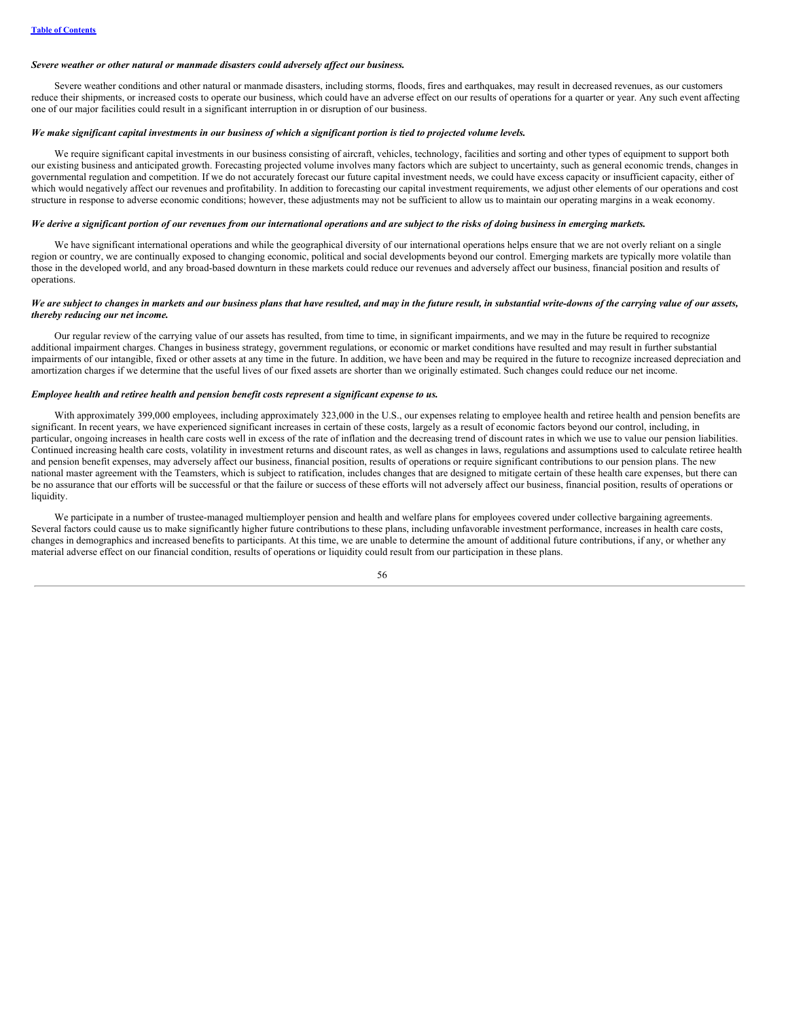#### *Severe weather or other natural or manmade disasters could adversely af ect our business.*

Severe weather conditions and other natural or manmade disasters, including storms, floods, fires and earthquakes, may result in decreased revenues, as our customers reduce their shipments, or increased costs to operate our business, which could have an adverse effect on our results of operations for a quarter or year. Any such event affecting one of our major facilities could result in a significant interruption in or disruption of our business.

#### We make significant capital investments in our business of which a significant portion is tied to projected volume levels.

We require significant capital investments in our business consisting of aircraft, vehicles, technology, facilities and sorting and other types of equipment to support both our existing business and anticipated growth. Forecasting projected volume involves many factors which are subject to uncertainty, such as general economic trends, changes in governmental regulation and competition. If we do not accurately forecast our future capital investment needs, we could have excess capacity or insufficient capacity, either of which would negatively affect our revenues and profitability. In addition to forecasting our capital investment requirements, we adjust other elements of our operations and cost structure in response to adverse economic conditions; however, these adjustments may not be sufficient to allow us to maintain our operating margins in a weak economy.

#### We derive a significant portion of our revenues from our international operations and are subject to the risks of doing business in emerging markets.

We have significant international operations and while the geographical diversity of our international operations helps ensure that we are not overly reliant on a single region or country, we are continually exposed to changing economic, political and social developments beyond our control. Emerging markets are typically more volatile than those in the developed world, and any broad-based downturn in these markets could reduce our revenues and adversely affect our business, financial position and results of operations.

### We are subject to changes in markets and our business plans that have resulted, and may in the future result, in substantial write-downs of the carrying value of our assets, *thereby reducing our net income.*

Our regular review of the carrying value of our assets has resulted, from time to time, in significant impairments, and we may in the future be required to recognize additional impairment charges. Changes in business strategy, government regulations, or economic or market conditions have resulted and may result in further substantial impairments of our intangible, fixed or other assets at any time in the future. In addition, we have been and may be required in the future to recognize increased depreciation and amortization charges if we determine that the useful lives of our fixed assets are shorter than we originally estimated. Such changes could reduce our net income.

### *Employee health and retiree health and pension benefit costs represent a significant expense to us.*

With approximately 399,000 employees, including approximately 323,000 in the U.S., our expenses relating to employee health and retiree health and pension benefits are significant. In recent years, we have experienced significant increases in certain of these costs, largely as a result of economic factors beyond our control, including, in particular, ongoing increases in health care costs well in excess of the rate of inflation and the decreasing trend of discount rates in which we use to value our pension liabilities. Continued increasing health care costs, volatility in investment returns and discount rates, as well as changes in laws, regulations and assumptions used to calculate retiree health and pension benefit expenses, may adversely affect our business, financial position, results of operations or require significant contributions to our pension plans. The new national master agreement with the Teamsters, which is subject to ratification, includes changes that are designed to mitigate certain of these health care expenses, but there can be no assurance that our efforts will be successful or that the failure or success of these efforts will not adversely affect our business, financial position, results of operations or liquidity.

We participate in a number of trustee-managed multiemployer pension and health and welfare plans for employees covered under collective bargaining agreements. Several factors could cause us to make significantly higher future contributions to these plans, including unfavorable investment performance, increases in health care costs, changes in demographics and increased benefits to participants. At this time, we are unable to determine the amount of additional future contributions, if any, or whether any material adverse effect on our financial condition, results of operations or liquidity could result from our participation in these plans.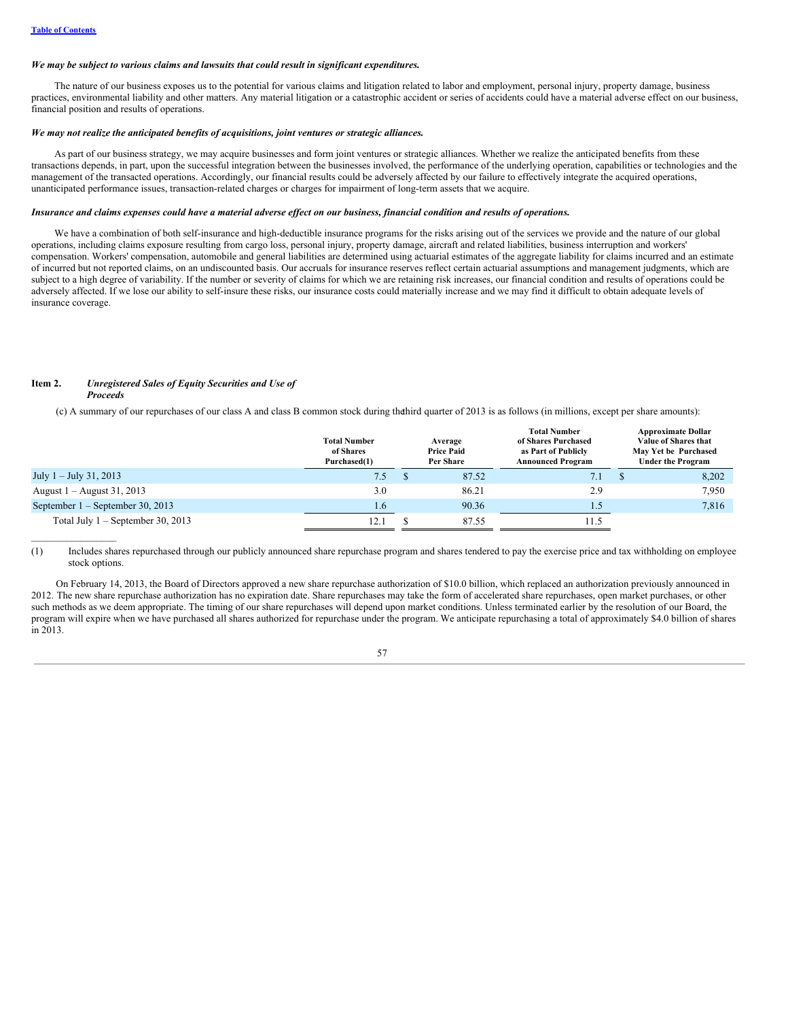$\mathcal{L}=\mathcal{L}^{\mathcal{L}}$  , where  $\mathcal{L}^{\mathcal{L}}$ 

### *We may be subject to various claims and lawsuits that could result in significant expenditures.*

The nature of our business exposes us to the potential for various claims and litigation related to labor and employment, personal injury, property damage, business practices, environmental liability and other matters. Any material litigation or a catastrophic accident or series of accidents could have a material adverse effect on our business, financial position and results of operations.

#### *We may not realize the anticipated benefits of acquisitions, joint ventures or strategic alliances.*

As part of our business strategy, we may acquire businesses and form joint ventures or strategic alliances. Whether we realize the anticipated benefits from these transactions depends, in part, upon the successful integration between the businesses involved, the performance of the underlying operation, capabilities or technologies and the management of the transacted operations. Accordingly, our financial results could be adversely affected by our failure to effectively integrate the acquired operations, unanticipated performance issues, transaction-related charges or charges for impairment of long-term assets that we acquire.

#### Insurance and claims expenses could have a material adverse effect on our business, financial condition and results of operations.

We have a combination of both self-insurance and high-deductible insurance programs for the risks arising out of the services we provide and the nature of our global operations, including claims exposure resulting from cargo loss, personal injury, property damage, aircraft and related liabilities, business interruption and workers' compensation. Workers' compensation, automobile and general liabilities are determined using actuarial estimates of the aggregate liability for claims incurred and an estimate of incurred but not reported claims, on an undiscounted basis. Our accruals for insurance reserves reflect certain actuarial assumptions and management judgments, which are subject to a high degree of variability. If the number or severity of claims for which we are retaining risk increases, our financial condition and results of operations could be adversely affected. If we lose our ability to self-insure these risks, our insurance costs could materially increase and we may find it difficult to obtain adequate levels of insurance coverage.

#### <span id="page-58-0"></span>**Item 2.** *Unregistered Sales of Equity Securities and Use of Proceeds*

(c) A summary of our repurchases of our class A and class B common stock during thethird quarter of 2013 is as follows (in millions, except per share amounts):

|                                     | <b>Total Number</b><br>of Shares<br>Purchased(1) | <b>Total Number</b><br>of Shares Purchased<br>Average<br><b>Price Paid</b><br>as Part of Publicly<br>Per Share<br><b>Announced Program</b> |      |  | <b>Approximate Dollar</b><br><b>Value of Shares that</b><br>May Yet be Purchased<br><b>Under the Program</b> |
|-------------------------------------|--------------------------------------------------|--------------------------------------------------------------------------------------------------------------------------------------------|------|--|--------------------------------------------------------------------------------------------------------------|
| July $1 -$ July 31, 2013            | 7.5                                              | 87.52                                                                                                                                      | 7.1  |  | 8,202                                                                                                        |
| August $1 -$ August 31, 2013        | 3.0                                              | 86.21                                                                                                                                      | 2.9  |  | 7.950                                                                                                        |
| September $1 -$ September 30, 2013  | 1.6                                              | 90.36                                                                                                                                      | 1.5  |  | 7,816                                                                                                        |
| Total July $1 -$ September 30, 2013 | 12.1                                             | 87.55                                                                                                                                      | 11.5 |  |                                                                                                              |

(1) Includes shares repurchased through our publicly announced share repurchase program and shares tendered to pay the exercise price and tax withholding on employee stock options.

On February 14, 2013, the Board of Directors approved a new share repurchase authorization of \$10.0 billion, which replaced an authorization previously announced in 2012. The new share repurchase authorization has no expiration date. Share repurchases may take the form of accelerated share repurchases, open market purchases, or other such methods as we deem appropriate. The timing of our share repurchases will depend upon market conditions. Unless terminated earlier by the resolution of our Board, the program will expire when we have purchased all shares authorized for repurchase under the program. We anticipate repurchasing a total of approximately \$4.0 billion of shares  $\frac{1}{2}$ n 2013.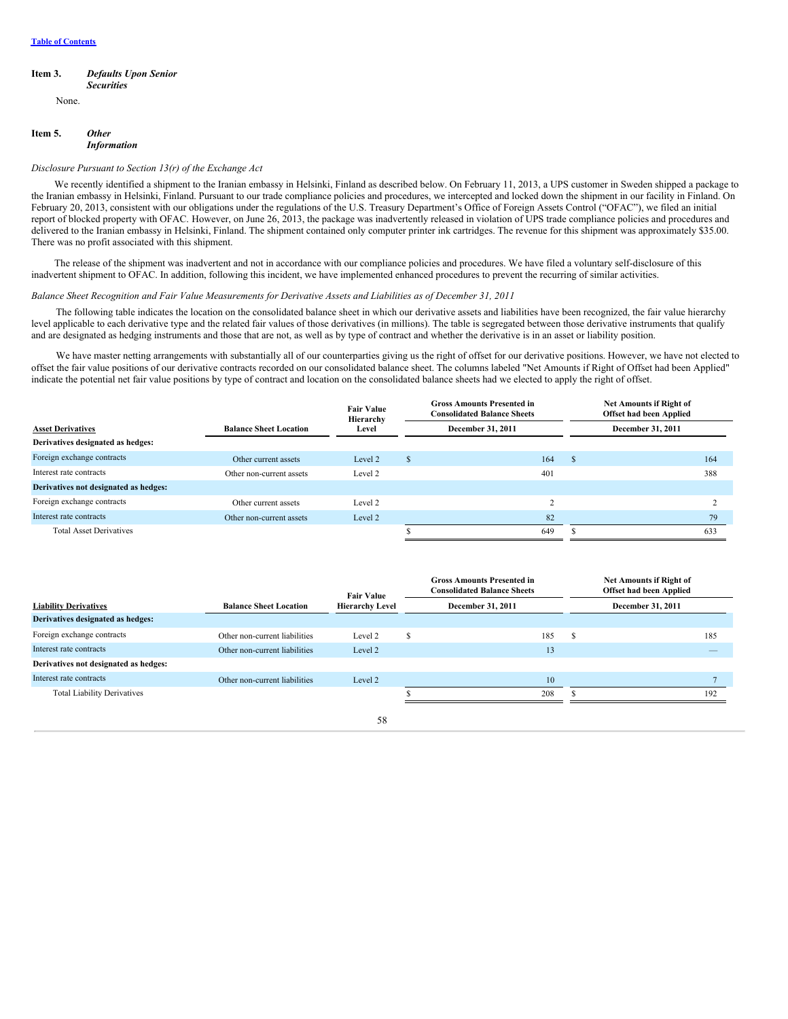#### <span id="page-59-0"></span>**Item 3.** *Defaults Upon Senior Securities*

None.

### <span id="page-59-1"></span>**Item 5.** *Other Information*

# *Disclosure Pursuant to Section 13(r) of the Exchange Act*

We recently identified a shipment to the Iranian embassy in Helsinki, Finland as described below. On February 11, 2013, a UPS customer in Sweden shipped a package to the Iranian embassy in Helsinki, Finland. Pursuant to our trade compliance policies and procedures, we intercepted and locked down the shipment in our facility in Finland. On February 20, 2013, consistent with our obligations under the regulations of the U.S. Treasury Department's Office of Foreign Assets Control ("OFAC"), we filed an initial report of blocked property with OFAC. However, on June 26, 2013, the package was inadvertently released in violation of UPS trade compliance policies and procedures and delivered to the Iranian embassy in Helsinki, Finland. The shipment contained only computer printer ink cartridges. The revenue for this shipment was approximately \$35.00. There was no profit associated with this shipment.

The release of the shipment was inadvertent and not in accordance with our compliance policies and procedures. We have filed a voluntary self-disclosure of this inadvertent shipment to OFAC. In addition, following this incident, we have implemented enhanced procedures to prevent the recurring of similar activities.

### Balance Sheet Recognition and Fair Value Measurements for Derivative Assets and Liabilities as of December 31, 2011

The following table indicates the location on the consolidated balance sheet in which our derivative assets and liabilities have been recognized, the fair value hierarchy level applicable to each derivative type and the related fair values of those derivatives (in millions). The table is segregated between those derivative instruments that qualify and are designated as hedging instruments and those that are not, as well as by type of contract and whether the derivative is in an asset or liability position.

We have master netting arrangements with substantially all of our counterparties giving us the right of offset for our derivative positions. However, we have not elected to offset the fair value positions of our derivative contracts recorded on our consolidated balance sheet. The columns labeled "Net Amounts if Right of Offset had been Applied" indicate the potential net fair value positions by type of contract and location on the consolidated balance sheets had we elected to apply the right of offset.

|                                       |                               | <b>Fair Value</b><br>Hierarchy |               | <b>Gross Amounts Presented in</b><br><b>Consolidated Balance Sheets</b> |                   | <b>Net Amounts if Right of</b><br><b>Offset had been Applied</b> |     |  |  |  |
|---------------------------------------|-------------------------------|--------------------------------|---------------|-------------------------------------------------------------------------|-------------------|------------------------------------------------------------------|-----|--|--|--|
| <b>Asset Derivatives</b>              | <b>Balance Sheet Location</b> | Level                          |               | December 31, 2011                                                       | December 31, 2011 |                                                                  |     |  |  |  |
| Derivatives designated as hedges:     |                               |                                |               |                                                                         |                   |                                                                  |     |  |  |  |
| Foreign exchange contracts            | Other current assets          | Level 2                        | <sup>\$</sup> | 164                                                                     | -S                |                                                                  | 164 |  |  |  |
| Interest rate contracts               | Other non-current assets      | Level 2                        |               | 401                                                                     |                   |                                                                  | 388 |  |  |  |
| Derivatives not designated as hedges: |                               |                                |               |                                                                         |                   |                                                                  |     |  |  |  |
| Foreign exchange contracts            | Other current assets          | Level 2                        |               |                                                                         |                   |                                                                  |     |  |  |  |
| Interest rate contracts               | Other non-current assets      | Level 2                        |               | 82                                                                      |                   |                                                                  | 79  |  |  |  |
| <b>Total Asset Derivatives</b>        |                               |                                |               | 649                                                                     |                   |                                                                  | 633 |  |  |  |

|                                       |                               | <b>Fair Value</b>      | <b>Gross Amounts Presented in</b><br><b>Consolidated Balance Sheets</b> |                   |   | <b>Net Amounts if Right of</b><br><b>Offset had been Applied</b> |     |  |  |  |
|---------------------------------------|-------------------------------|------------------------|-------------------------------------------------------------------------|-------------------|---|------------------------------------------------------------------|-----|--|--|--|
| <b>Liability Derivatives</b>          | <b>Balance Sheet Location</b> | <b>Hierarchy Level</b> |                                                                         | December 31, 2011 |   | December 31, 2011                                                |     |  |  |  |
| Derivatives designated as hedges:     |                               |                        |                                                                         |                   |   |                                                                  |     |  |  |  |
| Foreign exchange contracts            | Other non-current liabilities | Level 2                | Ŝ                                                                       | 185               | S |                                                                  | 185 |  |  |  |
| Interest rate contracts               | Other non-current liabilities | Level 2                |                                                                         | 13                |   |                                                                  |     |  |  |  |
| Derivatives not designated as hedges: |                               |                        |                                                                         |                   |   |                                                                  |     |  |  |  |
| Interest rate contracts               | Other non-current liabilities | Level 2                |                                                                         | 10                |   |                                                                  |     |  |  |  |
| <b>Total Liability Derivatives</b>    |                               |                        |                                                                         | 208               |   |                                                                  | 192 |  |  |  |
|                                       |                               | 58                     |                                                                         |                   |   |                                                                  |     |  |  |  |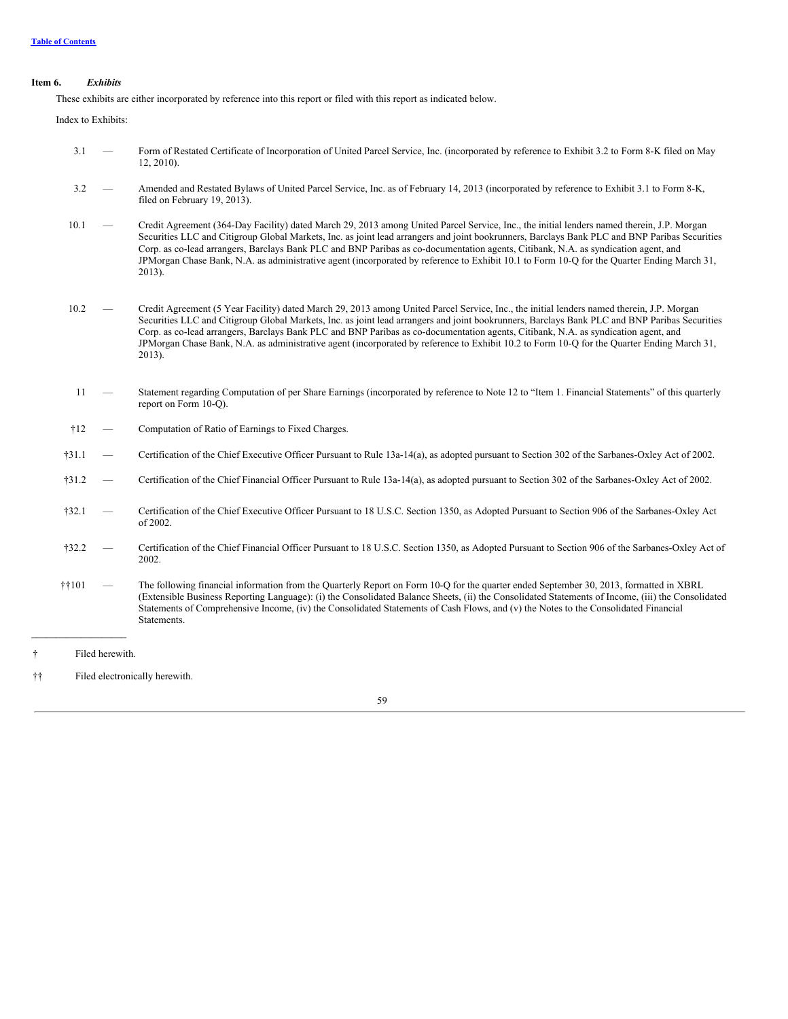### <span id="page-60-0"></span>**Item 6.** *Exhibits*

These exhibits are either incorporated by reference into this report or filed with this report as indicated below.

Index to Exhibits:

12, 2010).

|   | 3.2          |                              | Amended and Restated Bylaws of United Parcel Service, Inc. as of February 14, 2013 (incorporated by reference to Exhibit 3.1 to Form 8-K,<br>filed on February 19, 2013).                                                                                                                                                                                                                                                                                                                                                                                                                    |
|---|--------------|------------------------------|----------------------------------------------------------------------------------------------------------------------------------------------------------------------------------------------------------------------------------------------------------------------------------------------------------------------------------------------------------------------------------------------------------------------------------------------------------------------------------------------------------------------------------------------------------------------------------------------|
|   | 10.1         |                              | Credit Agreement (364-Day Facility) dated March 29, 2013 among United Parcel Service, Inc., the initial lenders named therein, J.P. Morgan<br>Securities LLC and Citigroup Global Markets, Inc. as joint lead arrangers and joint bookrunners, Barclays Bank PLC and BNP Paribas Securities<br>Corp. as co-lead arrangers, Barclays Bank PLC and BNP Paribas as co-documentation agents, Citibank, N.A. as syndication agent, and<br>JPMorgan Chase Bank, N.A. as administrative agent (incorporated by reference to Exhibit 10.1 to Form 10-Q for the Quarter Ending March 31,<br>$2013$ ). |
|   | 10.2         |                              | Credit Agreement (5 Year Facility) dated March 29, 2013 among United Parcel Service, Inc., the initial lenders named therein, J.P. Morgan<br>Securities LLC and Citigroup Global Markets, Inc. as joint lead arrangers and joint bookrunners, Barclays Bank PLC and BNP Paribas Securities<br>Corp. as co-lead arrangers, Barclays Bank PLC and BNP Paribas as co-documentation agents, Citibank, N.A. as syndication agent, and<br>JPMorgan Chase Bank, N.A. as administrative agent (incorporated by reference to Exhibit 10.2 to Form 10-Q for the Quarter Ending March 31,<br>$2013$ ).  |
|   | 11           | $\overline{\phantom{m}}$     | Statement regarding Computation of per Share Earnings (incorporated by reference to Note 12 to "Item 1. Financial Statements" of this quarterly<br>report on Form 10-O).                                                                                                                                                                                                                                                                                                                                                                                                                     |
|   | $\dagger$ 12 |                              | Computation of Ratio of Earnings to Fixed Charges.                                                                                                                                                                                                                                                                                                                                                                                                                                                                                                                                           |
|   | †31.1        | $\qquad \qquad$              | Certification of the Chief Executive Officer Pursuant to Rule 13a-14(a), as adopted pursuant to Section 302 of the Sarbanes-Oxley Act of 2002.                                                                                                                                                                                                                                                                                                                                                                                                                                               |
|   | †31.2        | $\overbrace{\qquad \qquad }$ | Certification of the Chief Financial Officer Pursuant to Rule 13a-14(a), as adopted pursuant to Section 302 of the Sarbanes-Oxley Act of 2002.                                                                                                                                                                                                                                                                                                                                                                                                                                               |
|   | †32.1        |                              | Certification of the Chief Executive Officer Pursuant to 18 U.S.C. Section 1350, as Adopted Pursuant to Section 906 of the Sarbanes-Oxley Act<br>of 2002.                                                                                                                                                                                                                                                                                                                                                                                                                                    |
|   | †32.2        |                              | Certification of the Chief Financial Officer Pursuant to 18 U.S.C. Section 1350, as Adopted Pursuant to Section 906 of the Sarbanes-Oxley Act of<br>2002.                                                                                                                                                                                                                                                                                                                                                                                                                                    |
|   | ††101        |                              | The following financial information from the Quarterly Report on Form 10-Q for the quarter ended September 30, 2013, formatted in XBRL<br>(Extensible Business Reporting Language): (i) the Consolidated Balance Sheets, (ii) the Consolidated Statements of Income, (iii) the Consolidated<br>Statements of Comprehensive Income, (iv) the Consolidated Statements of Cash Flows, and (v) the Notes to the Consolidated Financial<br>Statements.                                                                                                                                            |
| t |              | Filed herewith.              |                                                                                                                                                                                                                                                                                                                                                                                                                                                                                                                                                                                              |

59

3.1 — Form of Restated Certificate of Incorporation of United Parcel Service, Inc. (incorporated by reference to Exhibit 3.2 to Form 8-K filed on May

†† Filed electronically herewith.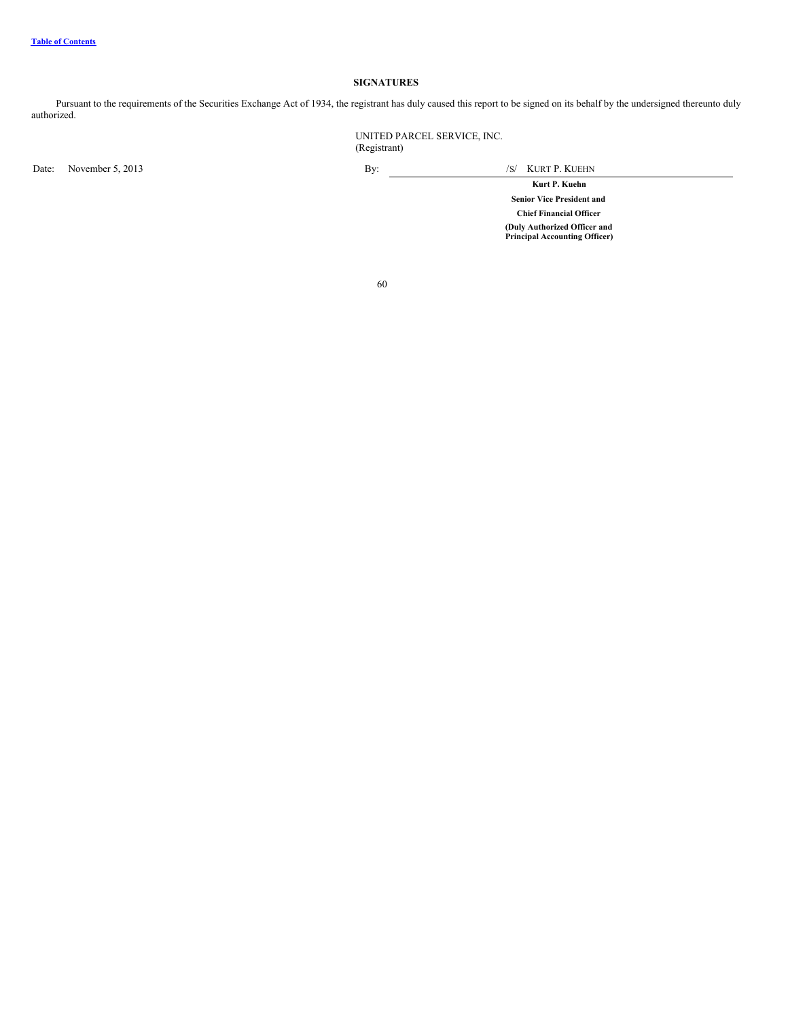### **SIGNATURES**

Pursuant to the requirements of the Securities Exchange Act of 1934, the registrant has duly caused this report to be signed on its behalf by the undersigned thereunto duly authorized.

> UNITED PARCEL SERVICE, INC. (Registrant)

Date: November 5, 2013 By: /S/ KURT P. KUEHN

**Kurt P. Kuehn Senior Vice President and Chief Financial Officer (Duly Authorized Officer and Principal Accounting Officer)**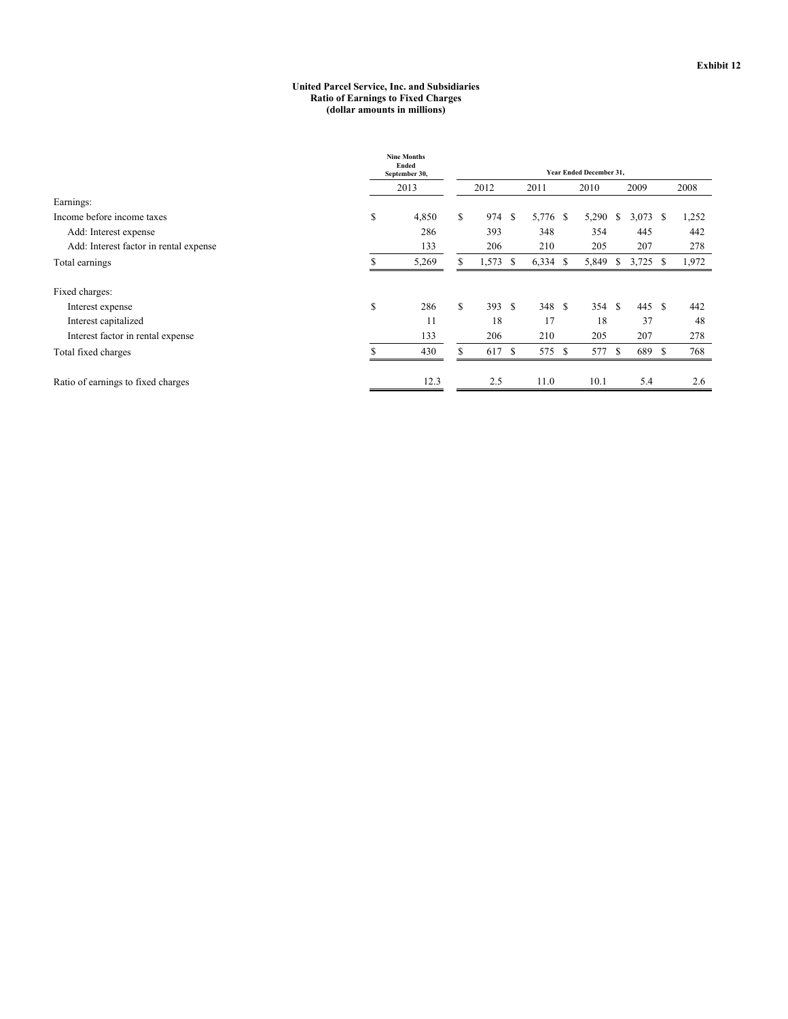#### **United Parcel Service, Inc. and Subsidiaries Ratio of Earnings to Fixed Charges (dollar amounts in millions)**

|                                        | <b>Nine Months</b><br>Ended<br>September 30,<br>2013 |       |    | Year Ended December 31, |               |            |    |        |      |            |              |       |  |  |
|----------------------------------------|------------------------------------------------------|-------|----|-------------------------|---------------|------------|----|--------|------|------------|--------------|-------|--|--|
|                                        |                                                      |       |    | 2012                    | 2011          |            |    | 2010   | 2009 |            |              | 2008  |  |  |
| Earnings:                              |                                                      |       |    |                         |               |            |    |        |      |            |              |       |  |  |
| Income before income taxes             | \$                                                   | 4,850 | \$ | 974                     | <sup>\$</sup> | 5,776 \$   |    | 5,290  | S    | 3,073      | <sup>S</sup> | 1,252 |  |  |
| Add: Interest expense                  |                                                      | 286   |    | 393                     |               | 348        |    | 354    |      | 445        |              | 442   |  |  |
| Add: Interest factor in rental expense |                                                      | 133   |    | 206                     |               | 210        |    | 205    |      | 207        |              | 278   |  |  |
| Total earnings                         |                                                      | 5,269 | S  | $1,573$ \$              |               | $6,334$ \$ |    | 5,849  | S.   | $3,725$ \$ |              | 1,972 |  |  |
| Fixed charges:                         |                                                      |       |    |                         |               |            |    |        |      |            |              |       |  |  |
| Interest expense                       | \$                                                   | 286   | \$ | 393                     | <sup>\$</sup> | 348 S      |    | 354 \$ |      | 445        | -S           | 442   |  |  |
| Interest capitalized                   |                                                      | 11    |    | 18                      |               | 17         |    | 18     |      | 37         |              | 48    |  |  |
| Interest factor in rental expense      |                                                      | 133   |    | 206                     |               | 210        |    | 205    |      | 207        |              | 278   |  |  |
| Total fixed charges                    |                                                      | 430   | S  | 617                     | -S            | 575        | -S | 577    | -S   | 689 \$     |              | 768   |  |  |
| Ratio of earnings to fixed charges     |                                                      | 12.3  |    | 2.5                     |               | 11.0       |    | 10.1   |      | 5.4        |              | 2.6   |  |  |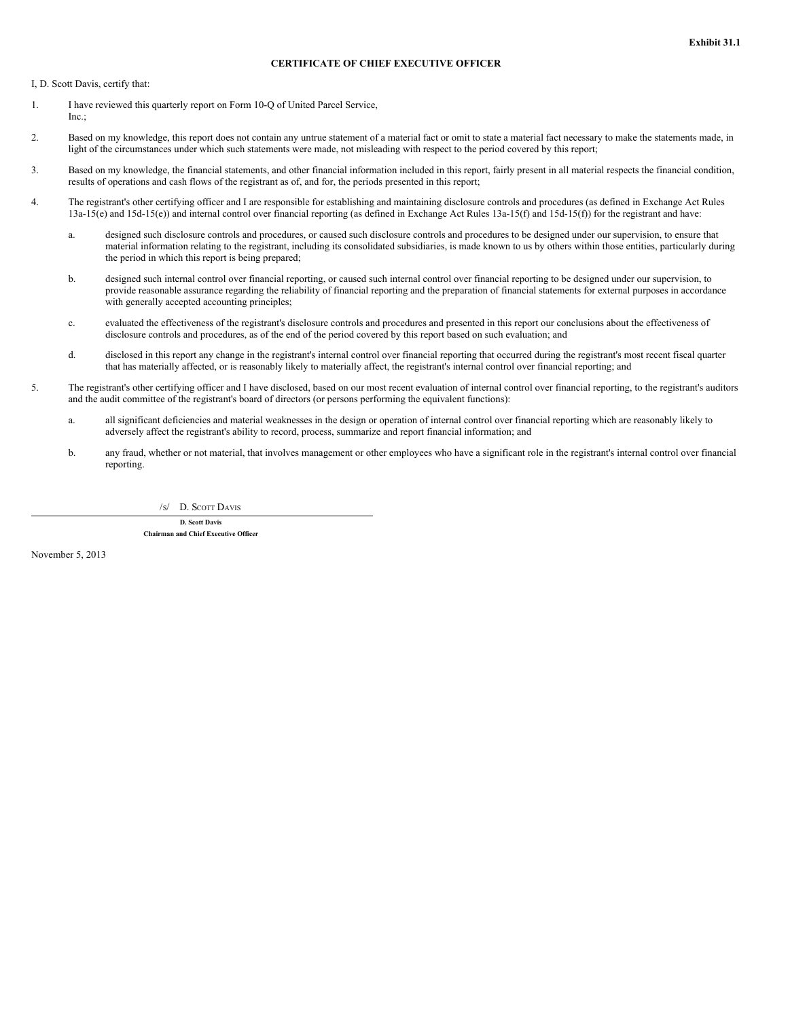# **CERTIFICATE OF CHIEF EXECUTIVE OFFICER**

#### I, D. Scott Davis, certify that:

- 1. I have reviewed this quarterly report on Form 10-Q of United Parcel Service, Inc.;
- 2. Based on my knowledge, this report does not contain any untrue statement of a material fact or omit to state a material fact necessary to make the statements made, in light of the circumstances under which such statements were made, not misleading with respect to the period covered by this report;
- 3. Based on my knowledge, the financial statements, and other financial information included in this report, fairly present in all material respects the financial condition, results of operations and cash flows of the registrant as of, and for, the periods presented in this report;
- 4. The registrant's other certifying officer and I are responsible for establishing and maintaining disclosure controls and procedures (as defined in Exchange Act Rules 13a-15(e) and 15d-15(e)) and internal control over financial reporting (as defined in Exchange Act Rules 13a-15(f) and 15d-15(f)) for the registrant and have:
	- a. designed such disclosure controls and procedures, or caused such disclosure controls and procedures to be designed under our supervision, to ensure that material information relating to the registrant, including its consolidated subsidiaries, is made known to us by others within those entities, particularly during the period in which this report is being prepared;
	- b. designed such internal control over financial reporting, or caused such internal control over financial reporting to be designed under our supervision, to provide reasonable assurance regarding the reliability of financial reporting and the preparation of financial statements for external purposes in accordance with generally accepted accounting principles;
	- c. evaluated the effectiveness of the registrant's disclosure controls and procedures and presented in this report our conclusions about the effectiveness of disclosure controls and procedures, as of the end of the period covered by this report based on such evaluation; and
	- d. disclosed in this report any change in the registrant's internal control over financial reporting that occurred during the registrant's most recent fiscal quarter that has materially affected, or is reasonably likely to materially affect, the registrant's internal control over financial reporting; and
- 5. The registrant's other certifying officer and I have disclosed, based on our most recent evaluation of internal control over financial reporting, to the registrant's auditors and the audit committee of the registrant's board of directors (or persons performing the equivalent functions):
	- a. all significant deficiencies and material weaknesses in the design or operation of internal control over financial reporting which are reasonably likely to adversely affect the registrant's ability to record, process, summarize and report financial information; and
	- b. any fraud, whether or not material, that involves management or other employees who have a significant role in the registrant's internal control over financial reporting.

/S/ D. SCOTT DAVIS

**D. Scott Davis Chairman and Chief Executive Officer**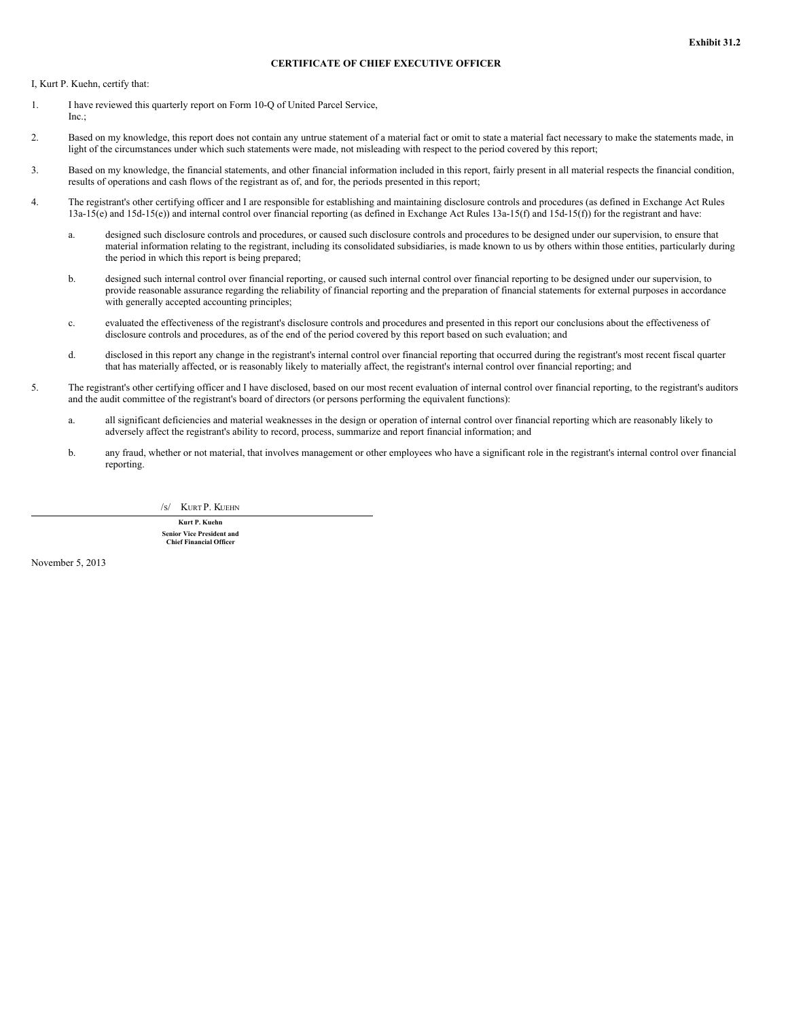# **CERTIFICATE OF CHIEF EXECUTIVE OFFICER**

#### I, Kurt P. Kuehn, certify that:

- 1. I have reviewed this quarterly report on Form 10-Q of United Parcel Service, Inc.;
- 2. Based on my knowledge, this report does not contain any untrue statement of a material fact or omit to state a material fact necessary to make the statements made, in light of the circumstances under which such statements were made, not misleading with respect to the period covered by this report;
- 3. Based on my knowledge, the financial statements, and other financial information included in this report, fairly present in all material respects the financial condition, results of operations and cash flows of the registrant as of, and for, the periods presented in this report;
- 4. The registrant's other certifying officer and I are responsible for establishing and maintaining disclosure controls and procedures (as defined in Exchange Act Rules 13a-15(e) and 15d-15(e)) and internal control over financial reporting (as defined in Exchange Act Rules 13a-15(f) and 15d-15(f)) for the registrant and have:
	- a. designed such disclosure controls and procedures, or caused such disclosure controls and procedures to be designed under our supervision, to ensure that material information relating to the registrant, including its consolidated subsidiaries, is made known to us by others within those entities, particularly during the period in which this report is being prepared;
	- b. designed such internal control over financial reporting, or caused such internal control over financial reporting to be designed under our supervision, to provide reasonable assurance regarding the reliability of financial reporting and the preparation of financial statements for external purposes in accordance with generally accepted accounting principles;
	- c. evaluated the effectiveness of the registrant's disclosure controls and procedures and presented in this report our conclusions about the effectiveness of disclosure controls and procedures, as of the end of the period covered by this report based on such evaluation; and
	- d. disclosed in this report any change in the registrant's internal control over financial reporting that occurred during the registrant's most recent fiscal quarter that has materially affected, or is reasonably likely to materially affect, the registrant's internal control over financial reporting; and
- 5. The registrant's other certifying officer and I have disclosed, based on our most recent evaluation of internal control over financial reporting, to the registrant's auditors and the audit committee of the registrant's board of directors (or persons performing the equivalent functions):
	- a. all significant deficiencies and material weaknesses in the design or operation of internal control over financial reporting which are reasonably likely to adversely affect the registrant's ability to record, process, summarize and report financial information; and
	- b. any fraud, whether or not material, that involves management or other employees who have a significant role in the registrant's internal control over financial reporting.

/S/ KURT P. KUEHN

**Kurt P. Kuehn Senior Vice President and Chief Financial Officer**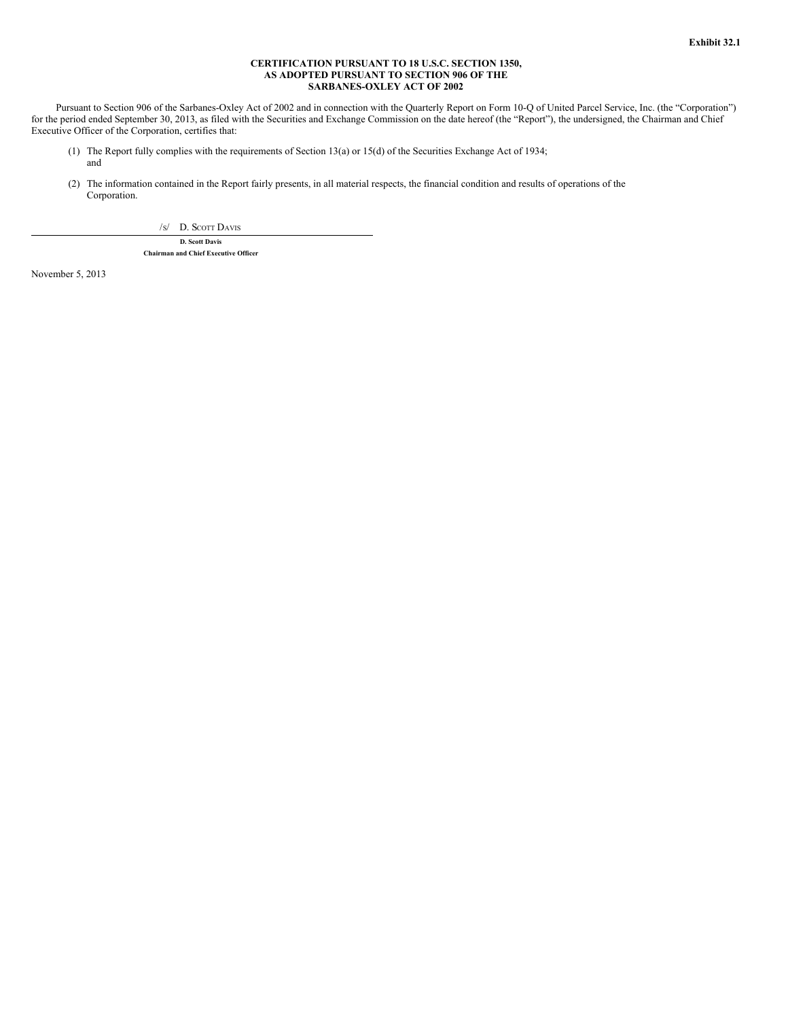### **CERTIFICATION PURSUANT TO 18 U.S.C. SECTION 1350, AS ADOPTED PURSUANT TO SECTION 906 OF THE SARBANES-OXLEY ACT OF 2002**

Pursuant to Section 906 of the Sarbanes-Oxley Act of 2002 and in connection with the Quarterly Report on Form 10-Q of United Parcel Service, Inc. (the "Corporation") for the period ended September 30, 2013, as filed with the Securities and Exchange Commission on the date hereof (the "Report"), the undersigned, the Chairman and Chief Executive Officer of the Corporation, certifies that:

- (1) The Report fully complies with the requirements of Section 13(a) or 15(d) of the Securities Exchange Act of 1934; and
- (2) The information contained in the Report fairly presents, in all material respects, the financial condition and results of operations of the Corporation.

/S/ D. SCOTT DAVIS

**D. Scott Davis Chairman and Chief Executive Officer**